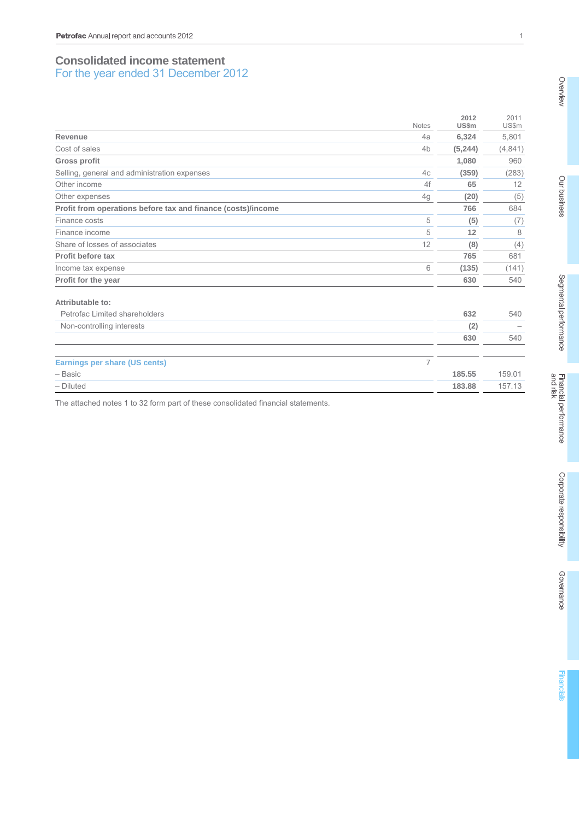# **Consolidated income statement**  For the year ended 31 December 2012

|                                                              | <b>Notes</b>   | 2012<br><b>US\$m</b> | 2011<br>US\$m |
|--------------------------------------------------------------|----------------|----------------------|---------------|
| Revenue                                                      | 4a             | 6,324                | 5,801         |
| Cost of sales                                                | 4 <sub>b</sub> | (5, 244)             | (4, 841)      |
| <b>Gross profit</b>                                          |                | 1,080                | 960           |
| Selling, general and administration expenses                 | 4c             | (359)                | (283)         |
| Other income                                                 | 4f             | 65                   | 12            |
| Other expenses                                               | 4g             | (20)                 | (5)           |
| Profit from operations before tax and finance (costs)/income |                | 766                  | 684           |
| Finance costs                                                | 5              | (5)                  | (7)           |
| Finance income                                               | 5              | 12                   | 8             |
| Share of losses of associates                                | 12             | (8)                  | (4)           |
| Profit before tax                                            |                | 765                  | 681           |
| Income tax expense                                           | 6              | (135)                | (141)         |
| Profit for the year                                          |                | 630                  | 540           |
| Attributable to:                                             |                |                      |               |
| Petrofac Limited shareholders                                |                | 632                  | 540           |
| Non-controlling interests                                    |                | (2)                  |               |
|                                                              |                | 630                  | 540           |
| <b>Earnings per share (US cents)</b>                         | $\overline{7}$ |                      |               |
| - Basic                                                      |                | 185.55               | 159.01        |
| $-$ Diluted                                                  |                | 183.88               | 157.13        |

The attached notes 1 to 32 form part of these consolidated financial statements.

1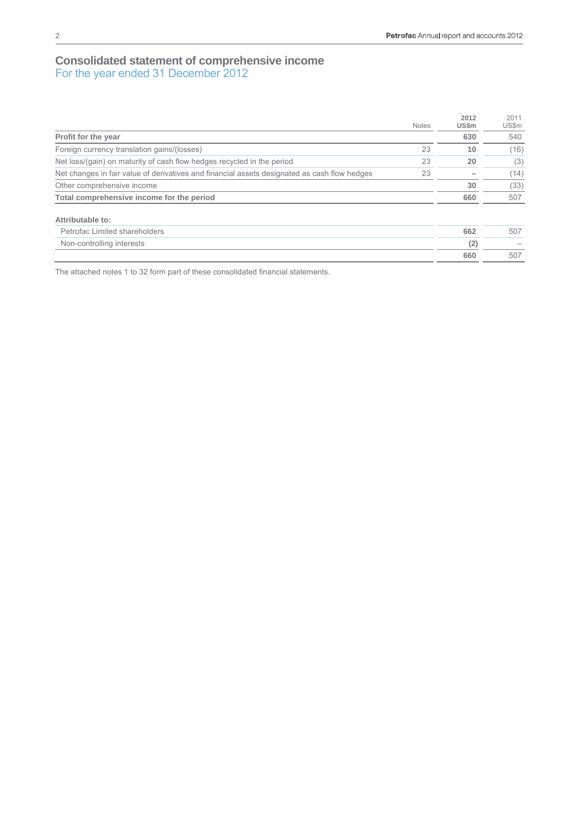# **Consolidated statement of comprehensive income**  For the year ended 31 December 2012

|                                                                                              | <b>Notes</b> | 2012<br><b>US\$m</b> | 2011<br>US\$m |
|----------------------------------------------------------------------------------------------|--------------|----------------------|---------------|
| Profit for the year                                                                          |              | 630                  | 540           |
| Foreign currency translation gains/(losses)                                                  | 23           | 10                   | (16)          |
| Net loss/(gain) on maturity of cash flow hedges recycled in the period                       | 23           | 20                   | (3)           |
| Net changes in fair value of derivatives and financial assets designated as cash flow hedges | 23           |                      | (14)          |
| Other comprehensive income                                                                   |              | 30                   | (33)          |
| Total comprehensive income for the period                                                    |              | 660                  | 507           |
| Attributable to:                                                                             |              |                      |               |
| Petrofac Limited shareholders                                                                |              | 662                  | 507           |
| Non-controlling interests                                                                    |              | (2)                  |               |
|                                                                                              |              | 660                  | 507           |

The attached notes 1 to 32 form part of these consolidated financial statements.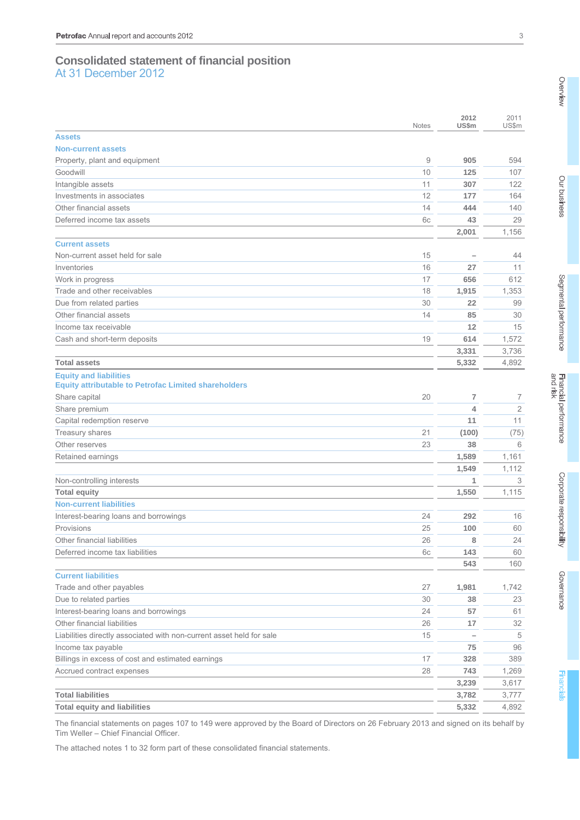# **Consolidated statement of financial position**  At 31 December 2012

|                                                                      | <b>Notes</b> | 2012<br>US\$m            | 2011<br>US\$m  |
|----------------------------------------------------------------------|--------------|--------------------------|----------------|
| <b>Assets</b>                                                        |              |                          |                |
| <b>Non-current assets</b>                                            |              |                          |                |
| Property, plant and equipment                                        | 9            | 905                      | 594            |
| Goodwill                                                             | 10           | 125                      | 107            |
| Intangible assets                                                    | 11           | 307                      | 122            |
| Investments in associates                                            | 12           | 177                      | 164            |
| Other financial assets                                               | 14           | 444                      | 140            |
| Deferred income tax assets                                           | 6c           | 43                       | 29             |
|                                                                      |              | 2,001                    | 1,156          |
| <b>Current assets</b>                                                |              |                          |                |
| Non-current asset held for sale                                      | 15           | —                        | 44             |
| Inventories                                                          | 16           | 27                       | 11             |
| Work in progress                                                     | 17           | 656                      | 612            |
| Trade and other receivables                                          | 18           | 1,915                    | 1,353          |
| Due from related parties                                             | 30           | 22                       | 99             |
| Other financial assets                                               | 14           | 85                       | 30             |
| Income tax receivable                                                |              | 12                       | 15             |
| Cash and short-term deposits                                         | 19           | 614                      | 1,572          |
|                                                                      |              | 3,331                    | 3,736          |
| <b>Total assets</b>                                                  |              | 5,332                    | 4,892          |
| <b>Equity and liabilities</b>                                        |              |                          |                |
| <b>Equity attributable to Petrofac Limited shareholders</b>          |              |                          |                |
| Share capital                                                        | 20           | 7                        | 7              |
| Share premium                                                        |              | 4                        | $\overline{2}$ |
| Capital redemption reserve                                           |              | 11                       | 11             |
| Treasury shares                                                      | 21           | (100)                    | (75)           |
| Other reserves                                                       | 23           | 38                       | 6              |
| Retained earnings                                                    |              | 1,589                    | 1,161          |
|                                                                      |              | 1,549                    | 1,112          |
| Non-controlling interests                                            |              | 1                        | 3              |
| <b>Total equity</b>                                                  |              | 1,550                    | 1,115          |
| <b>Non-current liabilities</b>                                       |              |                          |                |
| Interest-bearing loans and borrowings                                | 24           | 292                      | 16             |
| Provisions                                                           | 25           | 100                      | 60             |
| Other financial liabilities                                          | 26           | 8                        | 24             |
| Deferred income tax liabilities                                      | 6c           | 143                      | 60             |
|                                                                      |              | 543                      | 160            |
| <b>Current liabilities</b>                                           |              |                          |                |
| Trade and other payables                                             | 27           | 1,981                    | 1,742          |
| Due to related parties                                               | 30           | 38                       | 23             |
| Interest-bearing loans and borrowings                                | 24           | 57                       | 61             |
| Other financial liabilities                                          | 26           | 17                       | 32             |
| Liabilities directly associated with non-current asset held for sale | 15           | $\overline{\phantom{0}}$ | 5              |
| Income tax payable                                                   |              | 75                       | 96             |
| Billings in excess of cost and estimated earnings                    | 17           | 328                      | 389            |
| Accrued contract expenses                                            | 28           | 743                      | 1,269          |
|                                                                      |              | 3,239                    | 3,617          |
| <b>Total liabilities</b>                                             |              | 3,782                    | 3,777          |
| <b>Total equity and liabilities</b>                                  |              | 5,332                    | 4,892          |

The financial statements on pages 107 to 149 were approved by the Board of Directors on 26 February 2013 and signed on its behalf by Tim Weller – Chief Financial Officer.

The attached notes 1 to 32 form part of these consolidated financial statements.

Overview

Our business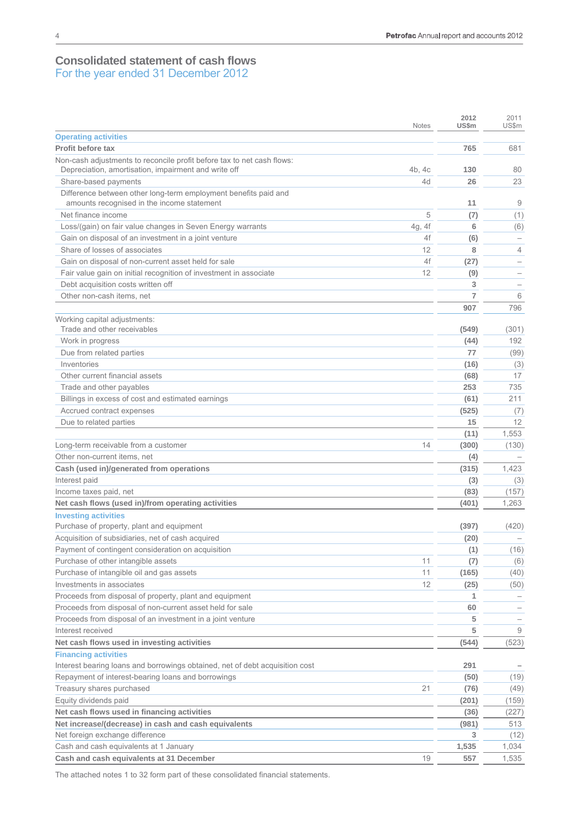# **Consolidated statement of cash flows**  For the year ended 31 December 2012

|                                                                              | <b>Notes</b> | 2012<br>US\$m | 2011<br>US\$m            |
|------------------------------------------------------------------------------|--------------|---------------|--------------------------|
| <b>Operating activities</b>                                                  |              |               |                          |
| Profit before tax                                                            |              | 765           | 681                      |
| Non-cash adjustments to reconcile profit before tax to net cash flows:       |              |               |                          |
| Depreciation, amortisation, impairment and write off                         | 4b, 4c       | 130           | 80                       |
| Share-based payments                                                         | 4d           | 26            | 23                       |
| Difference between other long-term employment benefits paid and              |              |               |                          |
| amounts recognised in the income statement                                   |              | 11            | 9                        |
| Net finance income                                                           | 5            | (7)           | (1)                      |
| Loss/(gain) on fair value changes in Seven Energy warrants                   | 4g, 4f       | 6             | (6)                      |
| Gain on disposal of an investment in a joint venture                         | 4f           | (6)           | $\overline{\phantom{m}}$ |
| Share of losses of associates                                                | 12           | 8             | 4                        |
| Gain on disposal of non-current asset held for sale                          | 4f           | (27)          | $\overline{\phantom{0}}$ |
| Fair value gain on initial recognition of investment in associate            | 12           | (9)           | $\overline{\phantom{0}}$ |
| Debt acquisition costs written off                                           |              | 3             | $\overline{\phantom{m}}$ |
| Other non-cash items, net                                                    |              | 7             | 6                        |
|                                                                              |              | 907           | 796                      |
| Working capital adjustments:<br>Trade and other receivables                  |              | (549)         | (301)                    |
| Work in progress                                                             |              | (44)          | 192                      |
| Due from related parties                                                     |              | 77            | (99)                     |
| Inventories                                                                  |              | (16)          | (3)                      |
| Other current financial assets                                               |              | (68)          | 17                       |
| Trade and other payables                                                     |              | 253           | 735                      |
| Billings in excess of cost and estimated earnings                            |              | (61)          | 211                      |
| Accrued contract expenses                                                    |              | (525)         | (7)                      |
| Due to related parties                                                       |              | 15            | 12                       |
|                                                                              |              | (11)          | 1,553                    |
| Long-term receivable from a customer                                         | 14           | (300)         | (130)                    |
| Other non-current items, net                                                 |              | (4)           |                          |
| Cash (used in)/generated from operations                                     |              | (315)         | 1,423                    |
| Interest paid                                                                |              | (3)           | (3)                      |
| Income taxes paid, net                                                       |              | (83)          | (157)                    |
| Net cash flows (used in)/from operating activities                           |              | (401)         | 1,263                    |
| <b>Investing activities</b>                                                  |              |               |                          |
| Purchase of property, plant and equipment                                    |              | (397)         | (420)                    |
| Acquisition of subsidiaries, net of cash acquired                            |              | (20)          |                          |
| Payment of contingent consideration on acquisition                           |              | (1)           | (16)                     |
| Purchase of other intangible assets                                          | 11           | (7)           | (6)                      |
| Purchase of intangible oil and gas assets                                    | 11           | (165)         | (40)                     |
| Investments in associates                                                    | 12           | (25)          | (50)                     |
| Proceeds from disposal of property, plant and equipment                      |              | 1             |                          |
| Proceeds from disposal of non-current asset held for sale                    |              | 60            |                          |
| Proceeds from disposal of an investment in a joint venture                   |              | 5             |                          |
| Interest received                                                            |              | 5             | 9                        |
| Net cash flows used in investing activities                                  |              | (544)         | (523)                    |
| <b>Financing activities</b>                                                  |              |               |                          |
| Interest bearing loans and borrowings obtained, net of debt acquisition cost |              | 291           |                          |
| Repayment of interest-bearing loans and borrowings                           |              | (50)          | (19)                     |
| Treasury shares purchased                                                    | 21           | (76)          | (49)                     |
| Equity dividends paid                                                        |              | (201)         | (159)                    |
| Net cash flows used in financing activities                                  |              | (36)          | (227)                    |
| Net increase/(decrease) in cash and cash equivalents                         |              | (981)         | 513                      |
| Net foreign exchange difference                                              |              | 3             | (12)                     |
| Cash and cash equivalents at 1 January                                       |              | 1,535         | 1,034                    |
| Cash and cash equivalents at 31 December                                     | 19           | 557           | 1,535                    |

The attached notes 1 to 32 form part of these consolidated financial statements.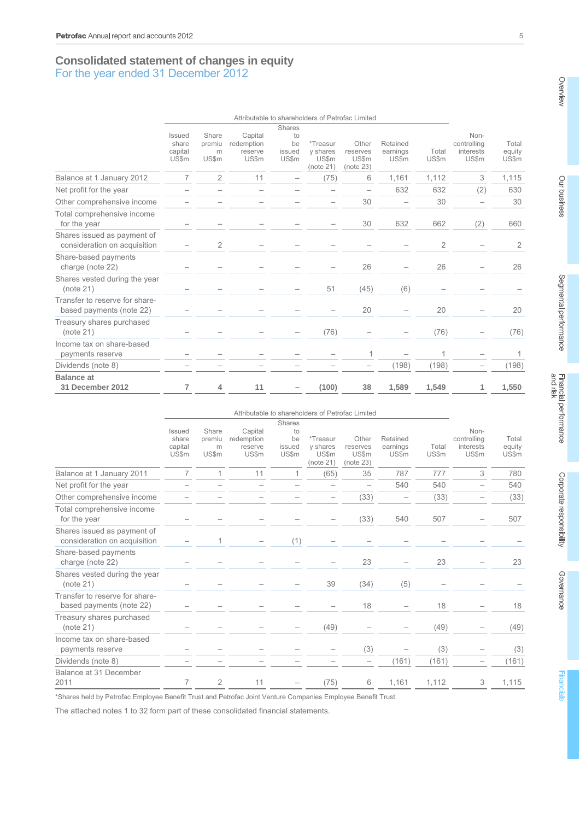# **Consolidated statement of changes in equity**  For the year ended 31 December 2012

|                                                             |                                     | Attributable to shareholders of Petrofac Limited |                                           |                             |                                            |                                                |                               |                |                                           |                          |
|-------------------------------------------------------------|-------------------------------------|--------------------------------------------------|-------------------------------------------|-----------------------------|--------------------------------------------|------------------------------------------------|-------------------------------|----------------|-------------------------------------------|--------------------------|
|                                                             |                                     |                                                  |                                           | Shares                      |                                            |                                                |                               |                |                                           |                          |
|                                                             | Issued<br>share<br>capital<br>US\$m | Share<br>premiu<br>m<br>US\$m                    | Capital<br>redemption<br>reserve<br>US\$m | to<br>be<br>issued<br>US\$m | *Treasur<br>y shares<br>US\$m<br>(note 21) | Other<br>reserves<br><b>US\$m</b><br>(note 23) | Retained<br>earnings<br>US\$m | Total<br>US\$m | Non-<br>controlling<br>interests<br>US\$m | Total<br>equity<br>US\$m |
| Balance at 1 January 2012                                   | 7                                   | $\overline{2}$                                   | 11                                        |                             | (75)                                       | 6                                              | 1,161                         | 1,112          | 3                                         | 1,115                    |
| Net profit for the year                                     |                                     |                                                  |                                           |                             |                                            |                                                | 632                           | 632            | (2)                                       | 630                      |
| Other comprehensive income                                  |                                     |                                                  |                                           |                             |                                            | 30                                             |                               | 30             |                                           | 30                       |
| Total comprehensive income<br>for the year                  |                                     |                                                  |                                           |                             |                                            | 30                                             | 632                           | 662            | (2)                                       | 660                      |
| Shares issued as payment of<br>consideration on acquisition |                                     | 2                                                |                                           |                             |                                            |                                                |                               | 2              |                                           | $\overline{2}$           |
| Share-based payments<br>charge (note 22)                    |                                     |                                                  |                                           |                             |                                            | 26                                             |                               | 26             |                                           | 26                       |
| Shares vested during the year<br>(note 21)                  |                                     |                                                  |                                           |                             | 51                                         | (45)                                           | (6)                           |                |                                           |                          |
| Transfer to reserve for share-<br>based payments (note 22)  |                                     |                                                  |                                           |                             |                                            | 20                                             |                               | 20             |                                           | 20                       |
| Treasury shares purchased<br>(note 21)                      |                                     |                                                  |                                           |                             | (76)                                       |                                                |                               | (76)           |                                           | (76)                     |
| Income tax on share-based<br>payments reserve               |                                     |                                                  |                                           |                             |                                            | 1                                              |                               |                |                                           | 1                        |
| Dividends (note 8)                                          |                                     |                                                  |                                           |                             |                                            |                                                | (198)                         | (198)          |                                           | (198)                    |
| <b>Balance at</b><br>31 December 2012                       | 7                                   | 4                                                | 11                                        |                             | (100)                                      | 38                                             | 1,589                         | 1,549          |                                           | 1,550                    |

|                                                             |                                                   |                                      |                                           |                                       |                                                   | Attributable to shareholders of Petrofac Limited |                               |                |                                           |                          |
|-------------------------------------------------------------|---------------------------------------------------|--------------------------------------|-------------------------------------------|---------------------------------------|---------------------------------------------------|--------------------------------------------------|-------------------------------|----------------|-------------------------------------------|--------------------------|
|                                                             | <b>Issued</b><br>share<br>capital<br><b>US\$m</b> | Share<br>premiu<br>m<br><b>US\$m</b> | Capital<br>redemption<br>reserve<br>US\$m | Shares<br>to<br>be<br>issued<br>US\$m | *Treasur<br>y shares<br><b>US\$m</b><br>(note 21) | Other<br>reserves<br>US\$m<br>(note 23)          | Retained<br>earnings<br>US\$m | Total<br>US\$m | Non-<br>controlling<br>interests<br>US\$m | Total<br>equity<br>US\$m |
| Balance at 1 January 2011                                   | 7                                                 |                                      | 11                                        |                                       | (65)                                              | 35                                               | 787                           | 777            | 3                                         | 780                      |
| Net profit for the year                                     |                                                   |                                      |                                           |                                       |                                                   |                                                  | 540                           | 540            |                                           | 540                      |
| Other comprehensive income                                  |                                                   |                                      |                                           |                                       |                                                   | (33)                                             | $\overline{\phantom{m}}$      | (33)           |                                           | (33)                     |
| Total comprehensive income<br>for the year                  |                                                   |                                      |                                           |                                       |                                                   | (33)                                             | 540                           | 507            |                                           | 507                      |
| Shares issued as payment of<br>consideration on acquisition |                                                   |                                      |                                           | (1)                                   |                                                   |                                                  |                               |                |                                           |                          |
| Share-based payments<br>charge (note 22)                    |                                                   |                                      |                                           |                                       |                                                   | 23                                               |                               | 23             |                                           | 23                       |
| Shares vested during the year<br>(note 21)                  |                                                   |                                      |                                           |                                       | 39                                                | (34)                                             | (5)                           |                |                                           |                          |
| Transfer to reserve for share-<br>based payments (note 22)  |                                                   |                                      |                                           |                                       |                                                   | 18                                               |                               | 18             |                                           | 18                       |
| Treasury shares purchased<br>(note 21)                      |                                                   |                                      |                                           |                                       | (49)                                              |                                                  |                               | (49)           |                                           | (49)                     |
| Income tax on share-based<br>payments reserve               |                                                   |                                      |                                           |                                       |                                                   | (3)                                              |                               | (3)            |                                           | (3)                      |
| Dividends (note 8)                                          |                                                   |                                      |                                           |                                       |                                                   | $\overline{\phantom{0}}$                         | (161)                         | (161)          |                                           | (161)                    |
| Balance at 31 December<br>2011                              | 7                                                 | $\overline{2}$                       | 11                                        |                                       | (75)                                              | 6                                                | 1,161                         | 1,112          | 3                                         | 1,115                    |

\*Shares held by Petrofac Employee Benefit Trust and Petrofac Joint Venture Companies Employee Benefit Trust.

The attached notes 1 to 32 form part of these consolidated financial statements.

Overview

Our business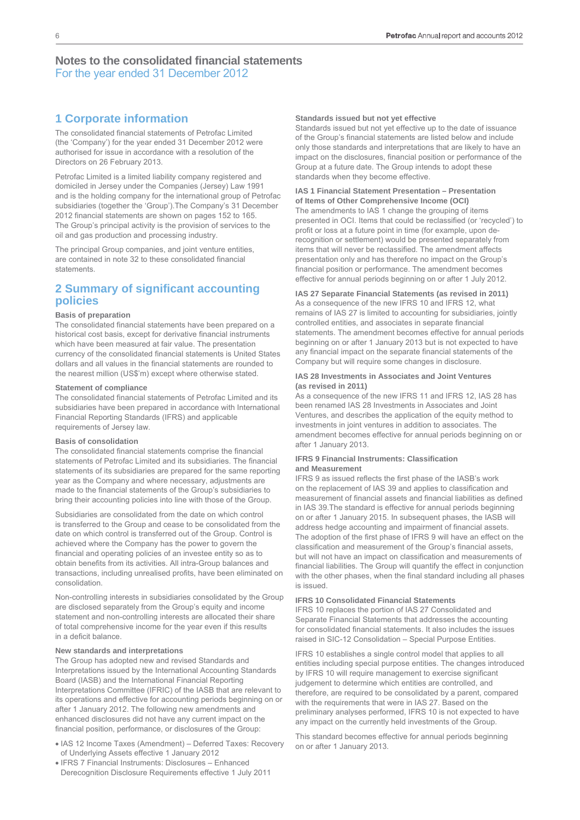# **1 Corporate information**

The consolidated financial statements of Petrofac Limited (the 'Company') for the year ended 31 December 2012 were authorised for issue in accordance with a resolution of the Directors on 26 February 2013.

Petrofac Limited is a limited liability company registered and domiciled in Jersey under the Companies (Jersey) Law 1991 and is the holding company for the international group of Petrofac subsidiaries (together the 'Group').The Company's 31 December 2012 financial statements are shown on pages 152 to 165. The Group's principal activity is the provision of services to the oil and gas production and processing industry.

The principal Group companies, and joint venture entities, are contained in note 32 to these consolidated financial statements.

## **2 Summary of significant accounting policies**

#### **Basis of preparation**

The consolidated financial statements have been prepared on a historical cost basis, except for derivative financial instruments which have been measured at fair value. The presentation currency of the consolidated financial statements is United States dollars and all values in the financial statements are rounded to the nearest million (US\$'m) except where otherwise stated.

#### **Statement of compliance**

The consolidated financial statements of Petrofac Limited and its subsidiaries have been prepared in accordance with International Financial Reporting Standards (IFRS) and applicable requirements of Jersey law.

#### **Basis of consolidation**

The consolidated financial statements comprise the financial statements of Petrofac Limited and its subsidiaries. The financial statements of its subsidiaries are prepared for the same reporting year as the Company and where necessary, adjustments are made to the financial statements of the Group's subsidiaries to bring their accounting policies into line with those of the Group.

Subsidiaries are consolidated from the date on which control is transferred to the Group and cease to be consolidated from the date on which control is transferred out of the Group. Control is achieved where the Company has the power to govern the financial and operating policies of an investee entity so as to obtain benefits from its activities. All intra-Group balances and transactions, including unrealised profits, have been eliminated on consolidation.

Non-controlling interests in subsidiaries consolidated by the Group are disclosed separately from the Group's equity and income statement and non-controlling interests are allocated their share of total comprehensive income for the year even if this results in a deficit balance.

#### **New standards and interpretations**

The Group has adopted new and revised Standards and Interpretations issued by the International Accounting Standards Board (IASB) and the International Financial Reporting Interpretations Committee (IFRIC) of the IASB that are relevant to its operations and effective for accounting periods beginning on or after 1 January 2012. The following new amendments and enhanced disclosures did not have any current impact on the financial position, performance, or disclosures of the Group:

- IAS 12 Income Taxes (Amendment) Deferred Taxes: Recovery of Underlying Assets effective 1 January 2012
- IFRS 7 Financial Instruments: Disclosures Enhanced Derecognition Disclosure Requirements effective 1 July 2011

#### **Standards issued but not yet effective**

Standards issued but not yet effective up to the date of issuance of the Group's financial statements are listed below and include only those standards and interpretations that are likely to have an impact on the disclosures, financial position or performance of the Group at a future date. The Group intends to adopt these standards when they become effective.

#### **IAS 1 Financial Statement Presentation – Presentation of Items of Other Comprehensive Income (OCI)**

The amendments to IAS 1 change the grouping of items presented in OCI. Items that could be reclassified (or 'recycled') to profit or loss at a future point in time (for example, upon derecognition or settlement) would be presented separately from items that will never be reclassified. The amendment affects presentation only and has therefore no impact on the Group's financial position or performance. The amendment becomes effective for annual periods beginning on or after 1 July 2012.

#### **IAS 27 Separate Financial Statements (as revised in 2011)**

As a consequence of the new IFRS 10 and IFRS 12, what remains of IAS 27 is limited to accounting for subsidiaries, jointly controlled entities, and associates in separate financial statements. The amendment becomes effective for annual periods beginning on or after 1 January 2013 but is not expected to have any financial impact on the separate financial statements of the Company but will require some changes in disclosure.

#### **IAS 28 Investments in Associates and Joint Ventures (as revised in 2011)**

As a consequence of the new IFRS 11 and IFRS 12, IAS 28 has been renamed IAS 28 Investments in Associates and Joint Ventures, and describes the application of the equity method to investments in joint ventures in addition to associates. The amendment becomes effective for annual periods beginning on or after 1 January 2013.

#### **IFRS 9 Financial Instruments: Classification and Measurement**

IFRS 9 as issued reflects the first phase of the IASB's work on the replacement of IAS 39 and applies to classification and measurement of financial assets and financial liabilities as defined in IAS 39.The standard is effective for annual periods beginning on or after 1 January 2015. In subsequent phases, the IASB will address hedge accounting and impairment of financial assets. The adoption of the first phase of IFRS 9 will have an effect on the classification and measurement of the Group's financial assets, but will not have an impact on classification and measurements of financial liabilities. The Group will quantify the effect in conjunction with the other phases, when the final standard including all phases is issued.

#### **IFRS 10 Consolidated Financial Statements**

IFRS 10 replaces the portion of IAS 27 Consolidated and Separate Financial Statements that addresses the accounting for consolidated financial statements. It also includes the issues raised in SIC-12 Consolidation – Special Purpose Entities.

IFRS 10 establishes a single control model that applies to all entities including special purpose entities. The changes introduced by IFRS 10 will require management to exercise significant judgement to determine which entities are controlled, and therefore, are required to be consolidated by a parent, compared with the requirements that were in IAS 27. Based on the preliminary analyses performed, IFRS 10 is not expected to have any impact on the currently held investments of the Group.

This standard becomes effective for annual periods beginning on or after 1 January 2013.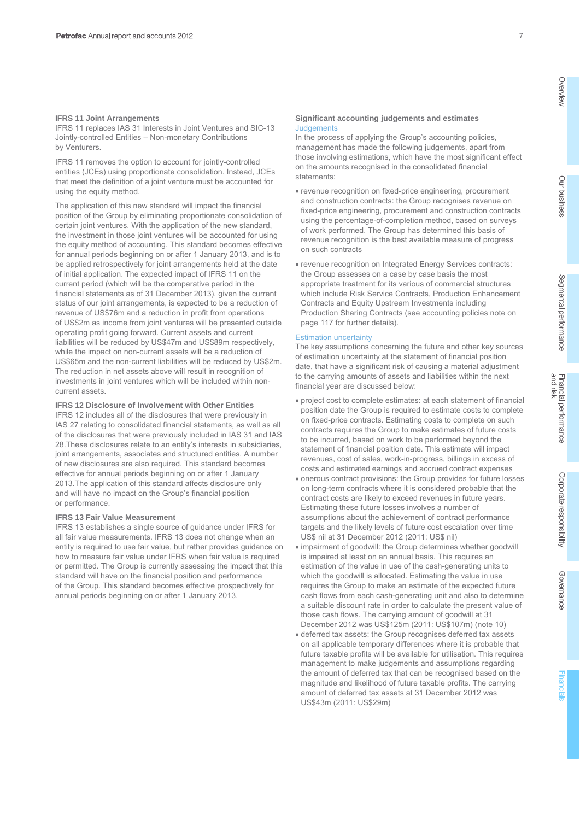#### **IFRS 11 Joint Arrangements**

IFRS 11 replaces IAS 31 Interests in Joint Ventures and SIC-13 Jointly-controlled Entities – Non-monetary Contributions by Venturers.

IFRS 11 removes the option to account for jointly-controlled entities (JCEs) using proportionate consolidation. Instead, JCEs that meet the definition of a joint venture must be accounted for using the equity method.

The application of this new standard will impact the financial position of the Group by eliminating proportionate consolidation of certain joint ventures. With the application of the new standard, the investment in those joint ventures will be accounted for using the equity method of accounting. This standard becomes effective for annual periods beginning on or after 1 January 2013, and is to be applied retrospectively for joint arrangements held at the date of initial application. The expected impact of IFRS 11 on the current period (which will be the comparative period in the financial statements as of 31 December 2013), given the current status of our joint arrangements, is expected to be a reduction of revenue of US\$76m and a reduction in profit from operations of US\$2m as income from joint ventures will be presented outside operating profit going forward. Current assets and current liabilities will be reduced by US\$47m and US\$89m respectively, while the impact on non-current assets will be a reduction of US\$65m and the non-current liabilities will be reduced by US\$2m. The reduction in net assets above will result in recognition of investments in joint ventures which will be included within noncurrent assets.

#### **IFRS 12 Disclosure of Involvement with Other Entities**

IFRS 12 includes all of the disclosures that were previously in IAS 27 relating to consolidated financial statements, as well as all of the disclosures that were previously included in IAS 31 and IAS 28.These disclosures relate to an entity's interests in subsidiaries, joint arrangements, associates and structured entities. A number of new disclosures are also required. This standard becomes effective for annual periods beginning on or after 1 January 2013.The application of this standard affects disclosure only and will have no impact on the Group's financial position or performance.

#### **IFRS 13 Fair Value Measurement**

IFRS 13 establishes a single source of guidance under IFRS for all fair value measurements. IFRS 13 does not change when an entity is required to use fair value, but rather provides guidance on how to measure fair value under IFRS when fair value is required or permitted. The Group is currently assessing the impact that this standard will have on the financial position and performance of the Group. This standard becomes effective prospectively for annual periods beginning on or after 1 January 2013.

#### **Significant accounting judgements and estimates Judgements**

In the process of applying the Group's accounting policies, management has made the following judgements, apart from those involving estimations, which have the most significant effect on the amounts recognised in the consolidated financial statements:

- revenue recognition on fixed-price engineering, procurement and construction contracts: the Group recognises revenue on fixed-price engineering, procurement and construction contracts using the percentage-of-completion method, based on surveys of work performed. The Group has determined this basis of revenue recognition is the best available measure of progress on such contracts
- revenue recognition on Integrated Energy Services contracts: the Group assesses on a case by case basis the most appropriate treatment for its various of commercial structures which include Risk Service Contracts, Production Enhancement Contracts and Equity Upstream Investments including Production Sharing Contracts (see accounting policies note on page 117 for further details).

#### Estimation uncertainty

The key assumptions concerning the future and other key sources of estimation uncertainty at the statement of financial position date, that have a significant risk of causing a material adjustment to the carrying amounts of assets and liabilities within the next financial year are discussed below:

- project cost to complete estimates: at each statement of financial position date the Group is required to estimate costs to complete on fixed-price contracts. Estimating costs to complete on such contracts requires the Group to make estimates of future costs to be incurred, based on work to be performed beyond the statement of financial position date. This estimate will impact revenues, cost of sales, work-in-progress, billings in excess of costs and estimated earnings and accrued contract expenses
- onerous contract provisions: the Group provides for future losses on long-term contracts where it is considered probable that the contract costs are likely to exceed revenues in future years. Estimating these future losses involves a number of assumptions about the achievement of contract performance targets and the likely levels of future cost escalation over time US\$ nil at 31 December 2012 (2011: US\$ nil)
- impairment of goodwill: the Group determines whether goodwill is impaired at least on an annual basis. This requires an estimation of the value in use of the cash-generating units to which the goodwill is allocated. Estimating the value in use requires the Group to make an estimate of the expected future cash flows from each cash-generating unit and also to determine a suitable discount rate in order to calculate the present value of those cash flows. The carrying amount of goodwill at 31 December 2012 was US\$125m (2011: US\$107m) (note 10)
- deferred tax assets: the Group recognises deferred tax assets on all applicable temporary differences where it is probable that future taxable profits will be available for utilisation. This requires management to make judgements and assumptions regarding the amount of deferred tax that can be recognised based on the magnitude and likelihood of future taxable profits. The carrying amount of deferred tax assets at 31 December 2012 was US\$43m (2011: US\$29m)

Our business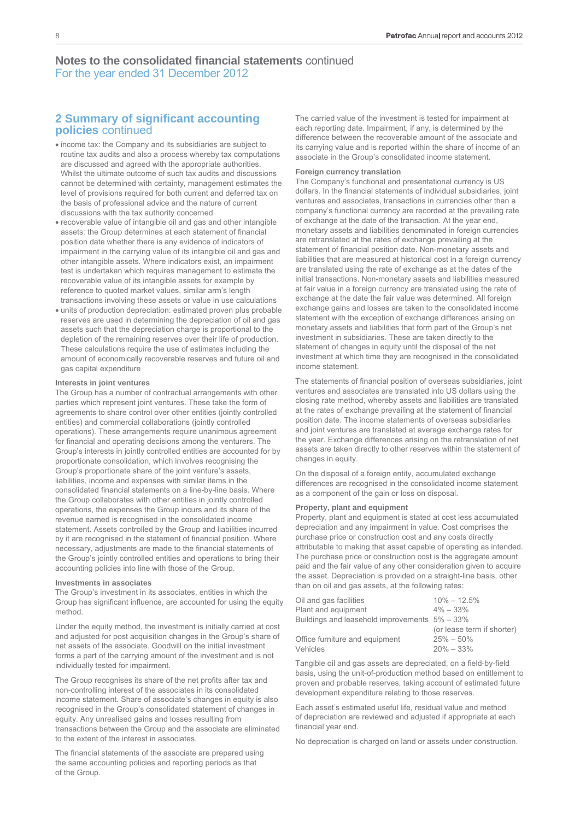## **2 Summary of significant accounting policies** continued

- income tax: the Company and its subsidiaries are subject to routine tax audits and also a process whereby tax computations are discussed and agreed with the appropriate authorities. Whilst the ultimate outcome of such tax audits and discussions cannot be determined with certainty, management estimates the level of provisions required for both current and deferred tax on the basis of professional advice and the nature of current discussions with the tax authority concerned
- recoverable value of intangible oil and gas and other intangible assets: the Group determines at each statement of financial position date whether there is any evidence of indicators of impairment in the carrying value of its intangible oil and gas and other intangible assets. Where indicators exist, an impairment test is undertaken which requires management to estimate the recoverable value of its intangible assets for example by reference to quoted market values, similar arm's length transactions involving these assets or value in use calculations
- units of production depreciation: estimated proven plus probable reserves are used in determining the depreciation of oil and gas assets such that the depreciation charge is proportional to the depletion of the remaining reserves over their life of production. These calculations require the use of estimates including the amount of economically recoverable reserves and future oil and gas capital expenditure

#### **Interests in joint ventures**

The Group has a number of contractual arrangements with other parties which represent joint ventures. These take the form of agreements to share control over other entities (jointly controlled entities) and commercial collaborations (jointly controlled operations). These arrangements require unanimous agreement for financial and operating decisions among the venturers. The Group's interests in jointly controlled entities are accounted for by proportionate consolidation, which involves recognising the Group's proportionate share of the joint venture's assets, liabilities, income and expenses with similar items in the consolidated financial statements on a line-by-line basis. Where the Group collaborates with other entities in jointly controlled operations, the expenses the Group incurs and its share of the revenue earned is recognised in the consolidated income statement. Assets controlled by the Group and liabilities incurred by it are recognised in the statement of financial position. Where necessary, adjustments are made to the financial statements of the Group's jointly controlled entities and operations to bring their accounting policies into line with those of the Group.

#### **Investments in associates**

The Group's investment in its associates, entities in which the Group has significant influence, are accounted for using the equity method.

Under the equity method, the investment is initially carried at cost and adjusted for post acquisition changes in the Group's share of net assets of the associate. Goodwill on the initial investment forms a part of the carrying amount of the investment and is not individually tested for impairment.

The Group recognises its share of the net profits after tax and non-controlling interest of the associates in its consolidated income statement. Share of associate's changes in equity is also recognised in the Group's consolidated statement of changes in equity. Any unrealised gains and losses resulting from transactions between the Group and the associate are eliminated to the extent of the interest in associates.

The financial statements of the associate are prepared using the same accounting policies and reporting periods as that of the Group.

The carried value of the investment is tested for impairment at each reporting date. Impairment, if any, is determined by the difference between the recoverable amount of the associate and its carrying value and is reported within the share of income of an associate in the Group's consolidated income statement.

#### **Foreign currency translation**

The Company's functional and presentational currency is US dollars. In the financial statements of individual subsidiaries, joint ventures and associates, transactions in currencies other than a company's functional currency are recorded at the prevailing rate of exchange at the date of the transaction. At the year end, monetary assets and liabilities denominated in foreign currencies are retranslated at the rates of exchange prevailing at the statement of financial position date. Non-monetary assets and liabilities that are measured at historical cost in a foreign currency are translated using the rate of exchange as at the dates of the initial transactions. Non-monetary assets and liabilities measured at fair value in a foreign currency are translated using the rate of exchange at the date the fair value was determined. All foreign exchange gains and losses are taken to the consolidated income statement with the exception of exchange differences arising on monetary assets and liabilities that form part of the Group's net investment in subsidiaries. These are taken directly to the statement of changes in equity until the disposal of the net investment at which time they are recognised in the consolidated income statement.

The statements of financial position of overseas subsidiaries, joint ventures and associates are translated into US dollars using the closing rate method, whereby assets and liabilities are translated at the rates of exchange prevailing at the statement of financial position date. The income statements of overseas subsidiaries and joint ventures are translated at average exchange rates for the year. Exchange differences arising on the retranslation of net assets are taken directly to other reserves within the statement of changes in equity.

On the disposal of a foreign entity, accumulated exchange differences are recognised in the consolidated income statement as a component of the gain or loss on disposal.

#### **Property, plant and equipment**

Property, plant and equipment is stated at cost less accumulated depreciation and any impairment in value. Cost comprises the purchase price or construction cost and any costs directly attributable to making that asset capable of operating as intended. The purchase price or construction cost is the aggregate amount paid and the fair value of any other consideration given to acquire the asset. Depreciation is provided on a straight-line basis, other than on oil and gas assets, at the following rates:

| Oil and gas facilities                            | $10\% - 12.5\%$            |
|---------------------------------------------------|----------------------------|
| Plant and equipment                               | $4\% - 33\%$               |
| Buildings and leasehold improvements $5\% - 33\%$ |                            |
|                                                   | (or lease term if shorter) |
| Office furniture and equipment                    | $25\% - 50\%$              |
| Vehicles                                          | $20\% - 33\%$              |

Tangible oil and gas assets are depreciated, on a field-by-field basis, using the unit-of-production method based on entitlement to proven and probable reserves, taking account of estimated future development expenditure relating to those reserves.

Each asset's estimated useful life, residual value and method of depreciation are reviewed and adjusted if appropriate at each financial year end.

No depreciation is charged on land or assets under construction.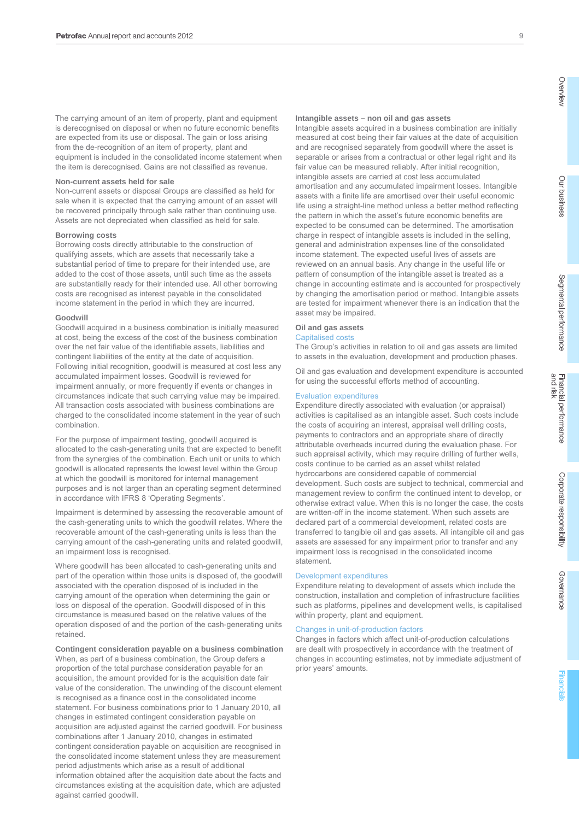The carrying amount of an item of property, plant and equipment is derecognised on disposal or when no future economic benefits are expected from its use or disposal. The gain or loss arising from the de-recognition of an item of property, plant and equipment is included in the consolidated income statement when the item is derecognised. Gains are not classified as revenue.

#### **Non-current assets held for sale**

Non-current assets or disposal Groups are classified as held for sale when it is expected that the carrying amount of an asset will be recovered principally through sale rather than continuing use. Assets are not depreciated when classified as held for sale.

#### **Borrowing costs**

Borrowing costs directly attributable to the construction of qualifying assets, which are assets that necessarily take a substantial period of time to prepare for their intended use, are added to the cost of those assets, until such time as the assets are substantially ready for their intended use. All other borrowing costs are recognised as interest payable in the consolidated income statement in the period in which they are incurred.

#### **Goodwill**

Goodwill acquired in a business combination is initially measured at cost, being the excess of the cost of the business combination over the net fair value of the identifiable assets, liabilities and contingent liabilities of the entity at the date of acquisition. Following initial recognition, goodwill is measured at cost less any accumulated impairment losses. Goodwill is reviewed for impairment annually, or more frequently if events or changes in circumstances indicate that such carrying value may be impaired. All transaction costs associated with business combinations are charged to the consolidated income statement in the year of such combination.

For the purpose of impairment testing, goodwill acquired is allocated to the cash-generating units that are expected to benefit from the synergies of the combination. Each unit or units to which goodwill is allocated represents the lowest level within the Group at which the goodwill is monitored for internal management purposes and is not larger than an operating segment determined in accordance with IFRS 8 'Operating Segments'.

Impairment is determined by assessing the recoverable amount of the cash-generating units to which the goodwill relates. Where the recoverable amount of the cash-generating units is less than the carrying amount of the cash-generating units and related goodwill, an impairment loss is recognised.

Where goodwill has been allocated to cash-generating units and part of the operation within those units is disposed of, the goodwill associated with the operation disposed of is included in the carrying amount of the operation when determining the gain or loss on disposal of the operation. Goodwill disposed of in this circumstance is measured based on the relative values of the operation disposed of and the portion of the cash-generating units retained.

#### **Contingent consideration payable on a business combination**

When, as part of a business combination, the Group defers a proportion of the total purchase consideration payable for an acquisition, the amount provided for is the acquisition date fair value of the consideration. The unwinding of the discount element is recognised as a finance cost in the consolidated income statement. For business combinations prior to 1 January 2010, all changes in estimated contingent consideration payable on acquisition are adjusted against the carried goodwill. For business combinations after 1 January 2010, changes in estimated contingent consideration payable on acquisition are recognised in the consolidated income statement unless they are measurement period adjustments which arise as a result of additional information obtained after the acquisition date about the facts and circumstances existing at the acquisition date, which are adjusted against carried goodwill.

#### **Intangible assets – non oil and gas assets**

Intangible assets acquired in a business combination are initially measured at cost being their fair values at the date of acquisition and are recognised separately from goodwill where the asset is separable or arises from a contractual or other legal right and its fair value can be measured reliably. After initial recognition, intangible assets are carried at cost less accumulated amortisation and any accumulated impairment losses. Intangible assets with a finite life are amortised over their useful economic life using a straight-line method unless a better method reflecting the pattern in which the asset's future economic benefits are expected to be consumed can be determined. The amortisation charge in respect of intangible assets is included in the selling, general and administration expenses line of the consolidated income statement. The expected useful lives of assets are reviewed on an annual basis. Any change in the useful life or pattern of consumption of the intangible asset is treated as a change in accounting estimate and is accounted for prospectively by changing the amortisation period or method. Intangible assets are tested for impairment whenever there is an indication that the asset may be impaired.

#### **Oil and gas assets**

#### Capitalised costs

The Group's activities in relation to oil and gas assets are limited to assets in the evaluation, development and production phases.

Oil and gas evaluation and development expenditure is accounted for using the successful efforts method of accounting.

#### Evaluation expenditures

Expenditure directly associated with evaluation (or appraisal) activities is capitalised as an intangible asset. Such costs include the costs of acquiring an interest, appraisal well drilling costs, payments to contractors and an appropriate share of directly attributable overheads incurred during the evaluation phase. For such appraisal activity, which may require drilling of further wells, costs continue to be carried as an asset whilst related hydrocarbons are considered capable of commercial development. Such costs are subject to technical, commercial and management review to confirm the continued intent to develop, or otherwise extract value. When this is no longer the case, the costs are written-off in the income statement. When such assets are declared part of a commercial development, related costs are transferred to tangible oil and gas assets. All intangible oil and gas assets are assessed for any impairment prior to transfer and any impairment loss is recognised in the consolidated income statement.

#### Development expenditures

Expenditure relating to development of assets which include the construction, installation and completion of infrastructure facilities such as platforms, pipelines and development wells, is capitalised within property, plant and equipment.

#### Changes in unit-of-production factors

Changes in factors which affect unit-of-production calculations are dealt with prospectively in accordance with the treatment of changes in accounting estimates, not by immediate adjustment of prior years' amounts.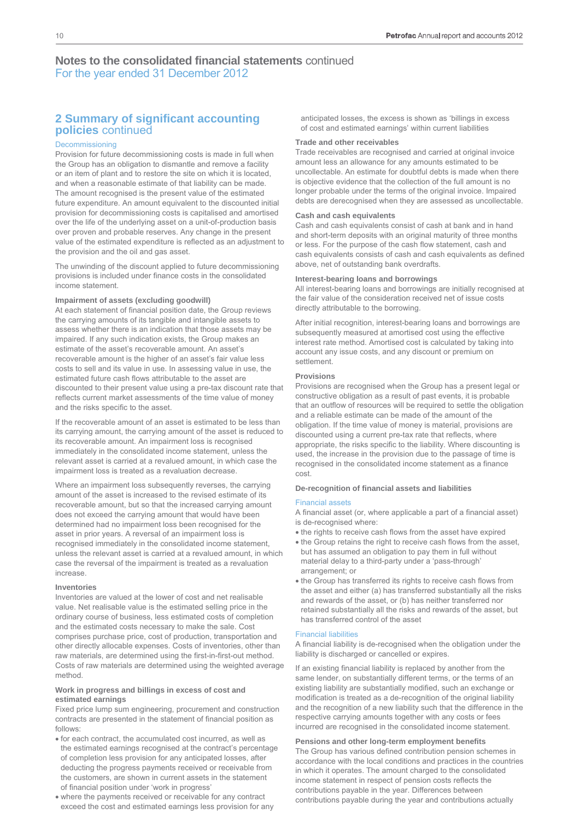# **2 Summary of significant accounting policies** continued

#### Decommissioning

Provision for future decommissioning costs is made in full when the Group has an obligation to dismantle and remove a facility or an item of plant and to restore the site on which it is located, and when a reasonable estimate of that liability can be made. The amount recognised is the present value of the estimated future expenditure. An amount equivalent to the discounted initial provision for decommissioning costs is capitalised and amortised over the life of the underlying asset on a unit-of-production basis over proven and probable reserves. Any change in the present value of the estimated expenditure is reflected as an adjustment to the provision and the oil and gas asset.

The unwinding of the discount applied to future decommissioning provisions is included under finance costs in the consolidated income statement.

#### **Impairment of assets (excluding goodwill)**

At each statement of financial position date, the Group reviews the carrying amounts of its tangible and intangible assets to assess whether there is an indication that those assets may be impaired. If any such indication exists, the Group makes an estimate of the asset's recoverable amount. An asset's recoverable amount is the higher of an asset's fair value less costs to sell and its value in use. In assessing value in use, the estimated future cash flows attributable to the asset are discounted to their present value using a pre-tax discount rate that reflects current market assessments of the time value of money and the risks specific to the asset.

If the recoverable amount of an asset is estimated to be less than its carrying amount, the carrying amount of the asset is reduced to its recoverable amount. An impairment loss is recognised immediately in the consolidated income statement, unless the relevant asset is carried at a revalued amount, in which case the impairment loss is treated as a revaluation decrease.

Where an impairment loss subsequently reverses, the carrying amount of the asset is increased to the revised estimate of its recoverable amount, but so that the increased carrying amount does not exceed the carrying amount that would have been determined had no impairment loss been recognised for the asset in prior years. A reversal of an impairment loss is recognised immediately in the consolidated income statement, unless the relevant asset is carried at a revalued amount, in which case the reversal of the impairment is treated as a revaluation increase.

#### **Inventories**

Inventories are valued at the lower of cost and net realisable value. Net realisable value is the estimated selling price in the ordinary course of business, less estimated costs of completion and the estimated costs necessary to make the sale. Cost comprises purchase price, cost of production, transportation and other directly allocable expenses. Costs of inventories, other than raw materials, are determined using the first-in-first-out method. Costs of raw materials are determined using the weighted average method.

#### **Work in progress and billings in excess of cost and estimated earnings**

Fixed price lump sum engineering, procurement and construction contracts are presented in the statement of financial position as follows:

- for each contract, the accumulated cost incurred, as well as the estimated earnings recognised at the contract's percentage of completion less provision for any anticipated losses, after deducting the progress payments received or receivable from the customers, are shown in current assets in the statement of financial position under 'work in progress'
- where the payments received or receivable for any contract exceed the cost and estimated earnings less provision for any

anticipated losses, the excess is shown as 'billings in excess of cost and estimated earnings' within current liabilities

#### **Trade and other receivables**

Trade receivables are recognised and carried at original invoice amount less an allowance for any amounts estimated to be uncollectable. An estimate for doubtful debts is made when there is objective evidence that the collection of the full amount is no longer probable under the terms of the original invoice. Impaired debts are derecognised when they are assessed as uncollectable.

#### **Cash and cash equivalents**

Cash and cash equivalents consist of cash at bank and in hand and short-term deposits with an original maturity of three months or less. For the purpose of the cash flow statement, cash and cash equivalents consists of cash and cash equivalents as defined above, net of outstanding bank overdrafts.

#### **Interest-bearing loans and borrowings**

All interest-bearing loans and borrowings are initially recognised at the fair value of the consideration received net of issue costs directly attributable to the borrowing.

After initial recognition, interest-bearing loans and borrowings are subsequently measured at amortised cost using the effective interest rate method. Amortised cost is calculated by taking into account any issue costs, and any discount or premium on settlement.

#### **Provisions**

Provisions are recognised when the Group has a present legal or constructive obligation as a result of past events, it is probable that an outflow of resources will be required to settle the obligation and a reliable estimate can be made of the amount of the obligation. If the time value of money is material, provisions are discounted using a current pre-tax rate that reflects, where appropriate, the risks specific to the liability. Where discounting is used, the increase in the provision due to the passage of time is recognised in the consolidated income statement as a finance cost.

#### **De-recognition of financial assets and liabilities**

#### Financial assets

A financial asset (or, where applicable a part of a financial asset) is de-recognised where:

- the rights to receive cash flows from the asset have expired
- the Group retains the right to receive cash flows from the asset, but has assumed an obligation to pay them in full without material delay to a third-party under a 'pass-through' arrangement; or
- the Group has transferred its rights to receive cash flows from the asset and either (a) has transferred substantially all the risks and rewards of the asset, or (b) has neither transferred nor retained substantially all the risks and rewards of the asset, but has transferred control of the asset

#### Financial liabilities

A financial liability is de-recognised when the obligation under the liability is discharged or cancelled or expires.

If an existing financial liability is replaced by another from the same lender, on substantially different terms, or the terms of an existing liability are substantially modified, such an exchange or modification is treated as a de-recognition of the original liability and the recognition of a new liability such that the difference in the respective carrying amounts together with any costs or fees incurred are recognised in the consolidated income statement.

#### **Pensions and other long-term employment benefits**

The Group has various defined contribution pension schemes in accordance with the local conditions and practices in the countries in which it operates. The amount charged to the consolidated income statement in respect of pension costs reflects the contributions payable in the year. Differences between contributions payable during the year and contributions actually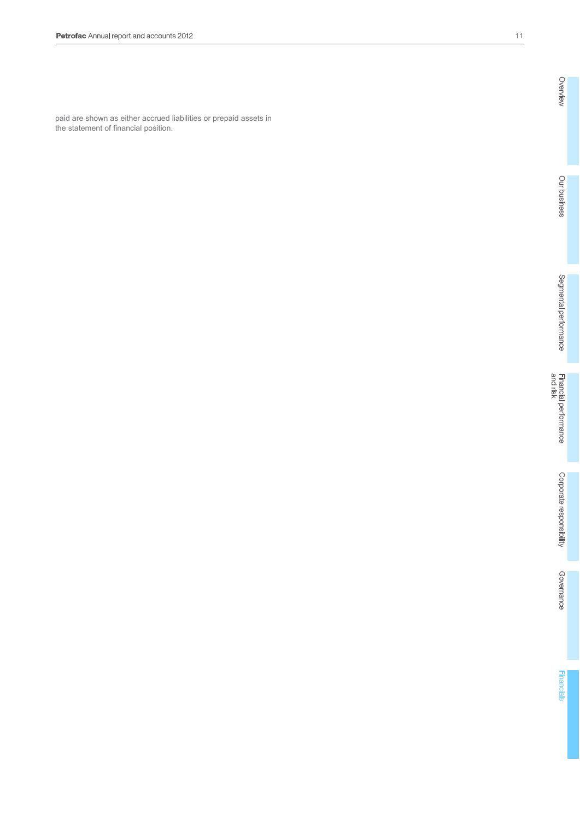paid are shown as either accrued liabilities or prepaid assets in the statement of financial position.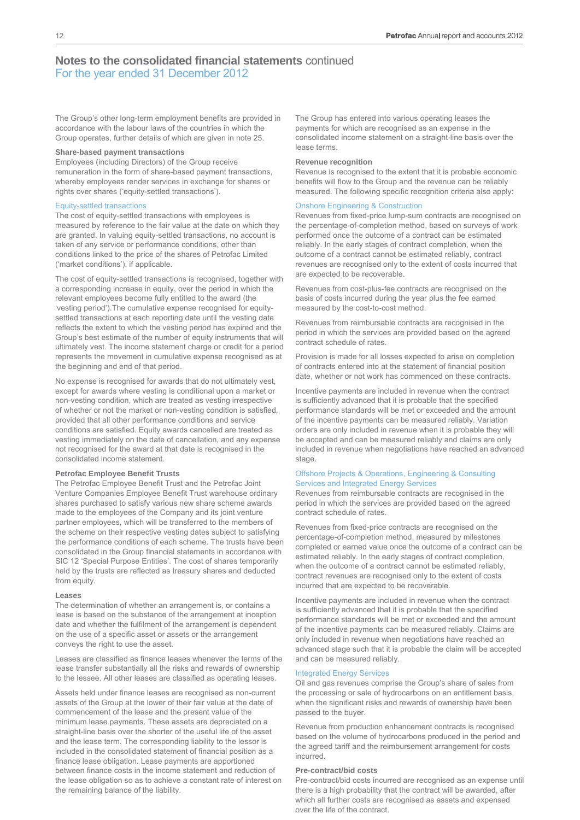The Group's other long-term employment benefits are provided in accordance with the labour laws of the countries in which the Group operates, further details of which are given in note 25.

#### **Share-based payment transactions**

Employees (including Directors) of the Group receive remuneration in the form of share-based payment transactions, whereby employees render services in exchange for shares or rights over shares ('equity-settled transactions').

#### Equity-settled transactions

The cost of equity-settled transactions with employees is measured by reference to the fair value at the date on which they are granted. In valuing equity-settled transactions, no account is taken of any service or performance conditions, other than conditions linked to the price of the shares of Petrofac Limited ('market conditions'), if applicable.

The cost of equity-settled transactions is recognised, together with a corresponding increase in equity, over the period in which the relevant employees become fully entitled to the award (the 'vesting period').The cumulative expense recognised for equitysettled transactions at each reporting date until the vesting date reflects the extent to which the vesting period has expired and the Group's best estimate of the number of equity instruments that will ultimately vest. The income statement charge or credit for a period represents the movement in cumulative expense recognised as at the beginning and end of that period.

No expense is recognised for awards that do not ultimately vest, except for awards where vesting is conditional upon a market or non-vesting condition, which are treated as vesting irrespective of whether or not the market or non-vesting condition is satisfied, provided that all other performance conditions and service conditions are satisfied. Equity awards cancelled are treated as vesting immediately on the date of cancellation, and any expense not recognised for the award at that date is recognised in the consolidated income statement.

#### **Petrofac Employee Benefit Trusts**

The Petrofac Employee Benefit Trust and the Petrofac Joint Venture Companies Employee Benefit Trust warehouse ordinary shares purchased to satisfy various new share scheme awards made to the employees of the Company and its joint venture partner employees, which will be transferred to the members of the scheme on their respective vesting dates subject to satisfying the performance conditions of each scheme. The trusts have been consolidated in the Group financial statements in accordance with SIC 12 'Special Purpose Entities'. The cost of shares temporarily held by the trusts are reflected as treasury shares and deducted from equity.

#### **Leases**

The determination of whether an arrangement is, or contains a lease is based on the substance of the arrangement at inception date and whether the fulfilment of the arrangement is dependent on the use of a specific asset or assets or the arrangement conveys the right to use the asset.

Leases are classified as finance leases whenever the terms of the lease transfer substantially all the risks and rewards of ownership to the lessee. All other leases are classified as operating leases.

Assets held under finance leases are recognised as non-current assets of the Group at the lower of their fair value at the date of commencement of the lease and the present value of the minimum lease payments. These assets are depreciated on a straight-line basis over the shorter of the useful life of the asset and the lease term. The corresponding liability to the lessor is included in the consolidated statement of financial position as a finance lease obligation. Lease payments are apportioned between finance costs in the income statement and reduction of the lease obligation so as to achieve a constant rate of interest on the remaining balance of the liability.

The Group has entered into various operating leases the payments for which are recognised as an expense in the consolidated income statement on a straight-line basis over the lease terms.

#### **Revenue recognition**

Revenue is recognised to the extent that it is probable economic benefits will flow to the Group and the revenue can be reliably measured. The following specific recognition criteria also apply:

#### Onshore Engineering & Construction

Revenues from fixed-price lump-sum contracts are recognised on the percentage-of-completion method, based on surveys of work performed once the outcome of a contract can be estimated reliably. In the early stages of contract completion, when the outcome of a contract cannot be estimated reliably, contract revenues are recognised only to the extent of costs incurred that are expected to be recoverable.

Revenues from cost-plus-fee contracts are recognised on the basis of costs incurred during the year plus the fee earned measured by the cost-to-cost method.

Revenues from reimbursable contracts are recognised in the period in which the services are provided based on the agreed contract schedule of rates.

Provision is made for all losses expected to arise on completion of contracts entered into at the statement of financial position date, whether or not work has commenced on these contracts.

Incentive payments are included in revenue when the contract is sufficiently advanced that it is probable that the specified performance standards will be met or exceeded and the amount of the incentive payments can be measured reliably. Variation orders are only included in revenue when it is probable they will be accepted and can be measured reliably and claims are only included in revenue when negotiations have reached an advanced stage.

#### Offshore Projects & Operations, Engineering & Consulting Services and Integrated Energy Services

Revenues from reimbursable contracts are recognised in the period in which the services are provided based on the agreed contract schedule of rates.

Revenues from fixed-price contracts are recognised on the percentage-of-completion method, measured by milestones completed or earned value once the outcome of a contract can be estimated reliably. In the early stages of contract completion, when the outcome of a contract cannot be estimated reliably, contract revenues are recognised only to the extent of costs incurred that are expected to be recoverable.

Incentive payments are included in revenue when the contract is sufficiently advanced that it is probable that the specified performance standards will be met or exceeded and the amount of the incentive payments can be measured reliably. Claims are only included in revenue when negotiations have reached an advanced stage such that it is probable the claim will be accepted and can be measured reliably.

#### Integrated Energy Services

Oil and gas revenues comprise the Group's share of sales from the processing or sale of hydrocarbons on an entitlement basis, when the significant risks and rewards of ownership have been passed to the buyer.

Revenue from production enhancement contracts is recognised based on the volume of hydrocarbons produced in the period and the agreed tariff and the reimbursement arrangement for costs incurred.

#### **Pre-contract/bid costs**

Pre-contract/bid costs incurred are recognised as an expense until there is a high probability that the contract will be awarded, after which all further costs are recognised as assets and expensed over the life of the contract.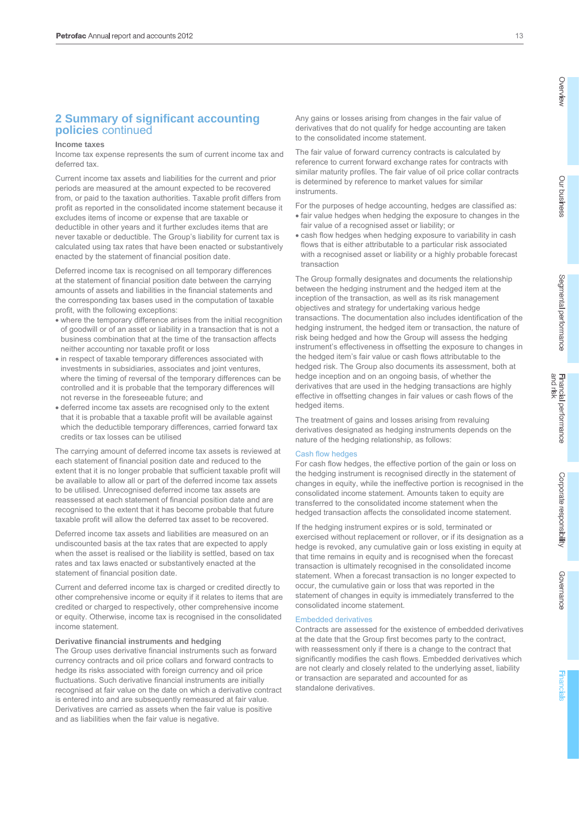# **2 Summary of significant accounting policies** continued

#### **Income taxes**

Income tax expense represents the sum of current income tax and deferred tax.

Current income tax assets and liabilities for the current and prior periods are measured at the amount expected to be recovered from, or paid to the taxation authorities. Taxable profit differs from profit as reported in the consolidated income statement because it excludes items of income or expense that are taxable or deductible in other years and it further excludes items that are never taxable or deductible. The Group's liability for current tax is calculated using tax rates that have been enacted or substantively enacted by the statement of financial position date.

Deferred income tax is recognised on all temporary differences at the statement of financial position date between the carrying amounts of assets and liabilities in the financial statements and the corresponding tax bases used in the computation of taxable profit, with the following exceptions:

- where the temporary difference arises from the initial recognition of goodwill or of an asset or liability in a transaction that is not a business combination that at the time of the transaction affects neither accounting nor taxable profit or loss
- in respect of taxable temporary differences associated with investments in subsidiaries, associates and joint ventures, where the timing of reversal of the temporary differences can be controlled and it is probable that the temporary differences will not reverse in the foreseeable future; and
- deferred income tax assets are recognised only to the extent that it is probable that a taxable profit will be available against which the deductible temporary differences, carried forward tax credits or tax losses can be utilised

The carrying amount of deferred income tax assets is reviewed at each statement of financial position date and reduced to the extent that it is no longer probable that sufficient taxable profit will be available to allow all or part of the deferred income tax assets to be utilised. Unrecognised deferred income tax assets are reassessed at each statement of financial position date and are recognised to the extent that it has become probable that future taxable profit will allow the deferred tax asset to be recovered.

Deferred income tax assets and liabilities are measured on an undiscounted basis at the tax rates that are expected to apply when the asset is realised or the liability is settled, based on tax rates and tax laws enacted or substantively enacted at the statement of financial position date.

Current and deferred income tax is charged or credited directly to other comprehensive income or equity if it relates to items that are credited or charged to respectively, other comprehensive income or equity. Otherwise, income tax is recognised in the consolidated income statement.

#### **Derivative financial instruments and hedging**

The Group uses derivative financial instruments such as forward currency contracts and oil price collars and forward contracts to hedge its risks associated with foreign currency and oil price fluctuations. Such derivative financial instruments are initially recognised at fair value on the date on which a derivative contract is entered into and are subsequently remeasured at fair value. Derivatives are carried as assets when the fair value is positive and as liabilities when the fair value is negative.

Any gains or losses arising from changes in the fair value of derivatives that do not qualify for hedge accounting are taken to the consolidated income statement.

The fair value of forward currency contracts is calculated by reference to current forward exchange rates for contracts with similar maturity profiles. The fair value of oil price collar contracts is determined by reference to market values for similar instruments.

For the purposes of hedge accounting, hedges are classified as: fair value hedges when hedging the exposure to changes in the fair value of a recognised asset or liability; or

 cash flow hedges when hedging exposure to variability in cash flows that is either attributable to a particular risk associated with a recognised asset or liability or a highly probable forecast transaction

The Group formally designates and documents the relationship between the hedging instrument and the hedged item at the inception of the transaction, as well as its risk management objectives and strategy for undertaking various hedge transactions. The documentation also includes identification of the hedging instrument, the hedged item or transaction, the nature of risk being hedged and how the Group will assess the hedging instrument's effectiveness in offsetting the exposure to changes in the hedged item's fair value or cash flows attributable to the hedged risk. The Group also documents its assessment, both at hedge inception and on an ongoing basis, of whether the derivatives that are used in the hedging transactions are highly effective in offsetting changes in fair values or cash flows of the hedged items.

The treatment of gains and losses arising from revaluing derivatives designated as hedging instruments depends on the nature of the hedging relationship, as follows:

#### Cash flow hedges

For cash flow hedges, the effective portion of the gain or loss on the hedging instrument is recognised directly in the statement of changes in equity, while the ineffective portion is recognised in the consolidated income statement. Amounts taken to equity are transferred to the consolidated income statement when the hedged transaction affects the consolidated income statement.

If the hedging instrument expires or is sold, terminated or exercised without replacement or rollover, or if its designation as a hedge is revoked, any cumulative gain or loss existing in equity at that time remains in equity and is recognised when the forecast transaction is ultimately recognised in the consolidated income statement. When a forecast transaction is no longer expected to occur, the cumulative gain or loss that was reported in the statement of changes in equity is immediately transferred to the consolidated income statement.

#### Embedded derivatives

Contracts are assessed for the existence of embedded derivatives at the date that the Group first becomes party to the contract, with reassessment only if there is a change to the contract that significantly modifies the cash flows. Embedded derivatives which are not clearly and closely related to the underlying asset, liability or transaction are separated and accounted for as standalone derivatives.

Governance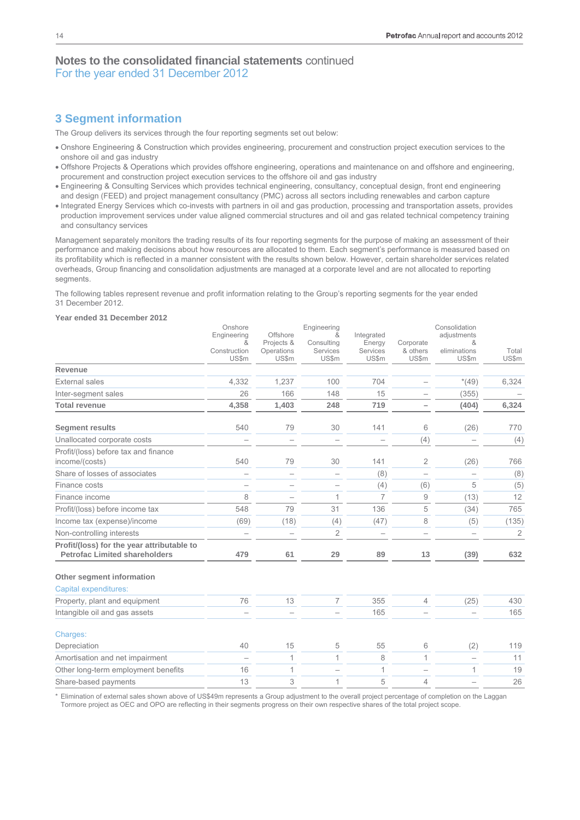# **3 Segment information**

The Group delivers its services through the four reporting segments set out below:

- Onshore Engineering & Construction which provides engineering, procurement and construction project execution services to the onshore oil and gas industry
- Offshore Projects & Operations which provides offshore engineering, operations and maintenance on and offshore and engineering, procurement and construction project execution services to the offshore oil and gas industry
- Engineering & Consulting Services which provides technical engineering, consultancy, conceptual design, front end engineering and design (FEED) and project management consultancy (PMC) across all sectors including renewables and carbon capture
- Integrated Energy Services which co-invests with partners in oil and gas production, processing and transportation assets, provides production improvement services under value aligned commercial structures and oil and gas related technical competency training and consultancy services

Management separately monitors the trading results of its four reporting segments for the purpose of making an assessment of their performance and making decisions about how resources are allocated to them. Each segment's performance is measured based on its profitability which is reflected in a manner consistent with the results shown below. However, certain shareholder services related overheads, Group financing and consolidation adjustments are managed at a corporate level and are not allocated to reporting segments.

The following tables represent revenue and profit information relating to the Group's reporting segments for the year ended 31 December 2012.

#### **Year ended 31 December 2012**

|                                                                                    | Onshore<br>Engineering<br>&<br>Construction<br><b>US\$m</b> | Offshore<br>Projects &<br>Operations<br><b>US\$m</b> | Engineering<br>&<br>Consulting<br>Services<br><b>US\$m</b> | Integrated<br>Energy<br><b>Services</b><br><b>US\$m</b> | Corporate<br>& others<br>US\$m | Consolidation<br>adjustments<br>&<br>eliminations<br>US\$m | Total<br><b>US\$m</b> |
|------------------------------------------------------------------------------------|-------------------------------------------------------------|------------------------------------------------------|------------------------------------------------------------|---------------------------------------------------------|--------------------------------|------------------------------------------------------------|-----------------------|
| Revenue                                                                            |                                                             |                                                      |                                                            |                                                         |                                |                                                            |                       |
| <b>External sales</b>                                                              | 4,332                                                       | 1,237                                                | 100                                                        | 704                                                     |                                | $*(49)$                                                    | 6,324                 |
| Inter-segment sales                                                                | 26                                                          | 166                                                  | 148                                                        | 15                                                      |                                | (355)                                                      |                       |
| <b>Total revenue</b>                                                               | 4,358                                                       | 1,403                                                | 248                                                        | 719                                                     |                                | (404)                                                      | 6,324                 |
| <b>Segment results</b>                                                             | 540                                                         | 79                                                   | 30                                                         | 141                                                     | 6                              | (26)                                                       | 770                   |
| Unallocated corporate costs                                                        |                                                             |                                                      |                                                            |                                                         | (4)                            |                                                            | (4)                   |
| Profit/(loss) before tax and finance<br>income/(costs)                             | 540                                                         | 79                                                   | 30                                                         | 141                                                     | 2                              | (26)                                                       | 766                   |
| Share of losses of associates                                                      | $\overline{\phantom{0}}$                                    |                                                      |                                                            | (8)                                                     |                                |                                                            | (8)                   |
| Finance costs                                                                      | $\overline{\phantom{0}}$                                    |                                                      |                                                            | (4)                                                     | (6)                            | 5                                                          | (5)                   |
| Finance income                                                                     | 8                                                           |                                                      | 1                                                          | $\overline{7}$                                          | 9                              | (13)                                                       | 12                    |
| Profit/(loss) before income tax                                                    | 548                                                         | 79                                                   | 31                                                         | 136                                                     | 5                              | (34)                                                       | 765                   |
| Income tax (expense)/income                                                        | (69)                                                        | (18)                                                 | (4)                                                        | (47)                                                    | 8                              | (5)                                                        | (135)                 |
| Non-controlling interests                                                          |                                                             |                                                      | 2                                                          |                                                         |                                |                                                            | 2                     |
| Profit/(loss) for the year attributable to<br><b>Petrofac Limited shareholders</b> | 479                                                         | 61                                                   | 29                                                         | 89                                                      | 13                             | (39)                                                       | 632                   |
| Other segment information                                                          |                                                             |                                                      |                                                            |                                                         |                                |                                                            |                       |
| Capital expenditures:                                                              |                                                             |                                                      |                                                            |                                                         |                                |                                                            |                       |
| Property, plant and equipment                                                      | 76                                                          | 13                                                   | 7                                                          | 355                                                     | 4                              | (25)                                                       | 430                   |
| Intangible oil and gas assets                                                      |                                                             |                                                      |                                                            | 165                                                     |                                |                                                            | 165                   |
| Charges:                                                                           |                                                             |                                                      |                                                            |                                                         |                                |                                                            |                       |
| Depreciation                                                                       | 40                                                          | 15                                                   | 5                                                          | 55                                                      | 6                              | (2)                                                        | 119                   |
| Amortisation and net impairment                                                    | $\overline{\phantom{0}}$                                    | 1                                                    | $\mathbf{1}$                                               | 8                                                       | $\mathbf{1}$                   |                                                            | 11                    |
| Other long-term employment benefits                                                | 16                                                          | 1                                                    |                                                            | 1                                                       |                                | 1                                                          | 19                    |
| Share-based payments                                                               | 13                                                          | 3                                                    | 1                                                          | 5                                                       | 4                              |                                                            | 26                    |

Elimination of external sales shown above of US\$49m represents a Group adjustment to the overall project percentage of completion on the Laggan

Tormore project as OEC and OPO are reflecting in their segments progress on their own respective shares of the total project scope.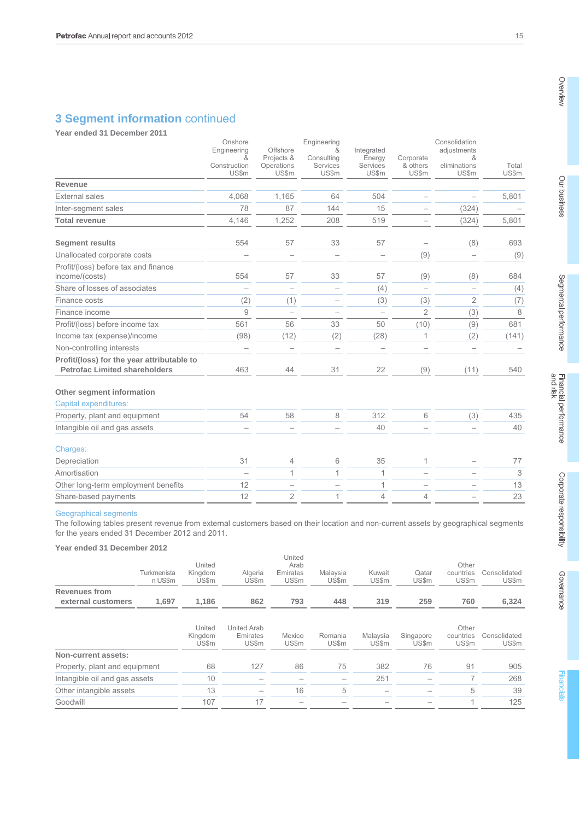# **3 Segment information** continued

**Year ended 31 December 2011** 

|                                                                                    | Onshore                           |                            | Engineering              |                          |                          | Consolidation         |                |
|------------------------------------------------------------------------------------|-----------------------------------|----------------------------|--------------------------|--------------------------|--------------------------|-----------------------|----------------|
|                                                                                    | Engineering<br>&                  | Offshore<br>Projects &     | &<br>Consulting          | Integrated<br>Energy     | Corporate                | adjustments<br>&      |                |
|                                                                                    | Construction<br>US\$m             | Operations<br><b>US\$m</b> | Services<br><b>US\$m</b> | Services<br><b>US\$m</b> | & others<br><b>US\$m</b> | eliminations<br>US\$m | Total<br>US\$m |
| Revenue                                                                            |                                   |                            |                          |                          |                          |                       |                |
| <b>External sales</b>                                                              | 4,068                             | 1,165                      | 64                       | 504                      |                          |                       | 5,801          |
| Inter-segment sales                                                                | 78                                | 87                         | 144                      | 15                       |                          | (324)                 |                |
| <b>Total revenue</b>                                                               | 4,146                             | 1,252                      | 208                      | 519                      |                          | (324)                 | 5,801          |
| <b>Segment results</b>                                                             | 554                               | 57                         | 33                       | 57                       |                          | (8)                   | 693            |
| Unallocated corporate costs                                                        |                                   |                            |                          |                          | (9)                      |                       | (9)            |
| Profit/(loss) before tax and finance<br>income/(costs)                             | 554                               | 57                         | 33                       | 57                       | (9)                      | (8)                   | 684            |
| Share of losses of associates                                                      | $\overbrace{\phantom{123221111}}$ |                            | $\qquad \qquad$          | (4)                      |                          |                       | (4)            |
| Finance costs                                                                      | (2)                               | (1)                        |                          | (3)                      | (3)                      | $\overline{2}$        | (7)            |
| Finance income                                                                     | 9                                 |                            |                          |                          | $\overline{2}$           | (3)                   | 8              |
| Profit/(loss) before income tax                                                    | 561                               | 56                         | 33                       | 50                       | (10)                     | (9)                   | 681            |
| Income tax (expense)/income                                                        | (98)                              | (12)                       | (2)                      | (28)                     | 1                        | (2)                   | (141)          |
| Non-controlling interests                                                          |                                   |                            |                          |                          |                          | $\qquad \qquad -$     |                |
| Profit/(loss) for the year attributable to<br><b>Petrofac Limited shareholders</b> | 463                               | 44                         | 31                       | 22                       | (9)                      | (11)                  | 540            |
| Other segment information                                                          |                                   |                            |                          |                          |                          |                       |                |
| Capital expenditures:                                                              |                                   |                            |                          |                          |                          |                       |                |
| Property, plant and equipment                                                      | 54                                | 58                         | 8                        | 312                      | 6                        | (3)                   | 435            |
| Intangible oil and gas assets                                                      |                                   |                            |                          | 40                       |                          |                       | 40             |
| Charges:                                                                           |                                   |                            |                          |                          |                          |                       |                |
| Depreciation                                                                       | 31                                | 4                          | 6                        | 35                       | 1                        |                       | 77             |
| Amortisation                                                                       |                                   | 1                          | 1                        | $\mathbf 1$              |                          |                       | 3              |
| Other long-term employment benefits                                                | 12                                |                            |                          | 1                        |                          |                       | 13             |
| Share-based payments                                                               | 12                                | $\overline{2}$             | 1                        | $\overline{4}$           | 4                        |                       | 23             |

#### Geographical segments

The following tables present revenue from external customers based on their location and non-current assets by geographical segments for the years ended 31 December 2012 and 2011.

#### **Year ended 31 December 2012**

|                               | Turkmenista<br>n US\$m | United<br>Kingdom<br>US\$m | Algeria<br><b>US\$m</b>                 | United<br>Arab<br>Emirates<br>US\$m | Malaysia<br>US\$m               | Kuwait<br><b>US\$m</b> | Qatar<br>US\$m     | Other<br>countries<br><b>US\$m</b> | Consolidated<br>US\$m |
|-------------------------------|------------------------|----------------------------|-----------------------------------------|-------------------------------------|---------------------------------|------------------------|--------------------|------------------------------------|-----------------------|
| <b>Revenues from</b>          |                        |                            |                                         |                                     |                                 |                        |                    |                                    |                       |
| external customers            | 1.697                  | 1,186                      | 862                                     | 793                                 | 448                             | 319                    | 259                | 760                                | 6,324                 |
|                               |                        |                            |                                         |                                     |                                 |                        |                    |                                    |                       |
|                               |                        | United<br>Kingdom<br>US\$m | United Arab<br>Emirates<br><b>US\$m</b> | Mexico<br><b>US\$m</b>              | Romania<br><b>US\$m</b>         | Malaysia<br>US\$m      | Singapore<br>US\$m | Other<br>countries<br>US\$m        | Consolidated<br>US\$m |
| Non-current assets:           |                        |                            |                                         |                                     |                                 |                        |                    |                                    |                       |
| Property, plant and equipment |                        | 68                         | 127                                     | 86                                  | 75                              | 382                    | 76                 | 91                                 | 905                   |
| Intangible oil and gas assets |                        | 10                         |                                         |                                     | $\hspace{0.1mm}-\hspace{0.1mm}$ | 251                    |                    | ⇁                                  | 268                   |
| Other intangible assets       |                        | 13                         |                                         | 16                                  | 5                               |                        |                    | 5                                  | 39                    |
| Goodwill                      |                        | 107                        | 17                                      | $\qquad \qquad$                     |                                 |                        |                    |                                    | 125                   |
|                               |                        |                            |                                         |                                     |                                 |                        |                    |                                    |                       |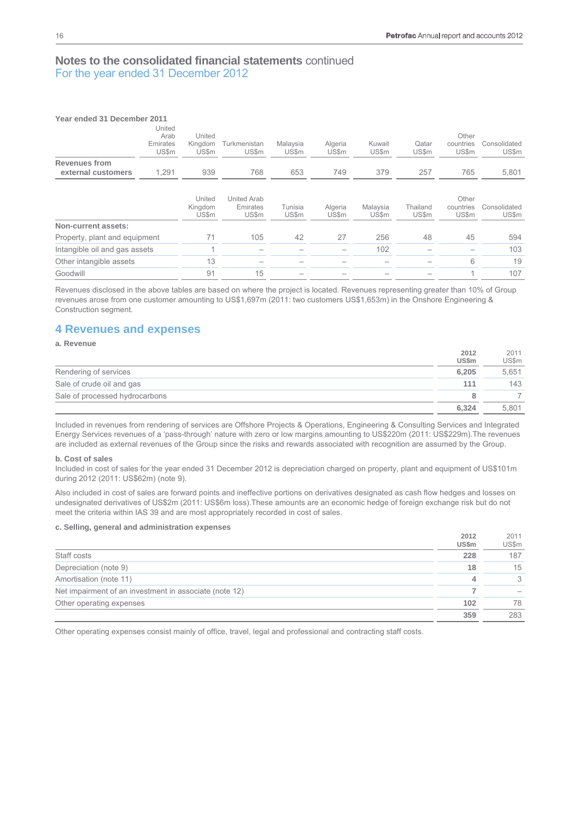| Year ended 31 December 2011   |                                            |                                   |                                  |                          |                         |                   |                       |                             |                              |
|-------------------------------|--------------------------------------------|-----------------------------------|----------------------------------|--------------------------|-------------------------|-------------------|-----------------------|-----------------------------|------------------------------|
|                               | United<br>Arab<br>Emirates<br><b>US\$m</b> | United<br>Kingdom<br><b>US\$m</b> | Turkmenistan<br><b>US\$m</b>     | Malaysia<br><b>US\$m</b> | Algeria<br><b>US\$m</b> | Kuwait<br>US\$m   | Qatar<br><b>US\$m</b> | Other<br>countries<br>US\$m | Consolidated<br><b>US\$m</b> |
| <b>Revenues from</b>          |                                            |                                   |                                  |                          |                         |                   |                       |                             |                              |
| external customers            | 1,291                                      | 939                               | 768                              | 653                      | 749                     | 379               | 257                   | 765                         | 5,801                        |
|                               |                                            | United<br>Kingdom<br>US\$m        | United Arab<br>Emirates<br>US\$m | Tunisia<br>US\$m         | Algeria<br>US\$m        | Malaysia<br>US\$m | Thailand<br>US\$m     | Other<br>countries<br>US\$m | Consolidated<br>US\$m        |
| Non-current assets:           |                                            |                                   |                                  |                          |                         |                   |                       |                             |                              |
| Property, plant and equipment |                                            | 71                                | 105                              | 42                       | 27                      | 256               | 48                    | 45                          | 594                          |
| Intangible oil and gas assets |                                            |                                   |                                  |                          |                         | 102               |                       |                             | 103                          |
| Other intangible assets       |                                            | 13                                |                                  |                          |                         |                   |                       | 6                           | 19                           |
| Goodwill                      |                                            | 91                                | 15                               |                          |                         |                   |                       | и                           | 107                          |

Revenues disclosed in the above tables are based on where the project is located. Revenues representing greater than 10% of Group revenues arose from one customer amounting to US\$1,697m (2011: two customers US\$1,653m) in the Onshore Engineering & Construction segment.

## **4 Revenues and expenses**

#### **a. Revenue**

|                                | 2012         | 2011  |
|--------------------------------|--------------|-------|
|                                | <b>US\$m</b> | US\$m |
| Rendering of services          | 6.205        | 5.651 |
| Sale of crude oil and gas      | 111          | 143   |
| Sale of processed hydrocarbons | 8            |       |
|                                | 6,324        | 5.801 |

Included in revenues from rendering of services are Offshore Projects & Operations, Engineering & Consulting Services and Integrated Energy Services revenues of a 'pass-through' nature with zero or low margins amounting to US\$220m (2011: US\$229m).The revenues are included as external revenues of the Group since the risks and rewards associated with recognition are assumed by the Group.

#### **b. Cost of sales**

Included in cost of sales for the year ended 31 December 2012 is depreciation charged on property, plant and equipment of US\$101m during 2012 (2011: US\$62m) (note 9).

Also included in cost of sales are forward points and ineffective portions on derivatives designated as cash flow hedges and losses on undesignated derivatives of US\$2m (2011: US\$6m loss).These amounts are an economic hedge of foreign exchange risk but do not meet the criteria within IAS 39 and are most appropriately recorded in cost of sales.

#### **c. Selling, general and administration expenses**

|                                                        | 2012         | 2011  |
|--------------------------------------------------------|--------------|-------|
|                                                        | <b>US\$m</b> | US\$m |
| Staff costs                                            | 228          | 187   |
| Depreciation (note 9)                                  | 18           | 15    |
| Amortisation (note 11)                                 |              | 3     |
| Net impairment of an investment in associate (note 12) |              |       |
| Other operating expenses                               | 102          | 78    |
|                                                        | 359          | 283   |

Other operating expenses consist mainly of office, travel, legal and professional and contracting staff costs.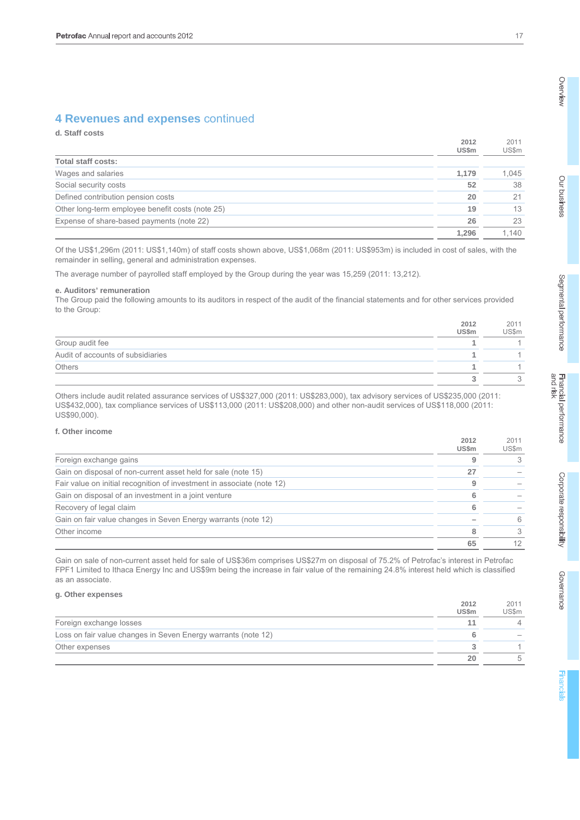# **4 Revenues and expenses** continued

## **d. Staff costs**

|                                                  | 2012<br>US\$m | 2011<br>US\$m |
|--------------------------------------------------|---------------|---------------|
| Total staff costs:                               |               |               |
| Wages and salaries                               | 1,179         | 1.045         |
| Social security costs                            | 52            | 38            |
| Defined contribution pension costs               | 20            | 21            |
| Other long-term employee benefit costs (note 25) | 19            | 13            |
| Expense of share-based payments (note 22)        | 26            | 23            |
|                                                  | 1.296         | 1.140         |

Of the US\$1,296m (2011: US\$1,140m) of staff costs shown above, US\$1,068m (2011: US\$953m) is included in cost of sales, with the remainder in selling, general and administration expenses.

The average number of payrolled staff employed by the Group during the year was 15,259 (2011: 13,212).

#### **e. Auditors' remuneration**

The Group paid the following amounts to its auditors in respect of the audit of the financial statements and for other services provided to the Group:

|                                   | 2012<br><b>US\$m</b> | 2011<br>US\$m |
|-----------------------------------|----------------------|---------------|
| Group audit fee                   |                      |               |
| Audit of accounts of subsidiaries |                      |               |
| Others                            |                      |               |
|                                   |                      |               |

Others include audit related assurance services of US\$327,000 (2011: US\$283,000), tax advisory services of US\$235,000 (2011: US\$432,000), tax compliance services of US\$113,000 (2011: US\$208,000) and other non-audit services of US\$118,000 (2011: US\$90,000).

### **f. Other income**

|                                                                        | 2012<br>US\$m | 2011<br>US\$m |
|------------------------------------------------------------------------|---------------|---------------|
| Foreign exchange gains                                                 |               | 3             |
| Gain on disposal of non-current asset held for sale (note 15)          | 27            |               |
| Fair value on initial recognition of investment in associate (note 12) | q             |               |
| Gain on disposal of an investment in a joint venture                   |               |               |
| Recovery of legal claim                                                |               |               |
| Gain on fair value changes in Seven Energy warrants (note 12)          |               | 6             |
| Other income                                                           |               | 3             |
|                                                                        | 65            | 12            |

Gain on sale of non-current asset held for sale of US\$36m comprises US\$27m on disposal of 75.2% of Petrofac's interest in Petrofac FPF1 Limited to Ithaca Energy Inc and US\$9m being the increase in fair value of the remaining 24.8% interest held which is classified as an associate.

#### **g. Other expenses**

|                                                               | 2012<br><b>US\$m</b> | 2011<br>US\$m |
|---------------------------------------------------------------|----------------------|---------------|
| Foreign exchange losses                                       |                      |               |
| Loss on fair value changes in Seven Energy warrants (note 12) |                      |               |
| Other expenses                                                |                      |               |
|                                                               | 20                   |               |

Overview

**2012** 

**2012** 

 $2011$ 

**Financia**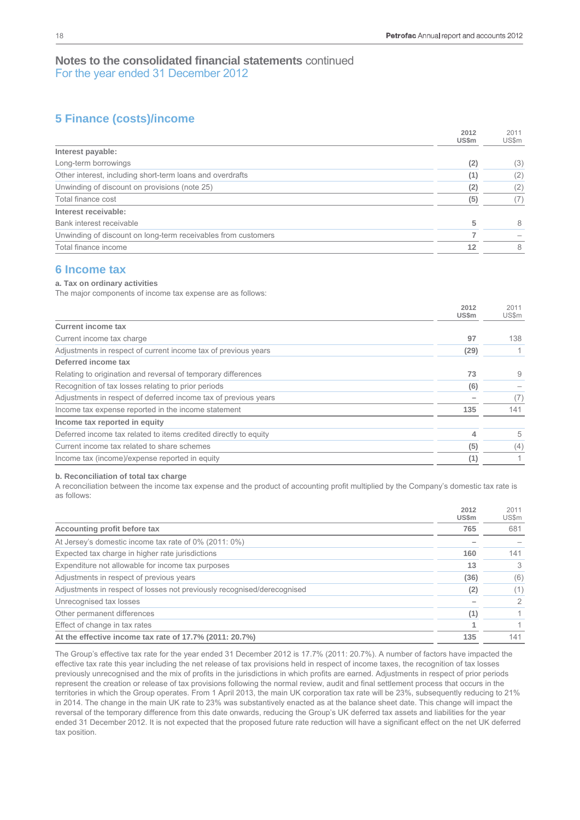**2012** 

 $2011$ 

# **Notes to the consolidated financial statements** continued For the year ended 31 December 2012

# **5 Finance (costs)/income**

|                                                               | 2012<br>US\$m | 2011<br>US\$m |
|---------------------------------------------------------------|---------------|---------------|
| Interest payable:                                             |               |               |
| Long-term borrowings                                          | (2)           | (3)           |
| Other interest, including short-term loans and overdrafts     | (1)           | (2)           |
| Unwinding of discount on provisions (note 25)                 | (2)           | (2)           |
| Total finance cost                                            | (5)           | (7)           |
| Interest receivable:                                          |               |               |
| Bank interest receivable                                      | 5             | 8             |
| Unwinding of discount on long-term receivables from customers |               |               |
| Total finance income                                          | 12            | 8             |
|                                                               |               |               |

# **6 Income tax**

#### **a. Tax on ordinary activities**

The major components of income tax expense are as follows:

|                                                                  | 2012<br><b>US\$m</b> | 2011<br>US\$m |
|------------------------------------------------------------------|----------------------|---------------|
| <b>Current income tax</b>                                        |                      |               |
| Current income tax charge                                        | 97                   | 138           |
| Adjustments in respect of current income tax of previous years   | (29)                 |               |
| Deferred income tax                                              |                      |               |
| Relating to origination and reversal of temporary differences    | 73                   | 9             |
| Recognition of tax losses relating to prior periods              | (6)                  |               |
| Adjustments in respect of deferred income tax of previous years  |                      | (7)           |
| Income tax expense reported in the income statement              | 135                  | 141           |
| Income tax reported in equity                                    |                      |               |
| Deferred income tax related to items credited directly to equity | 4                    | 5             |
| Current income tax related to share schemes                      | (5)                  | (4)           |
| Income tax (income)/expense reported in equity                   | (1)                  | $\mathbf{1}$  |

#### **b. Reconciliation of total tax charge**

A reconciliation between the income tax expense and the product of accounting profit multiplied by the Company's domestic tax rate is as follows:

|                                                                         | 2012<br><b>US\$m</b> | 2011<br>US\$m |
|-------------------------------------------------------------------------|----------------------|---------------|
| Accounting profit before tax                                            | 765                  | 681           |
| At Jersey's domestic income tax rate of 0% (2011: 0%)                   |                      |               |
| Expected tax charge in higher rate jurisdictions                        | 160                  | 141           |
| Expenditure not allowable for income tax purposes                       | 13                   | 3             |
| Adjustments in respect of previous years                                | (36)                 | (6)           |
| Adjustments in respect of losses not previously recognised/derecognised | (2)                  | (1)           |
| Unrecognised tax losses                                                 |                      | 2             |
| Other permanent differences                                             | (1)                  |               |
| Effect of change in tax rates                                           |                      |               |
| At the effective income tax rate of 17.7% (2011: 20.7%)                 | 135                  | 141           |

The Group's effective tax rate for the year ended 31 December 2012 is 17.7% (2011: 20.7%). A number of factors have impacted the effective tax rate this year including the net release of tax provisions held in respect of income taxes, the recognition of tax losses previously unrecognised and the mix of profits in the jurisdictions in which profits are earned. Adjustments in respect of prior periods represent the creation or release of tax provisions following the normal review, audit and final settlement process that occurs in the territories in which the Group operates. From 1 April 2013, the main UK corporation tax rate will be 23%, subsequently reducing to 21% in 2014. The change in the main UK rate to 23% was substantively enacted as at the balance sheet date. This change will impact the reversal of the temporary difference from this date onwards, reducing the Group's UK deferred tax assets and liabilities for the year ended 31 December 2012. It is not expected that the proposed future rate reduction will have a significant effect on the net UK deferred tax position.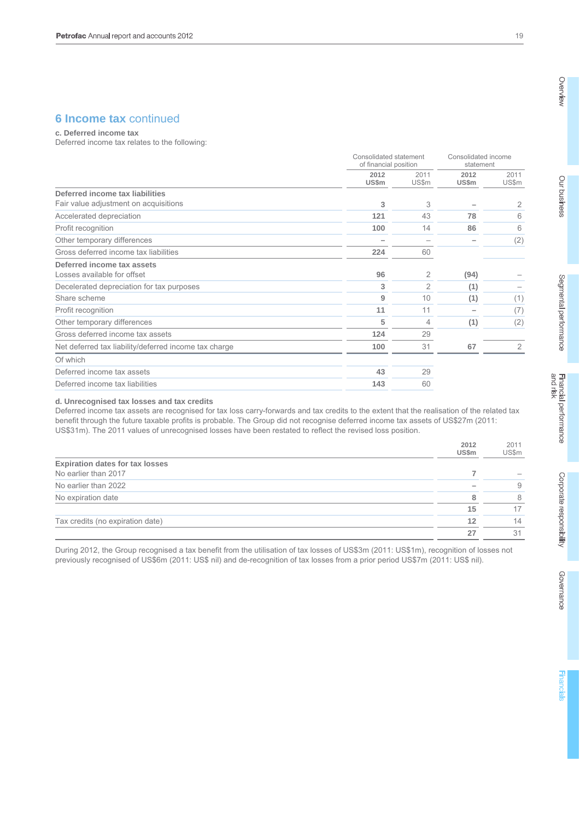# **6 Income tax continued**

**c. Deferred income tax** 

Deferred income tax relates to the following:

|                                                       |                      | Consolidated statement<br>of financial position |                      | Consolidated income<br>statement |  |
|-------------------------------------------------------|----------------------|-------------------------------------------------|----------------------|----------------------------------|--|
|                                                       | 2012<br><b>US\$m</b> | 2011<br><b>US\$m</b>                            | 2012<br><b>US\$m</b> | 2011<br>US\$m                    |  |
| Deferred income tax liabilities                       |                      |                                                 |                      |                                  |  |
| Fair value adjustment on acquisitions                 | 3                    | 3                                               |                      | 2                                |  |
| Accelerated depreciation                              | $121$                | 43                                              | 78                   | 6                                |  |
| Profit recognition                                    | 100                  | 14                                              | 86                   | 6                                |  |
| Other temporary differences                           |                      |                                                 |                      | (2)                              |  |
| Gross deferred income tax liabilities                 | 224                  | 60                                              |                      |                                  |  |
| Deferred income tax assets                            |                      |                                                 |                      |                                  |  |
| Losses available for offset                           | 96                   | 2                                               | (94)                 |                                  |  |
| Decelerated depreciation for tax purposes             | 3                    | $\overline{2}$                                  | (1)                  |                                  |  |
| Share scheme                                          | 9                    | 10                                              | (1)                  | (1)                              |  |
| Profit recognition                                    | 11                   | 11                                              |                      | (7)                              |  |
| Other temporary differences                           | 5                    | 4                                               | (1)                  | (2)                              |  |
| Gross deferred income tax assets                      | 124                  | 29                                              |                      |                                  |  |
| Net deferred tax liability/deferred income tax charge | 100                  | 31                                              | 67                   | $\overline{2}$                   |  |
| Of which                                              |                      |                                                 |                      |                                  |  |
| Deferred income tax assets                            | 43                   | 29                                              |                      |                                  |  |
| Deferred income tax liabilities                       | 143                  | 60                                              |                      |                                  |  |

#### **d. Unrecognised tax losses and tax credits**

Deferred income tax assets are recognised for tax loss carry-forwards and tax credits to the extent that the realisation of the related tax benefit through the future taxable profits is probable. The Group did not recognise deferred income tax assets of US\$27m (2011: US\$31m). The 2011 values of unrecognised losses have been restated to reflect the revised loss position.

|                                        | 2012<br>US\$m | 2011<br>US\$m |
|----------------------------------------|---------------|---------------|
| <b>Expiration dates for tax losses</b> |               |               |
| No earlier than 2017                   |               |               |
| No earlier than 2022                   |               | 9             |
| No expiration date                     |               | 8             |
|                                        | 15            |               |
| Tax credits (no expiration date)       | 12            | 14            |
|                                        | 27            | -31           |

During 2012, the Group recognised a tax benefit from the utilisation of tax losses of US\$3m (2011: US\$1m), recognition of losses not previously recognised of US\$6m (2011: US\$ nil) and de-recognition of tax losses from a prior period US\$7m (2011: US\$ nil).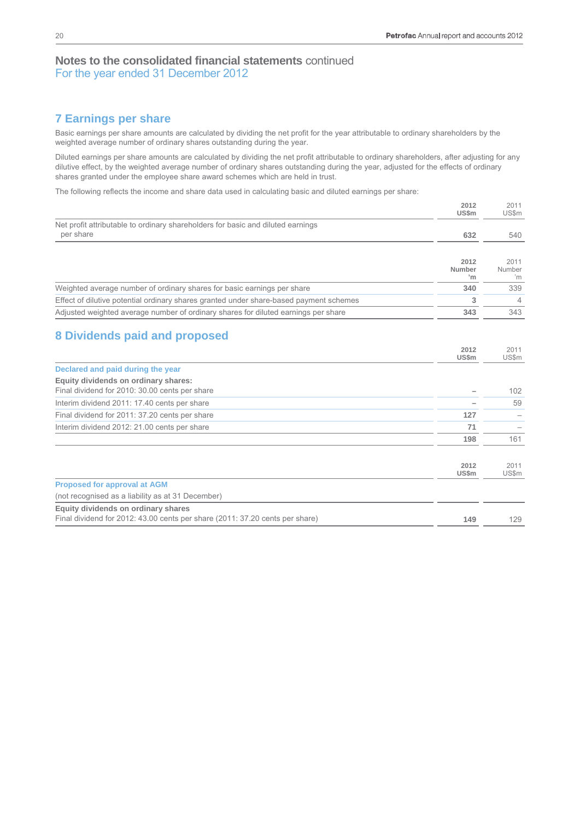**2012** 

 $2011$ 

# **Notes to the consolidated financial statements** continued For the year ended 31 December 2012

# **7 Earnings per share**

Basic earnings per share amounts are calculated by dividing the net profit for the year attributable to ordinary shareholders by the weighted average number of ordinary shares outstanding during the year.

Diluted earnings per share amounts are calculated by dividing the net profit attributable to ordinary shareholders, after adjusting for any dilutive effect, by the weighted average number of ordinary shares outstanding during the year, adjusted for the effects of ordinary shares granted under the employee share award schemes which are held in trust.

The following reflects the income and share data used in calculating basic and diluted earnings per share:

|                                                                                        | ∠∪⊺∠<br><b>US\$m</b> | ZU I I<br>US\$m |
|----------------------------------------------------------------------------------------|----------------------|-----------------|
| Net profit attributable to ordinary shareholders for basic and diluted earnings        |                      |                 |
| per share                                                                              | 632                  | 540             |
|                                                                                        |                      |                 |
|                                                                                        | 2012                 | 2011            |
|                                                                                        | Number<br>'n         | Number<br>'n    |
| Weighted average number of ordinary shares for basic earnings per share                | 340                  | 339             |
| Effect of dilutive potential ordinary shares granted under share-based payment schemes | 3                    | 4               |
| Adjusted weighted average number of ordinary shares for diluted earnings per share     | 343                  | 343             |
|                                                                                        |                      |                 |
| <b>8 Dividends paid and proposed</b>                                                   |                      |                 |
|                                                                                        | 2012                 | 2011            |
| Declared and paid during the year                                                      | <b>US\$m</b>         | US\$m           |
| Equity dividends on ordinary shares:                                                   |                      |                 |
| Final dividend for 2010: 30.00 cents per share                                         |                      | 102             |
| Interim dividend 2011: 17.40 cents per share                                           |                      | 59              |
| Final dividend for 2011: 37.20 cents per share                                         | 127                  |                 |
| Interim dividend 2012: 21.00 cents per share                                           | 71                   |                 |
|                                                                                        | 198                  | 161             |
|                                                                                        |                      |                 |
|                                                                                        | 2012                 | 2011            |
|                                                                                        | <b>US\$m</b>         | US\$m           |
| <b>Proposed for approval at AGM</b>                                                    |                      |                 |
| (not recognised as a liability as at 31 December)                                      |                      |                 |
| Equity dividends on ordinary shares                                                    |                      |                 |
| Final dividend for 2012: 43.00 cents per share (2011: 37.20 cents per share)           | 149                  | 129             |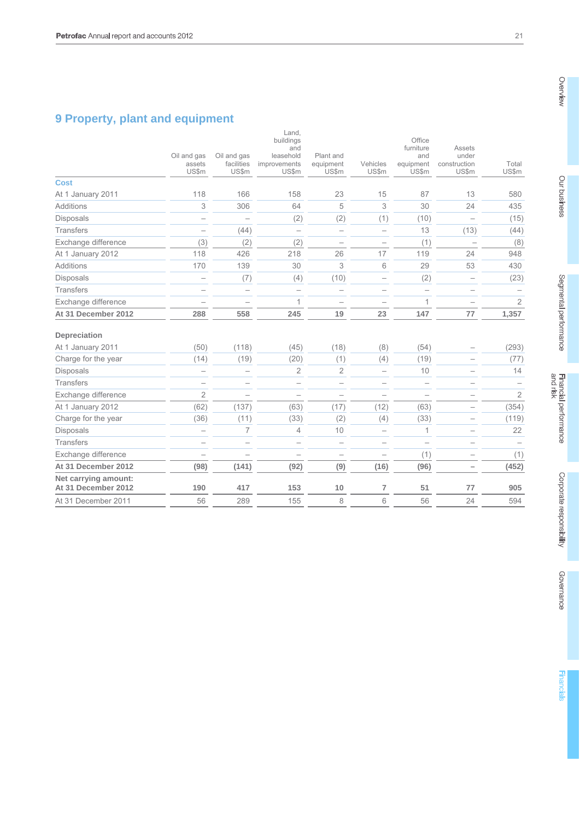# **9 Property, plant and equipment**

|                                             |                                       |                                    | Land,<br>buildings<br>and<br>leasehold | Plant and                |                          | Office<br>furniture               | Assets<br>under                  |                |
|---------------------------------------------|---------------------------------------|------------------------------------|----------------------------------------|--------------------------|--------------------------|-----------------------------------|----------------------------------|----------------|
|                                             | Oil and gas<br>assets<br><b>US\$m</b> | Oil and gas<br>facilities<br>US\$m | improvements<br>US\$m                  | equipment<br>US\$m       | Vehicles<br><b>US\$m</b> | and<br>equipment<br><b>US\$m</b>  | construction<br>US\$m            | Total<br>US\$m |
| <b>Cost</b>                                 |                                       |                                    |                                        |                          |                          |                                   |                                  |                |
| At 1 January 2011                           | 118                                   | 166                                | 158                                    | 23                       | 15                       | 87                                | 13                               | 580            |
| Additions                                   | 3                                     | 306                                | 64                                     | 5                        | 3                        | 30                                | 24                               | 435            |
| <b>Disposals</b>                            | $\overline{\phantom{0}}$              |                                    | (2)                                    | (2)                      | (1)                      | (10)                              |                                  | (15)           |
| <b>Transfers</b>                            | $\overline{\phantom{0}}$              | (44)                               |                                        | $\overline{\phantom{0}}$ |                          | 13                                | (13)                             | (44)           |
| Exchange difference                         | (3)                                   | (2)                                | (2)                                    | $\overline{\phantom{0}}$ |                          | (1)                               |                                  | (8)            |
| At 1 January 2012                           | 118                                   | 426                                | 218                                    | 26                       | 17                       | 119                               | 24                               | 948            |
| <b>Additions</b>                            | 170                                   | 139                                | 30                                     | 3                        | 6                        | 29                                | 53                               | 430            |
| Disposals                                   | $\overline{\phantom{0}}$              | (7)                                | (4)                                    | (10)                     |                          | (2)                               | $\overbrace{\phantom{12322111}}$ | (23)           |
| <b>Transfers</b>                            |                                       |                                    | $\overline{\phantom{0}}$               | $\overline{\phantom{0}}$ | $\overline{\phantom{0}}$ |                                   |                                  |                |
| Exchange difference                         |                                       |                                    | $\mathbf{1}$                           |                          |                          | $\mathbf 1$                       |                                  | $\overline{2}$ |
| At 31 December 2012                         | 288                                   | 558                                | 245                                    | 19                       | 23                       | 147                               | 77                               | 1,357          |
| Depreciation                                |                                       |                                    |                                        |                          |                          |                                   |                                  |                |
| At 1 January 2011                           | (50)                                  | (118)                              | (45)                                   | (18)                     | (8)                      | (54)                              |                                  | (293)          |
| Charge for the year                         | (14)                                  | (19)                               | (20)                                   | (1)                      | (4)                      | (19)                              |                                  | (77)           |
| <b>Disposals</b>                            | $\overline{\phantom{0}}$              | $\overline{\phantom{0}}$           | 2                                      | 2                        | $\overline{\phantom{0}}$ | 10                                |                                  | 14             |
| <b>Transfers</b>                            |                                       | $\qquad \qquad$                    | $\overline{\phantom{0}}$               | $\overline{\phantom{0}}$ |                          |                                   |                                  |                |
| Exchange difference                         | $\overline{2}$                        | $\overbrace{\phantom{12322111}}$   | $\overbrace{\phantom{12322111}}$       | $\overline{\phantom{0}}$ |                          | $\overbrace{\phantom{123221111}}$ | $\overline{\phantom{0}}$         | $\overline{2}$ |
| At 1 January 2012                           | (62)                                  | (137)                              | (63)                                   | (17)                     | (12)                     | (63)                              |                                  | (354)          |
| Charge for the year                         | (36)                                  | (11)                               | (33)                                   | (2)                      | (4)                      | (33)                              |                                  | (119)          |
| <b>Disposals</b>                            | $\overline{\phantom{0}}$              | $\overline{7}$                     | $\overline{4}$                         | 10                       | $\overline{\phantom{a}}$ | 1                                 | $\overline{\phantom{0}}$         | 22             |
| <b>Transfers</b>                            | $\overline{\phantom{0}}$              |                                    | $\overline{\phantom{0}}$               |                          |                          | $\overline{\phantom{0}}$          |                                  |                |
| Exchange difference                         | $\overline{\phantom{0}}$              |                                    | $\overline{\phantom{0}}$               | $\overline{\phantom{0}}$ | $\overline{\phantom{0}}$ | (1)                               |                                  | (1)            |
| At 31 December 2012                         | (98)                                  | (141)                              | (92)                                   | (9)                      | (16)                     | (96)                              |                                  | (452)          |
| Net carrying amount:<br>At 31 December 2012 | 190                                   | 417                                | 153                                    | 10                       | 7                        | 51                                | 77                               | 905            |
| At 31 December 2011                         | 56                                    | 289                                | 155                                    | 8                        | 6                        | 56                                | 24                               | 594            |
|                                             |                                       |                                    |                                        |                          |                          |                                   |                                  |                |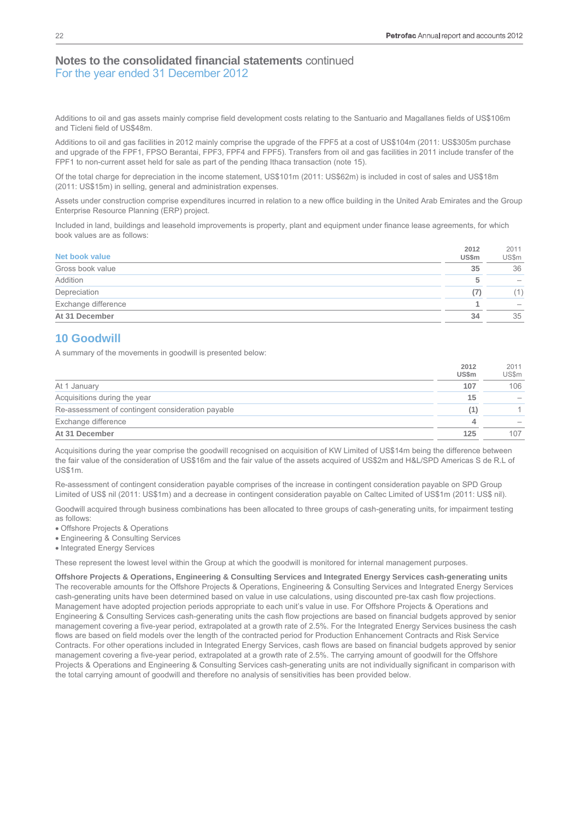Additions to oil and gas assets mainly comprise field development costs relating to the Santuario and Magallanes fields of US\$106m and Ticleni field of US\$48m.

Additions to oil and gas facilities in 2012 mainly comprise the upgrade of the FPF5 at a cost of US\$104m (2011: US\$305m purchase and upgrade of the FPF1, FPSO Berantai, FPF3, FPF4 and FPF5). Transfers from oil and gas facilities in 2011 include transfer of the FPF1 to non-current asset held for sale as part of the pending Ithaca transaction (note 15).

Of the total charge for depreciation in the income statement, US\$101m (2011: US\$62m) is included in cost of sales and US\$18m (2011: US\$15m) in selling, general and administration expenses.

Assets under construction comprise expenditures incurred in relation to a new office building in the United Arab Emirates and the Group Enterprise Resource Planning (ERP) project.

Included in land, buildings and leasehold improvements is property, plant and equipment under finance lease agreements, for which book values are as follows:

| Net book value      | 2012<br><b>US\$m</b> | 2011<br>US\$m                   |
|---------------------|----------------------|---------------------------------|
| Gross book value    | 35                   | 36                              |
| Addition            |                      | $\hspace{0.1mm}-\hspace{0.1mm}$ |
| Depreciation        | (7)                  | $\mathbf{1}$                    |
| Exchange difference |                      | $\hspace{0.1mm}-\hspace{0.1mm}$ |
| At 31 December      | 34                   | 35                              |

# **10 Goodwill**

A summary of the movements in goodwill is presented below:

|                                                   | 2012<br><b>US\$m</b> | 2011<br><b>US\$m</b> |
|---------------------------------------------------|----------------------|----------------------|
| At 1 January                                      | 107                  | 106                  |
| Acquisitions during the year                      | 15                   |                      |
| Re-assessment of contingent consideration payable | (1)                  |                      |
| Exchange difference                               | А                    |                      |
| At 31 December                                    | 125                  | 107                  |

Acquisitions during the year comprise the goodwill recognised on acquisition of KW Limited of US\$14m being the difference between the fair value of the consideration of US\$16m and the fair value of the assets acquired of US\$2m and H&L/SPD Americas S de R.L of US\$1m.

Re-assessment of contingent consideration payable comprises of the increase in contingent consideration payable on SPD Group Limited of US\$ nil (2011: US\$1m) and a decrease in contingent consideration payable on Caltec Limited of US\$1m (2011: US\$ nil).

Goodwill acquired through business combinations has been allocated to three groups of cash-generating units, for impairment testing as follows:

Offshore Projects & Operations

Engineering & Consulting Services

• Integrated Energy Services

These represent the lowest level within the Group at which the goodwill is monitored for internal management purposes.

**Offshore Projects & Operations, Engineering & Consulting Services and Integrated Energy Services cash-generating units**  The recoverable amounts for the Offshore Projects & Operations, Engineering & Consulting Services and Integrated Energy Services cash-generating units have been determined based on value in use calculations, using discounted pre-tax cash flow projections. Management have adopted projection periods appropriate to each unit's value in use. For Offshore Projects & Operations and Engineering & Consulting Services cash-generating units the cash flow projections are based on financial budgets approved by senior management covering a five-year period, extrapolated at a growth rate of 2.5%. For the Integrated Energy Services business the cash flows are based on field models over the length of the contracted period for Production Enhancement Contracts and Risk Service Contracts. For other operations included in Integrated Energy Services, cash flows are based on financial budgets approved by senior management covering a five-year period, extrapolated at a growth rate of 2.5%. The carrying amount of goodwill for the Offshore Projects & Operations and Engineering & Consulting Services cash-generating units are not individually significant in comparison with the total carrying amount of goodwill and therefore no analysis of sensitivities has been provided below.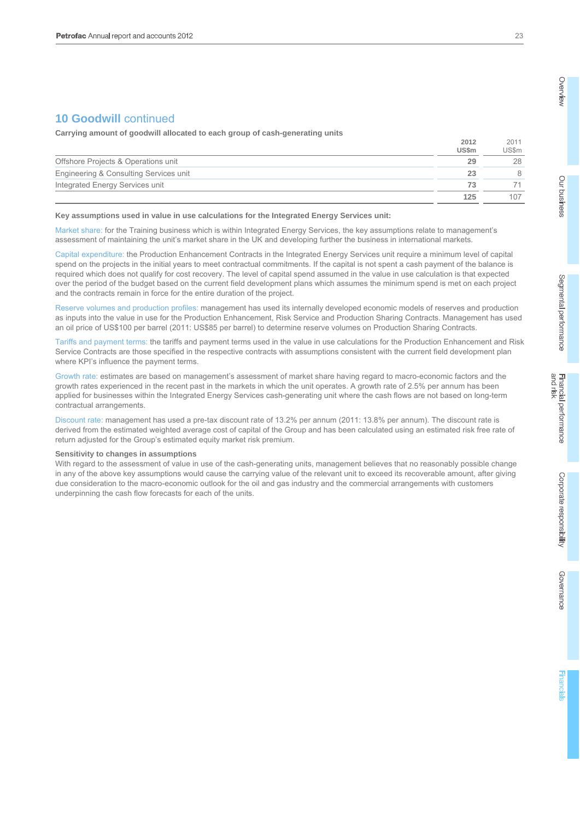# **10 Goodwill** continued

**Carrying amount of goodwill allocated to each group of cash-generating units** 

|                                        | US\$m | JS\$m |
|----------------------------------------|-------|-------|
| Offshore Projects & Operations unit    | 29    | 28    |
| Engineering & Consulting Services unit | 23    |       |
| Integrated Energy Services unit        | 73    |       |
|                                        | 125   | 107   |

#### **Key assumptions used in value in use calculations for the Integrated Energy Services unit:**

Market share: for the Training business which is within Integrated Energy Services, the key assumptions relate to management's assessment of maintaining the unit's market share in the UK and developing further the business in international markets.

Capital expenditure: the Production Enhancement Contracts in the Integrated Energy Services unit require a minimum level of capital spend on the projects in the initial years to meet contractual commitments. If the capital is not spent a cash payment of the balance is required which does not qualify for cost recovery. The level of capital spend assumed in the value in use calculation is that expected over the period of the budget based on the current field development plans which assumes the minimum spend is met on each project and the contracts remain in force for the entire duration of the project.

Reserve volumes and production profiles: management has used its internally developed economic models of reserves and production as inputs into the value in use for the Production Enhancement, Risk Service and Production Sharing Contracts. Management has used an oil price of US\$100 per barrel (2011: US\$85 per barrel) to determine reserve volumes on Production Sharing Contracts.

Tariffs and payment terms: the tariffs and payment terms used in the value in use calculations for the Production Enhancement and Risk Service Contracts are those specified in the respective contracts with assumptions consistent with the current field development plan where KPI's influence the payment terms.

Growth rate: estimates are based on management's assessment of market share having regard to macro-economic factors and the growth rates experienced in the recent past in the markets in which the unit operates. A growth rate of 2.5% per annum has been applied for businesses within the Integrated Energy Services cash-generating unit where the cash flows are not based on long-term contractual arrangements.

Discount rate: management has used a pre-tax discount rate of 13.2% per annum (2011: 13.8% per annum). The discount rate is derived from the estimated weighted average cost of capital of the Group and has been calculated using an estimated risk free rate of return adjusted for the Group's estimated equity market risk premium.

#### **Sensitivity to changes in assumptions**

With regard to the assessment of value in use of the cash-generating units, management believes that no reasonably possible change in any of the above key assumptions would cause the carrying value of the relevant unit to exceed its recoverable amount, after giving due consideration to the macro-economic outlook for the oil and gas industry and the commercial arrangements with customers underpinning the cash flow forecasts for each of the units.

2011

**2012**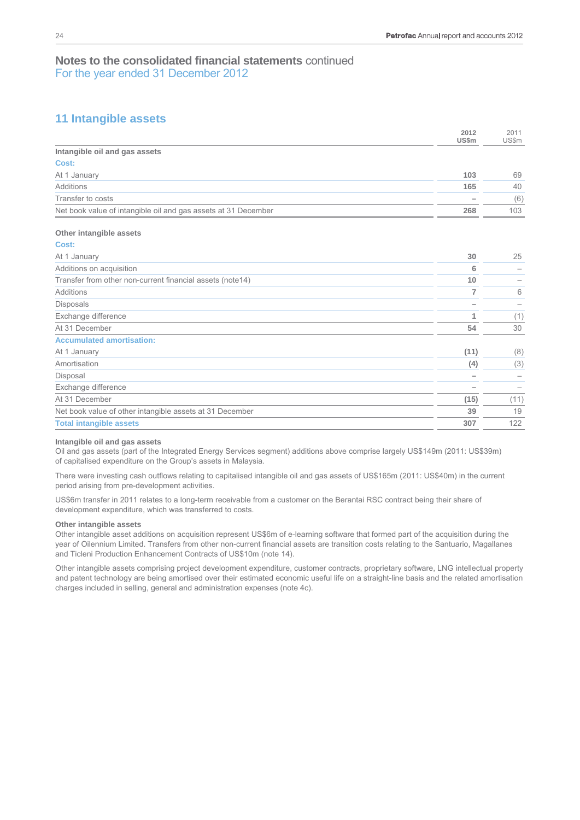# **11 Intangible assets**

|                                                                | 2012<br><b>US\$m</b> | 2011<br>US\$m            |
|----------------------------------------------------------------|----------------------|--------------------------|
| Intangible oil and gas assets                                  |                      |                          |
| Cost:                                                          |                      |                          |
| At 1 January                                                   | 103                  | 69                       |
| Additions                                                      | 165                  | 40                       |
| Transfer to costs                                              |                      | (6)                      |
| Net book value of intangible oil and gas assets at 31 December | 268                  | 103                      |
| Other intangible assets                                        |                      |                          |
| Cost:                                                          |                      |                          |
| At 1 January                                                   | 30                   | 25                       |
| Additions on acquisition                                       | 6                    |                          |
| Transfer from other non-current financial assets (note14)      | 10                   |                          |
| Additions                                                      | 7                    | 6                        |
| Disposals                                                      |                      | $\overline{\phantom{0}}$ |
| Exchange difference                                            | 1                    | (1)                      |
| At 31 December                                                 | 54                   | 30                       |
| <b>Accumulated amortisation:</b>                               |                      |                          |
| At 1 January                                                   | (11)                 | (8)                      |
| Amortisation                                                   | (4)                  | (3)                      |
| Disposal                                                       |                      |                          |
| Exchange difference                                            |                      | $\qquad \qquad$          |

| At 31 December                                           | (15) |    |
|----------------------------------------------------------|------|----|
| Net book value of other intangible assets at 31 December | 39   | 19 |
| <b>Total intangible assets</b>                           | 307  |    |

## **Intangible oil and gas assets**

Oil and gas assets (part of the Integrated Energy Services segment) additions above comprise largely US\$149m (2011: US\$39m) of capitalised expenditure on the Group's assets in Malaysia.

There were investing cash outflows relating to capitalised intangible oil and gas assets of US\$165m (2011: US\$40m) in the current period arising from pre-development activities.

US\$6m transfer in 2011 relates to a long-term receivable from a customer on the Berantai RSC contract being their share of development expenditure, which was transferred to costs.

#### **Other intangible assets**

Other intangible asset additions on acquisition represent US\$6m of e-learning software that formed part of the acquisition during the year of Oilennium Limited. Transfers from other non-current financial assets are transition costs relating to the Santuario, Magallanes and Ticleni Production Enhancement Contracts of US\$10m (note 14).

Other intangible assets comprising project development expenditure, customer contracts, proprietary software, LNG intellectual property and patent technology are being amortised over their estimated economic useful life on a straight-line basis and the related amortisation charges included in selling, general and administration expenses (note 4c).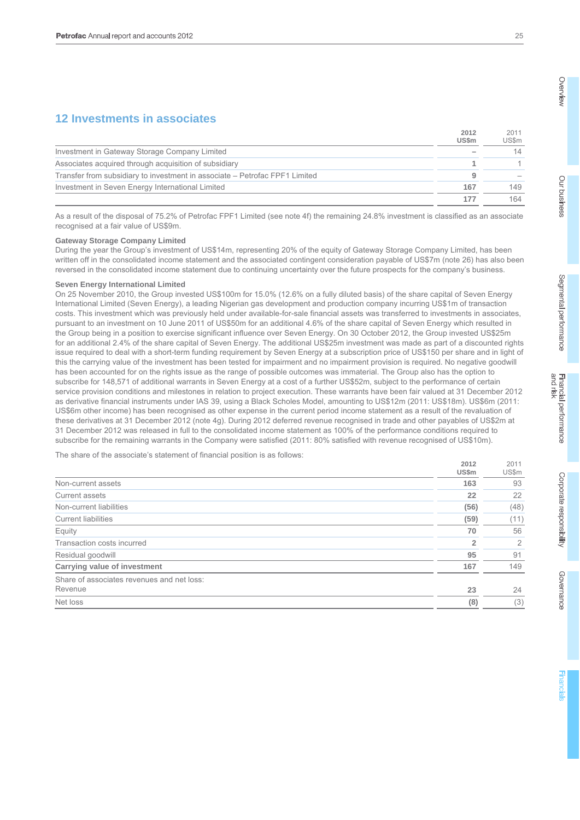# **12 Investments in associates**

|                                                                             | 2012<br><b>US\$m</b> | 2011<br><b>US\$m</b> |
|-----------------------------------------------------------------------------|----------------------|----------------------|
| Investment in Gateway Storage Company Limited                               |                      | 14                   |
| Associates acquired through acquisition of subsidiary                       |                      |                      |
| Transfer from subsidiary to investment in associate – Petrofac FPF1 Limited | 9                    |                      |
| Investment in Seven Energy International Limited                            | 167                  | 149                  |
|                                                                             | 177                  | 164                  |

As a result of the disposal of 75.2% of Petrofac FPF1 Limited (see note 4f) the remaining 24.8% investment is classified as an associate recognised at a fair value of US\$9m.

#### **Gateway Storage Company Limited**

During the year the Group's investment of US\$14m, representing 20% of the equity of Gateway Storage Company Limited, has been written off in the consolidated income statement and the associated contingent consideration payable of US\$7m (note 26) has also been reversed in the consolidated income statement due to continuing uncertainty over the future prospects for the company's business.

#### **Seven Energy International Limited**

On 25 November 2010, the Group invested US\$100m for 15.0% (12.6% on a fully diluted basis) of the share capital of Seven Energy International Limited (Seven Energy), a leading Nigerian gas development and production company incurring US\$1m of transaction costs. This investment which was previously held under available-for-sale financial assets was transferred to investments in associates, pursuant to an investment on 10 June 2011 of US\$50m for an additional 4.6% of the share capital of Seven Energy which resulted in the Group being in a position to exercise significant influence over Seven Energy. On 30 October 2012, the Group invested US\$25m for an additional 2.4% of the share capital of Seven Energy. The additional US\$25m investment was made as part of a discounted rights issue required to deal with a short-term funding requirement by Seven Energy at a subscription price of US\$150 per share and in light of this the carrying value of the investment has been tested for impairment and no impairment provision is required. No negative goodwill has been accounted for on the rights issue as the range of possible outcomes was immaterial. The Group also has the option to subscribe for 148,571 of additional warrants in Seven Energy at a cost of a further US\$52m, subject to the performance of certain service provision conditions and milestones in relation to project execution. These warrants have been fair valued at 31 December 2012 as derivative financial instruments under IAS 39, using a Black Scholes Model, amounting to US\$12m (2011: US\$18m). US\$6m (2011: US\$6m other income) has been recognised as other expense in the current period income statement as a result of the revaluation of these derivatives at 31 December 2012 (note 4g). During 2012 deferred revenue recognised in trade and other payables of US\$2m at 31 December 2012 was released in full to the consolidated income statement as 100% of the performance conditions required to subscribe for the remaining warrants in the Company were satisfied (2011: 80% satisfied with revenue recognised of US\$10m).

The share of the associate's statement of financial position is as follows:

|                                            | 2012<br>US\$m | 2011<br>US\$m |
|--------------------------------------------|---------------|---------------|
| Non-current assets                         | 163           | 93            |
| Current assets                             | 22            | 22            |
| Non-current liabilities                    | (56)          | (48)          |
| <b>Current liabilities</b>                 | (59)          | (11)          |
| Equity                                     | 70            | 56            |
| Transaction costs incurred                 | 2             | 2             |
| Residual goodwill                          | 95            | 91            |
| Carrying value of investment               | 167           | 149           |
| Share of associates revenues and net loss: |               |               |
| Revenue                                    | 23            | 24            |
| Net loss                                   | (8)           | (3)           |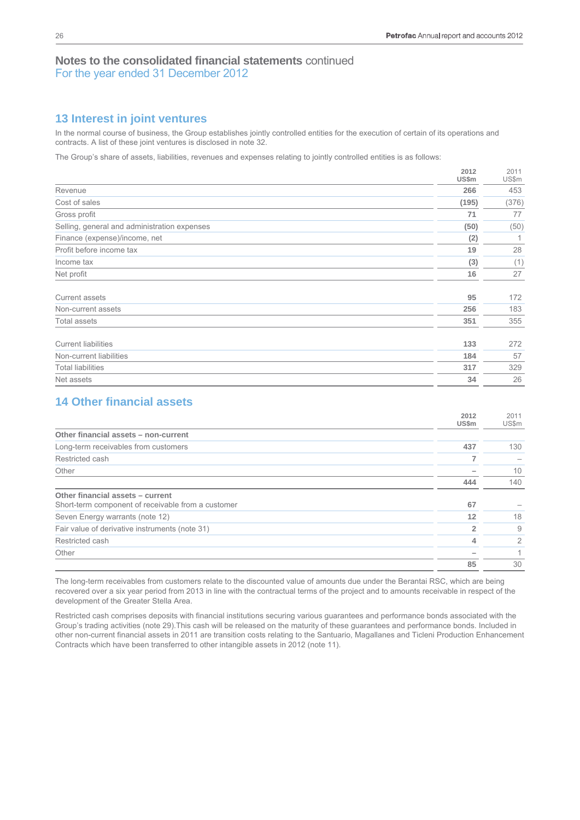# **13 Interest in joint ventures**

In the normal course of business, the Group establishes jointly controlled entities for the execution of certain of its operations and contracts. A list of these joint ventures is disclosed in note 32.

The Group's share of assets, liabilities, revenues and expenses relating to jointly controlled entities is as follows:

|                                              | 2012<br>US\$m | 2011<br>US\$m |
|----------------------------------------------|---------------|---------------|
| Revenue                                      | 266           | 453           |
| Cost of sales                                | (195)         | (376)         |
| Gross profit                                 | 71            | 77            |
| Selling, general and administration expenses | (50)          | (50)          |
| Finance (expense)/income, net                | (2)           | 1             |
| Profit before income tax                     | 19            | 28            |
| Income tax                                   | (3)           | (1)           |
| Net profit                                   | 16            | 27            |
| Current assets                               | 95            | 172           |
| Non-current assets                           | 256           | 183           |
| <b>Total assets</b>                          | 351           | 355           |
| <b>Current liabilities</b>                   | 133           | 272           |
| Non-current liabilities                      | 184           | 57            |
| <b>Total liabilities</b>                     | 317           | 329           |
| Net assets                                   | 34            | 26            |

# **14 Other financial assets**

|                                                    | 2012<br>US\$m | 2011<br>US\$m |
|----------------------------------------------------|---------------|---------------|
| Other financial assets - non-current               |               |               |
| Long-term receivables from customers               | 437           | 130           |
| Restricted cash                                    |               |               |
| Other                                              |               | 10            |
|                                                    | 444           | 140           |
| Other financial assets - current                   |               |               |
| Short-term component of receivable from a customer | 67            |               |
| Seven Energy warrants (note 12)                    | 12            | 18            |
| Fair value of derivative instruments (note 31)     |               | 9             |
| Restricted cash                                    | 4             | 2             |
| Other                                              |               |               |
|                                                    | 85            | 30            |

The long-term receivables from customers relate to the discounted value of amounts due under the Berantai RSC, which are being recovered over a six year period from 2013 in line with the contractual terms of the project and to amounts receivable in respect of the development of the Greater Stella Area.

Restricted cash comprises deposits with financial institutions securing various guarantees and performance bonds associated with the Group's trading activities (note 29).This cash will be released on the maturity of these guarantees and performance bonds. Included in other non-current financial assets in 2011 are transition costs relating to the Santuario, Magallanes and Ticleni Production Enhancement Contracts which have been transferred to other intangible assets in 2012 (note 11).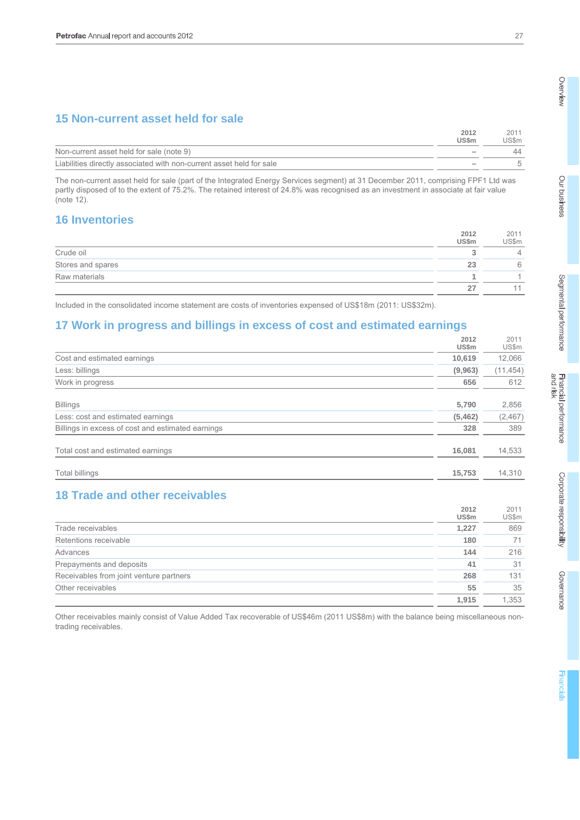# **15 Non-current asset held for sale**

|                                                                      | 2012<br><b>US\$m</b>     | 201<br>US\$m |
|----------------------------------------------------------------------|--------------------------|--------------|
| Non-current asset held for sale (note 9)                             | $\overline{\phantom{a}}$ |              |
| Liabilities directly associated with non-current asset held for sale | $\overline{\phantom{a}}$ |              |

The non-current asset held for sale (part of the Integrated Energy Services segment) at 31 December 2011, comprising FPF1 Ltd was partly disposed of to the extent of 75.2%. The retained interest of 24.8% was recognised as an investment in associate at fair value (note 12).

# **16 Inventories**

|                   | 2012<br><b>US\$m</b> | 2011<br>US\$m |
|-------------------|----------------------|---------------|
| Crude oil         |                      | 4             |
| Stores and spares | 23                   | 6             |
| Raw materials     |                      |               |
|                   |                      |               |

Included in the consolidated income statement are costs of inventories expensed of US\$18m (2011: US\$32m).

# **17 Work in progress and billings in excess of cost and estimated earnings**

|                                                   | 2012         | 2011      |
|---------------------------------------------------|--------------|-----------|
|                                                   | <b>US\$m</b> | US\$m     |
| Cost and estimated earnings                       | 10,619       | 12,066    |
| Less: billings                                    | (9,963)      | (11, 454) |
| Work in progress                                  | 656          | 612       |
|                                                   |              |           |
| <b>Billings</b>                                   | 5,790        | 2,856     |
| Less: cost and estimated earnings                 | (5,462)      | (2, 467)  |
| Billings in excess of cost and estimated earnings | 328          | 389       |
| Total cost and estimated earnings                 | 16,081       | 14,533    |
| <b>Total billings</b>                             | 15,753       | 14,310    |

# **18 Trade and other receivables**

|                                         | 2012<br>US\$m | 2011<br>US\$m |
|-----------------------------------------|---------------|---------------|
| Trade receivables                       | 1,227         | 869           |
| Retentions receivable                   | 180           |               |
| Advances                                | 144           | 216           |
| Prepayments and deposits                | 41            | 31            |
| Receivables from joint venture partners | 268           | 131           |
| Other receivables                       | 55            | 35            |
|                                         | 1.915         | 1.353         |

Other receivables mainly consist of Value Added Tax recoverable of US\$46m (2011 US\$8m) with the balance being miscellaneous nontrading receivables.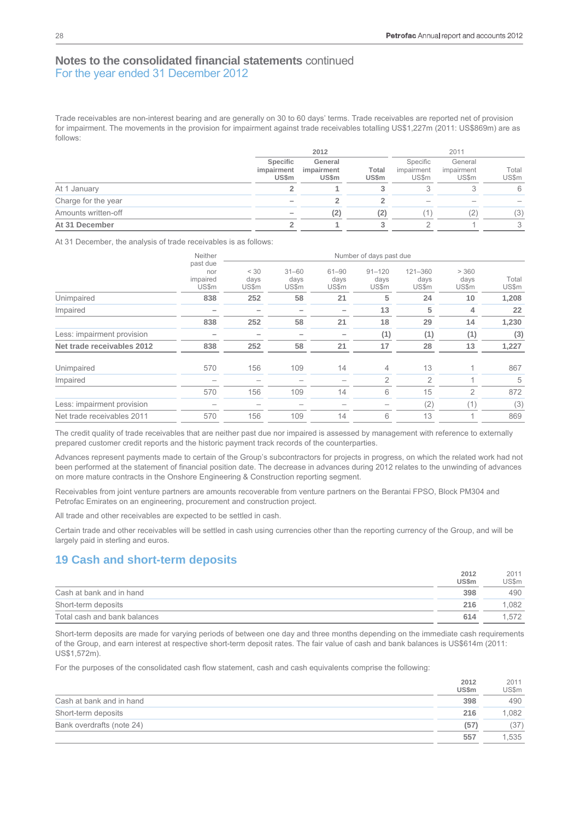Trade receivables are non-interest bearing and are generally on 30 to 60 days' terms. Trade receivables are reported net of provision for impairment. The movements in the provision for impairment against trade receivables totalling US\$1,227m (2011: US\$869m) are as follows:

|                     | 2012                            |                                       |                | 2011                            |                                |                |
|---------------------|---------------------------------|---------------------------------------|----------------|---------------------------------|--------------------------------|----------------|
|                     | Specific<br>impairment<br>US\$m | General<br>impairment<br><b>US\$m</b> | Total<br>US\$m | Specific<br>impairment<br>US\$m | General<br>impairment<br>US\$m | Total<br>US\$m |
| At 1 January        |                                 |                                       |                |                                 |                                | 6              |
| Charge for the year |                                 |                                       |                | $\hspace{0.05cm}$               |                                |                |
| Amounts written-off |                                 | (2)                                   | (2)            |                                 | 2                              | (3)            |
| At 31 December      |                                 |                                       |                |                                 |                                | 3              |

At 31 December, the analysis of trade receivables is as follows:

|                            | Neither                              | Number of days past due |                            |                            |                             |                          |                        |                |  |
|----------------------------|--------------------------------------|-------------------------|----------------------------|----------------------------|-----------------------------|--------------------------|------------------------|----------------|--|
|                            | past due<br>nor<br>impaired<br>US\$m | < 30<br>days<br>US\$m   | $31 - 60$<br>days<br>US\$m | $61 - 90$<br>days<br>US\$m | $91 - 120$<br>days<br>US\$m | 121-360<br>days<br>US\$m | > 360<br>days<br>US\$m | Total<br>US\$m |  |
| Unimpaired                 | 838                                  | 252                     | 58                         | 21                         | 5                           | 24                       | 10                     | 1,208          |  |
| Impaired                   |                                      |                         |                            |                            | 13                          | 5                        | 4                      | 22             |  |
|                            | 838                                  | 252                     | 58                         | 21                         | 18                          | 29                       | 14                     | 1,230          |  |
| Less: impairment provision |                                      |                         |                            |                            | (1)                         | (1)                      | (1)                    | (3)            |  |
| Net trade receivables 2012 | 838                                  | 252                     | 58                         | 21                         | 17                          | 28                       | 13                     | 1,227          |  |
| Unimpaired                 | 570                                  | 156                     | 109                        | 14                         | 4                           | 13                       |                        | 867            |  |
| Impaired                   |                                      |                         |                            |                            | $\overline{2}$              | $\overline{2}$           |                        | 5              |  |
|                            | 570                                  | 156                     | 109                        | 14                         | 6                           | 15                       | $\overline{2}$         | 872            |  |
| Less: impairment provision |                                      |                         |                            |                            |                             | (2)                      | (1                     | (3)            |  |
| Net trade receivables 2011 | 570                                  | 156                     | 109                        | 14                         | 6                           | 13                       |                        | 869            |  |

The credit quality of trade receivables that are neither past due nor impaired is assessed by management with reference to externally prepared customer credit reports and the historic payment track records of the counterparties.

Advances represent payments made to certain of the Group's subcontractors for projects in progress, on which the related work had not been performed at the statement of financial position date. The decrease in advances during 2012 relates to the unwinding of advances on more mature contracts in the Onshore Engineering & Construction reporting segment.

Receivables from joint venture partners are amounts recoverable from venture partners on the Berantai FPSO, Block PM304 and Petrofac Emirates on an engineering, procurement and construction project.

All trade and other receivables are expected to be settled in cash.

Certain trade and other receivables will be settled in cash using currencies other than the reporting currency of the Group, and will be largely paid in sterling and euros.

## **19 Cash and short-term deposits**

|                              | 2012         | 2011  |
|------------------------------|--------------|-------|
|                              | <b>US\$m</b> | US\$m |
| Cash at bank and in hand     | 398          | 490   |
| Short-term deposits          | 216          | .082  |
| Total cash and bank balances | 614          | .572  |

Short-term deposits are made for varying periods of between one day and three months depending on the immediate cash requirements of the Group, and earn interest at respective short-term deposit rates. The fair value of cash and bank balances is US\$614m (2011: US\$1,572m).

For the purposes of the consolidated cash flow statement, cash and cash equivalents comprise the following:

|                           | 2012         | 2011         |
|---------------------------|--------------|--------------|
|                           | <b>US\$m</b> | <b>US\$m</b> |
| Cash at bank and in hand  | 398          | 490          |
| Short-term deposits       | 216          | 1.082        |
| Bank overdrafts (note 24) | (57)         | (37)         |
|                           | 557          | .535         |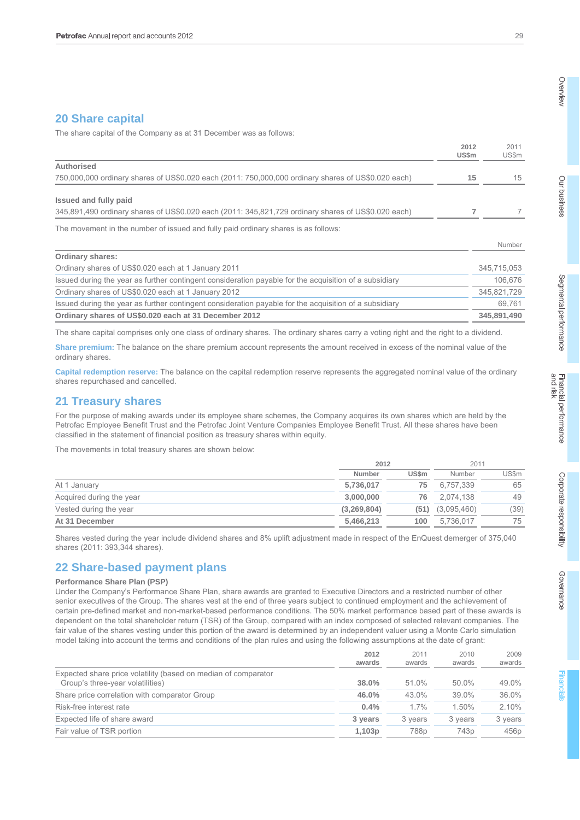# **20 Share capital**

The share capital of the Company as at 31 December was as follows:

|                                                                                                        | 2012<br>US\$m | 2011<br>US\$m |
|--------------------------------------------------------------------------------------------------------|---------------|---------------|
| Authorised                                                                                             |               |               |
| 750,000,000 ordinary shares of US\$0.020 each (2011: 750,000,000 ordinary shares of US\$0.020 each)    | 15            | 15            |
| Issued and fully paid                                                                                  |               |               |
| 345,891,490 ordinary shares of US\$0.020 each (2011: 345,821,729 ordinary shares of US\$0.020 each)    |               |               |
| The movement in the number of issued and fully paid ordinary shares is as follows:                     |               |               |
|                                                                                                        |               | Number        |
| <b>Ordinary shares:</b>                                                                                |               |               |
| Ordinary shares of US\$0.020 each at 1 January 2011                                                    |               | 345,715,053   |
| Issued during the year as further contingent consideration payable for the acquisition of a subsidiary |               | 106,676       |
| Ordinary shares of US\$0.020 each at 1 January 2012                                                    |               | 345,821,729   |
| Issued during the year as further contingent consideration payable for the acquisition of a subsidiary |               | 69,761        |
| Ordinary shares of US\$0.020 each at 31 December 2012                                                  |               | 345.891.490   |

The share capital comprises only one class of ordinary shares. The ordinary shares carry a voting right and the right to a dividend.

**Share premium:** The balance on the share premium account represents the amount received in excess of the nominal value of the ordinary shares.

**Capital redemption reserve:** The balance on the capital redemption reserve represents the aggregated nominal value of the ordinary shares repurchased and cancelled.

## **21 Treasury shares**

For the purpose of making awards under its employee share schemes, the Company acquires its own shares which are held by the Petrofac Employee Benefit Trust and the Petrofac Joint Venture Companies Employee Benefit Trust. All these shares have been classified in the statement of financial position as treasury shares within equity.

The movements in total treasury shares are shown below:

|                          |             | 2012         |             | 2011         |
|--------------------------|-------------|--------------|-------------|--------------|
|                          | Number      | <b>US\$m</b> | Number      | <b>US\$m</b> |
| At 1 January             | 5,736,017   | 75           | 6,757,339   | 65           |
| Acquired during the year | 3,000,000   | 76           | 2.074.138   | 49           |
| Vested during the year   | (3,269,804) | (51)         | (3,095,460) | (39)         |
| At 31 December           | 5,466,213   | 100          | 5,736,017   | 75           |

Shares vested during the year include dividend shares and 8% uplift adjustment made in respect of the EnQuest demerger of 375,040 shares (2011: 393,344 shares).

## **22 Share-based payment plans**

## **Performance Share Plan (PSP)**

Under the Company's Performance Share Plan, share awards are granted to Executive Directors and a restricted number of other senior executives of the Group. The shares vest at the end of three years subject to continued employment and the achievement of certain pre-defined market and non-market-based performance conditions. The 50% market performance based part of these awards is dependent on the total shareholder return (TSR) of the Group, compared with an index composed of selected relevant companies. The fair value of the shares vesting under this portion of the award is determined by an independent valuer using a Monte Carlo simulation model taking into account the terms and conditions of the plan rules and using the following assumptions at the date of grant:

|                                                                                                    | 2012<br>awards | 2011<br>awards   | 2010<br>awards   | 2009<br>awards   |
|----------------------------------------------------------------------------------------------------|----------------|------------------|------------------|------------------|
| Expected share price volatility (based on median of comparator<br>Group's three-year volatilities) | 38.0%          | 51.0%            | 50.0%            | 49.0%            |
| Share price correlation with comparator Group                                                      | 46.0%          | 43.0%            | 39.0%            | 36.0%            |
| Risk-free interest rate                                                                            | 0.4%           | 1.7%             | 1.50%            | 2.10%            |
| Expected life of share award                                                                       | 3 years        | 3 years          | 3 years          | 3 years          |
| Fair value of TSR portion                                                                          | 1,103p         | 788 <sub>p</sub> | 743 <sub>p</sub> | 456 <sub>p</sub> |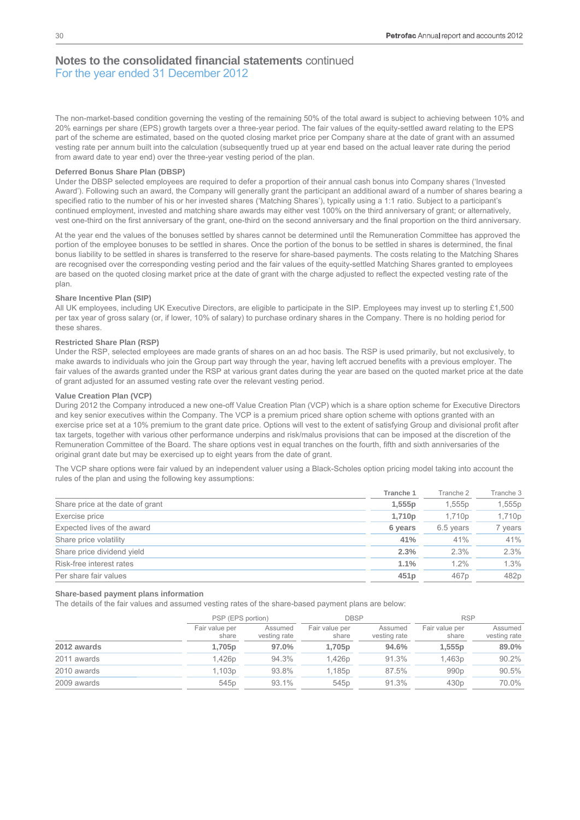The non-market-based condition governing the vesting of the remaining 50% of the total award is subject to achieving between 10% and 20% earnings per share (EPS) growth targets over a three-year period. The fair values of the equity-settled award relating to the EPS part of the scheme are estimated, based on the quoted closing market price per Company share at the date of grant with an assumed vesting rate per annum built into the calculation (subsequently trued up at year end based on the actual leaver rate during the period from award date to year end) over the three-year vesting period of the plan.

#### **Deferred Bonus Share Plan (DBSP)**

Under the DBSP selected employees are required to defer a proportion of their annual cash bonus into Company shares ('Invested Award'). Following such an award, the Company will generally grant the participant an additional award of a number of shares bearing a specified ratio to the number of his or her invested shares ('Matching Shares'), typically using a 1:1 ratio. Subject to a participant's continued employment, invested and matching share awards may either vest 100% on the third anniversary of grant; or alternatively, vest one-third on the first anniversary of the grant, one-third on the second anniversary and the final proportion on the third anniversary.

At the year end the values of the bonuses settled by shares cannot be determined until the Remuneration Committee has approved the portion of the employee bonuses to be settled in shares. Once the portion of the bonus to be settled in shares is determined, the final bonus liability to be settled in shares is transferred to the reserve for share-based payments. The costs relating to the Matching Shares are recognised over the corresponding vesting period and the fair values of the equity-settled Matching Shares granted to employees are based on the quoted closing market price at the date of grant with the charge adjusted to reflect the expected vesting rate of the plan.

#### **Share Incentive Plan (SIP)**

All UK employees, including UK Executive Directors, are eligible to participate in the SIP. Employees may invest up to sterling £1,500 per tax year of gross salary (or, if lower, 10% of salary) to purchase ordinary shares in the Company. There is no holding period for these shares.

#### **Restricted Share Plan (RSP)**

Under the RSP, selected employees are made grants of shares on an ad hoc basis. The RSP is used primarily, but not exclusively, to make awards to individuals who join the Group part way through the year, having left accrued benefits with a previous employer. The fair values of the awards granted under the RSP at various grant dates during the year are based on the quoted market price at the date of grant adjusted for an assumed vesting rate over the relevant vesting period.

#### **Value Creation Plan (VCP)**

During 2012 the Company introduced a new one-off Value Creation Plan (VCP) which is a share option scheme for Executive Directors and key senior executives within the Company. The VCP is a premium priced share option scheme with options granted with an exercise price set at a 10% premium to the grant date price. Options will vest to the extent of satisfying Group and divisional profit after tax targets, together with various other performance underpins and risk/malus provisions that can be imposed at the discretion of the Remuneration Committee of the Board. The share options vest in equal tranches on the fourth, fifth and sixth anniversaries of the original grant date but may be exercised up to eight years from the date of grant.

The VCP share options were fair valued by an independent valuer using a Black-Scholes option pricing model taking into account the rules of the plan and using the following key assumptions:

|                                  | Tranche 1 | Tranche 2        | Tranche 3 |
|----------------------------------|-----------|------------------|-----------|
| Share price at the date of grant | 1,555p    | 1,555p           | 1,555p    |
| Exercise price                   | 1,710p    | 1,710p           | 1,710p    |
| Expected lives of the award      | 6 years   | 6.5 years        | vears     |
| Share price volatility           | 41%       | 41%              | 41%       |
| Share price dividend yield       | 2.3%      | 2.3%             | 2.3%      |
| Risk-free interest rates         | 1.1%      | $1.2\%$          | 1.3%      |
| Per share fair values            | 451p      | 467 <sub>p</sub> | 482p      |

#### **Share-based payment plans information**

The details of the fair values and assumed vesting rates of the share-based payment plans are below:

|             | PSP (EPS portion)       |                         | <b>DBSP</b>             |                         | <b>RSP</b>              |                         |  |
|-------------|-------------------------|-------------------------|-------------------------|-------------------------|-------------------------|-------------------------|--|
|             | Fair value per<br>share | Assumed<br>vesting rate | Fair value per<br>share | Assumed<br>vesting rate | Fair value per<br>share | Assumed<br>vesting rate |  |
| 2012 awards | 1,705p                  | 97.0%                   | 1,705p                  | 94.6%                   | 1,555p                  | 89.0%                   |  |
| 2011 awards | 1,426p                  | 94.3%                   | 1.426 <sub>p</sub>      | 91.3%                   | 1,463p                  | 90.2%                   |  |
| 2010 awards | 1,103p                  | 93.8%                   | 1,185p                  | 87.5%                   | 990 <sub>p</sub>        | 90.5%                   |  |
| 2009 awards | 545 <sub>p</sub>        | 93.1%                   | 545 <sub>p</sub>        | 91.3%                   | 430 <sub>p</sub>        | 70.0%                   |  |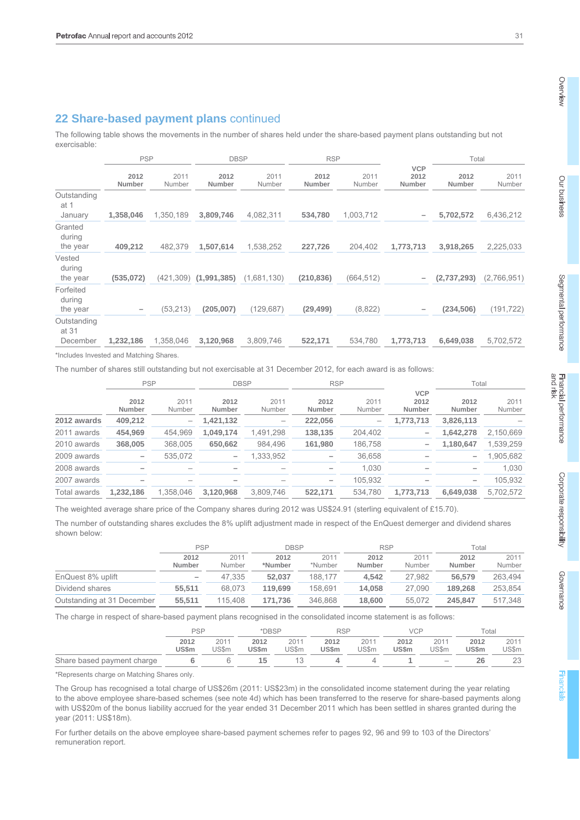# **22 Share-based payment plans** continued

The following table shows the movements in the number of shares held under the share-based payment plans outstanding but not exercisable:

|                                  | <b>PSP</b>     |                | <b>DBSP</b>    |                | <b>RSP</b>     |                |                              | Total          |                |
|----------------------------------|----------------|----------------|----------------|----------------|----------------|----------------|------------------------------|----------------|----------------|
|                                  | 2012<br>Number | 2011<br>Number | 2012<br>Number | 2011<br>Number | 2012<br>Number | 2011<br>Number | <b>VCP</b><br>2012<br>Number | 2012<br>Number | 2011<br>Number |
| Outstanding<br>at 1<br>January   | 1,358,046      | 1,350,189      | 3,809,746      | 4,082,311      | 534,780        | 1,003,712      | $\overline{\phantom{m}}$     | 5,702,572      | 6,436,212      |
| Granted<br>during<br>the year    | 409,212        | 482,379        | 1,507,614      | 1,538,252      | 227,726        | 204,402        | 1,773,713                    | 3,918,265      | 2,225,033      |
| Vested<br>during<br>the year     | (535,072)      | (421, 309)     | (1, 991, 385)  | (1,681,130)    | (210, 836)     | (664, 512)     | -                            | (2,737,293)    | (2,766,951)    |
| Forfeited<br>during<br>the year  |                | (53,213)       | (205,007)      | (129, 687)     | (29, 499)      | (8,822)        | $\overline{\phantom{0}}$     | (234, 506)     | (191, 722)     |
| Outstanding<br>at 31<br>December | 1,232,186      | 1,358,046      | 3,120,968      | 3,809,746      | 522,171        | 534,780        | 1,773,713                    | 6,649,038      | 5,702,572      |

\*Includes Invested and Matching Shares.

The number of shares still outstanding but not exercisable at 31 December 2012, for each award is as follows:

|              | <b>PSP</b>     |                                  | <b>DBSP</b>                          |                | <b>RSP</b>     |                 |                              | Total                    |                |
|--------------|----------------|----------------------------------|--------------------------------------|----------------|----------------|-----------------|------------------------------|--------------------------|----------------|
|              | 2012<br>Number | 2011<br>Number                   | 2012<br>Number                       | 2011<br>Number | 2012<br>Number | 2011<br>Number  | <b>VCP</b><br>2012<br>Number | 2012<br>Number           | 2011<br>Number |
| 2012 awards  | 409,212        | $\overbrace{\phantom{12322111}}$ | 1,421,132                            |                | 222,056        | $\qquad \qquad$ | 1,773,713                    | 3,826,113                |                |
| 2011 awards  | 454,969        | 454,969                          | 1,049,174                            | 1,491,298      | 138,135        | 204,402         |                              | 1,642,278                | 2,150,669      |
| 2010 awards  | 368,005        | 368.005                          | 650,662                              | 984.496        | 161,980        | 186,758         |                              | 1,180,647                | 1,539,259      |
| 2009 awards  |                | 535,072                          | $\qquad \qquad \  \, -\qquad \qquad$ | 333,952        |                | 36,658          |                              | $\overline{\phantom{0}}$ | 1,905,682      |
| 2008 awards  |                |                                  |                                      |                |                | 1.030           |                              | $\overline{\phantom{0}}$ | 1.030          |
| 2007 awards  |                |                                  |                                      |                | -              | 105.932         |                              | $\qquad \qquad -$        | 105,932        |
| Total awards | 1,232,186      | 1.358.046                        | 3.120.968                            | 3,809,746      | 522.171        | 534.780         | 1,773,713                    | 6,649,038                | 5,702,572      |

The weighted average share price of the Company shares during 2012 was US\$24.91 (sterling equivalent of £15.70).

The number of outstanding shares excludes the 8% uplift adjustment made in respect of the EnQuest demerger and dividend shares shown below:

|                            | PSP                      |                | <b>DBSP</b>     |                 | <b>RSP</b>     |                | Гotal          |                |
|----------------------------|--------------------------|----------------|-----------------|-----------------|----------------|----------------|----------------|----------------|
|                            | 2012<br><b>Number</b>    | 2011<br>Number | 2012<br>*Number | 2011<br>*Number | 2012<br>Number | 2011<br>Number | 2012<br>Number | 2011<br>Number |
| EnQuest 8% uplift          | $\overline{\phantom{m}}$ | 47.335         | 52.037          | 188.177         | 4.542          | 27,982         | 56,579         | 263,494        |
| Dividend shares            | 55.511                   | 68.073         | 119,699         | 158.691         | 14.058         | 27.090         | 189,268        | 253,854        |
| Outstanding at 31 December | 55.511                   | 115.408        | 171.736         | 346.868         | 18,600         | 55.072         | 245.847        | 517.348        |

The charge in respect of share-based payment plans recognised in the consolidated income statement is as follows:

|                            | <b>PSP</b>    |               | *DBSP                |               | RSP                  |               | VCP                  |                          | $\tau$ otal   |               |
|----------------------------|---------------|---------------|----------------------|---------------|----------------------|---------------|----------------------|--------------------------|---------------|---------------|
|                            | 2012<br>US\$m | 2011<br>JS\$m | 2012<br><b>US\$m</b> | 2011<br>US\$m | 2012<br><b>US\$m</b> | 2011<br>US\$m | 2012<br><b>US\$m</b> | 2011<br>JS\$m            | 2012<br>US\$m | 2011<br>US\$m |
| Share based payment charge |               |               | 15                   |               |                      |               |                      | $\overline{\phantom{m}}$ | 26            |               |

\*Represents charge on Matching Shares only.

The Group has recognised a total charge of US\$26m (2011: US\$23m) in the consolidated income statement during the year relating to the above employee share-based schemes (see note 4d) which has been transferred to the reserve for share-based payments along with US\$20m of the bonus liability accrued for the year ended 31 December 2011 which has been settled in shares granted during the year (2011: US\$18m).

For further details on the above employee share-based payment schemes refer to pages 92, 96 and 99 to 103 of the Directors' remuneration report.

Overview

**Financia** 

Governance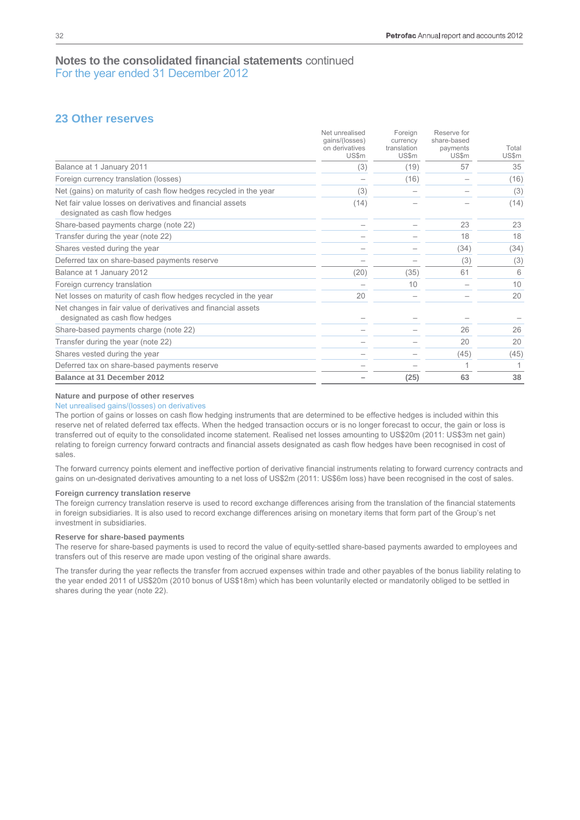# **23 Other reserves**

|                                                                                                 | Net unrealised<br>qains/(losses)<br>on derivatives<br>US\$m | Foreign<br>currency<br>translation<br>US\$m | Reserve for<br>share-based<br>payments<br>US\$m | Total<br>US\$m |
|-------------------------------------------------------------------------------------------------|-------------------------------------------------------------|---------------------------------------------|-------------------------------------------------|----------------|
| Balance at 1 January 2011                                                                       | (3)                                                         | (19)                                        | 57                                              | 35             |
| Foreign currency translation (losses)                                                           |                                                             | (16)                                        |                                                 | (16)           |
| Net (gains) on maturity of cash flow hedges recycled in the year                                | (3)                                                         |                                             |                                                 | (3)            |
| Net fair value losses on derivatives and financial assets<br>designated as cash flow hedges     | (14)                                                        |                                             |                                                 | (14)           |
| Share-based payments charge (note 22)                                                           |                                                             |                                             | 23                                              | 23             |
| Transfer during the year (note 22)                                                              |                                                             |                                             | 18                                              | 18             |
| Shares vested during the year                                                                   |                                                             |                                             | (34)                                            | (34)           |
| Deferred tax on share-based payments reserve                                                    |                                                             |                                             | (3)                                             | (3)            |
| Balance at 1 January 2012                                                                       | (20)                                                        | (35)                                        | 61                                              | 6              |
| Foreign currency translation                                                                    |                                                             | 10                                          |                                                 | 10             |
| Net losses on maturity of cash flow hedges recycled in the year                                 | 20                                                          |                                             |                                                 | 20             |
| Net changes in fair value of derivatives and financial assets<br>designated as cash flow hedges |                                                             |                                             |                                                 |                |
| Share-based payments charge (note 22)                                                           |                                                             |                                             | 26                                              | 26             |
| Transfer during the year (note 22)                                                              |                                                             |                                             | 20                                              | 20             |
| Shares vested during the year                                                                   |                                                             |                                             | (45)                                            | (45)           |
| Deferred tax on share-based payments reserve                                                    |                                                             |                                             |                                                 |                |
| Balance at 31 December 2012                                                                     |                                                             | (25)                                        | 63                                              | 38             |

#### **Nature and purpose of other reserves**

#### Net unrealised gains/(losses) on derivatives

The portion of gains or losses on cash flow hedging instruments that are determined to be effective hedges is included within this reserve net of related deferred tax effects. When the hedged transaction occurs or is no longer forecast to occur, the gain or loss is transferred out of equity to the consolidated income statement. Realised net losses amounting to US\$20m (2011: US\$3m net gain) relating to foreign currency forward contracts and financial assets designated as cash flow hedges have been recognised in cost of sales.

The forward currency points element and ineffective portion of derivative financial instruments relating to forward currency contracts and gains on un-designated derivatives amounting to a net loss of US\$2m (2011: US\$6m loss) have been recognised in the cost of sales.

#### **Foreign currency translation reserve**

The foreign currency translation reserve is used to record exchange differences arising from the translation of the financial statements in foreign subsidiaries. It is also used to record exchange differences arising on monetary items that form part of the Group's net investment in subsidiaries.

## **Reserve for share-based payments**

The reserve for share-based payments is used to record the value of equity-settled share-based payments awarded to employees and transfers out of this reserve are made upon vesting of the original share awards.

The transfer during the year reflects the transfer from accrued expenses within trade and other payables of the bonus liability relating to the year ended 2011 of US\$20m (2010 bonus of US\$18m) which has been voluntarily elected or mandatorily obliged to be settled in shares during the year (note 22).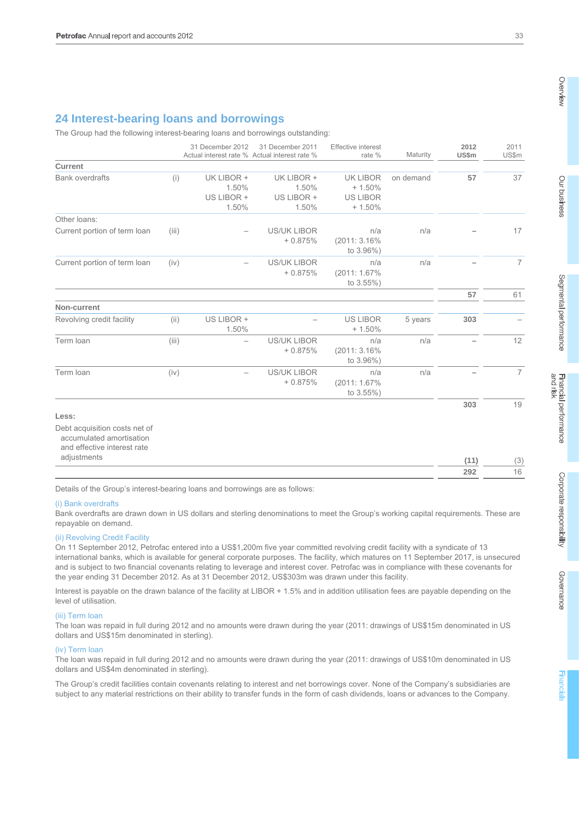# **24 Interest-bearing loans and borrowings**

The Group had the following interest-bearing loans and borrowings outstanding:

|                                                                                          |       | 31 December 2012                           | 31 December 2011<br>Actual interest rate % Actual interest rate % | <b>Effective interest</b><br>rate %                        | Maturity  | 2012<br><b>US\$m</b> | 2011<br>US\$m  |
|------------------------------------------------------------------------------------------|-------|--------------------------------------------|-------------------------------------------------------------------|------------------------------------------------------------|-----------|----------------------|----------------|
| <b>Current</b>                                                                           |       |                                            |                                                                   |                                                            |           |                      |                |
| <b>Bank overdrafts</b>                                                                   | (i)   | UK LIBOR +<br>1.50%<br>US LIBOR +<br>1.50% | UK LIBOR +<br>1.50%<br>US LIBOR +<br>1.50%                        | <b>UK LIBOR</b><br>$+1.50%$<br><b>US LIBOR</b><br>$+1.50%$ | on demand | 57                   | 37             |
| Other loans:                                                                             |       |                                            |                                                                   |                                                            |           |                      |                |
| Current portion of term loan                                                             | (iii) |                                            | <b>US/UK LIBOR</b><br>$+0.875%$                                   | n/a<br>(2011: 3.16%)<br>to 3.96%)                          | n/a       |                      | 17             |
| Current portion of term loan                                                             | (iv)  |                                            | <b>US/UK LIBOR</b><br>$+0.875%$                                   | n/a<br>(2011: 1.67%<br>to 3.55%)                           | n/a       |                      | $\overline{7}$ |
|                                                                                          |       |                                            |                                                                   |                                                            |           | 57                   | 61             |
| Non-current                                                                              |       |                                            |                                                                   |                                                            |           |                      |                |
| Revolving credit facility                                                                | (ii)  | US LIBOR +<br>1.50%                        |                                                                   | <b>US LIBOR</b><br>$+1.50%$                                | 5 years   | 303                  |                |
| Term loan                                                                                | (iii) | $\qquad \qquad -$                          | <b>US/UK LIBOR</b><br>$+0.875%$                                   | n/a<br>(2011: 3.16%)<br>to 3.96%)                          | n/a       |                      | 12             |
| Term Ioan                                                                                | (iv)  | $\overline{\phantom{0}}$                   | <b>US/UK LIBOR</b><br>$+0.875%$                                   | n/a<br>(2011: 1.67%<br>to 3.55%)                           | n/a       |                      | $\overline{7}$ |
|                                                                                          |       |                                            |                                                                   |                                                            |           | 303                  | 19             |
| Less:                                                                                    |       |                                            |                                                                   |                                                            |           |                      |                |
| Debt acquisition costs net of<br>accumulated amortisation<br>and effective interest rate |       |                                            |                                                                   |                                                            |           |                      |                |
| adjustments                                                                              |       |                                            |                                                                   |                                                            |           | (11)                 | (3)            |
|                                                                                          |       |                                            |                                                                   |                                                            |           | 292                  | 16             |

Details of the Group's interest-bearing loans and borrowings are as follows:

#### (i) Bank overdrafts

Bank overdrafts are drawn down in US dollars and sterling denominations to meet the Group's working capital requirements. These are repayable on demand.

#### (ii) Revolving Credit Facility

On 11 September 2012, Petrofac entered into a US\$1,200m five year committed revolving credit facility with a syndicate of 13 international banks, which is available for general corporate purposes. The facility, which matures on 11 September 2017, is unsecured and is subject to two financial covenants relating to leverage and interest cover. Petrofac was in compliance with these covenants for the year ending 31 December 2012. As at 31 December 2012, US\$303m was drawn under this facility.

Interest is payable on the drawn balance of the facility at LIBOR + 1.5% and in addition utilisation fees are payable depending on the level of utilisation.

#### (iii) Term loan

The loan was repaid in full during 2012 and no amounts were drawn during the year (2011: drawings of US\$15m denominated in US dollars and US\$15m denominated in sterling).

#### (iv) Term loan

The loan was repaid in full during 2012 and no amounts were drawn during the year (2011: drawings of US\$10m denominated in US dollars and US\$4m denominated in sterling).

The Group's credit facilities contain covenants relating to interest and net borrowings cover. None of the Company's subsidiaries are subject to any material restrictions on their ability to transfer funds in the form of cash dividends, loans or advances to the Company.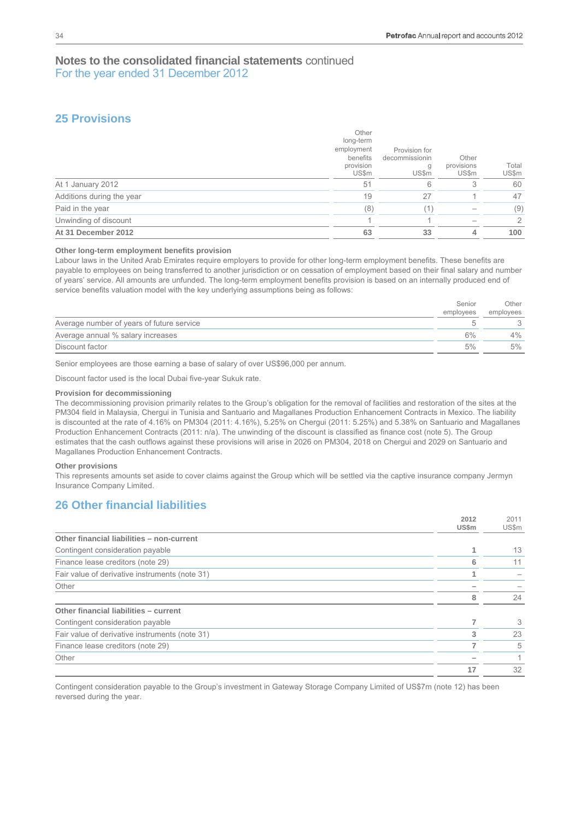# **25 Provisions**

| Unwinding of discount<br>At 31 December 2012 | 63                                                                 | 33                                            | 4                            | $\overline{2}$<br>100 |
|----------------------------------------------|--------------------------------------------------------------------|-----------------------------------------------|------------------------------|-----------------------|
| Paid in the year                             | (8)                                                                | (1)                                           |                              | (9)                   |
| Additions during the year                    | 19                                                                 | 27                                            |                              | 47                    |
| At 1 January 2012                            | 51                                                                 | 6                                             | 3                            | 60                    |
|                                              | Other<br>long-term<br>employment<br>benefits<br>provision<br>US\$m | Provision for<br>decommissionin<br>g<br>US\$m | Other<br>provisions<br>US\$m | Total<br>US\$m        |

#### **Other long-term employment benefits provision**

Labour laws in the United Arab Emirates require employers to provide for other long-term employment benefits. These benefits are payable to employees on being transferred to another jurisdiction or on cessation of employment based on their final salary and number of years' service. All amounts are unfunded. The long-term employment benefits provision is based on an internally produced end of service benefits valuation model with the key underlying assumptions being as follows:

|                                           | Senior    | Other     |
|-------------------------------------------|-----------|-----------|
|                                           | employees | employees |
| Average number of years of future service |           |           |
| Average annual % salary increases         | 6%        | $4\%$     |
| Discount factor                           | 5%        | 5%        |

Senior employees are those earning a base of salary of over US\$96,000 per annum.

Discount factor used is the local Dubai five-year Sukuk rate.

#### **Provision for decommissioning**

The decommissioning provision primarily relates to the Group's obligation for the removal of facilities and restoration of the sites at the PM304 field in Malaysia, Chergui in Tunisia and Santuario and Magallanes Production Enhancement Contracts in Mexico. The liability is discounted at the rate of 4.16% on PM304 (2011: 4.16%), 5.25% on Chergui (2011: 5.25%) and 5.38% on Santuario and Magallanes Production Enhancement Contracts (2011: n/a). The unwinding of the discount is classified as finance cost (note 5). The Group estimates that the cash outflows against these provisions will arise in 2026 on PM304, 2018 on Chergui and 2029 on Santuario and Magallanes Production Enhancement Contracts.

#### **Other provisions**

This represents amounts set aside to cover claims against the Group which will be settled via the captive insurance company Jermyn Insurance Company Limited.

# **26 Other financial liabilities**

|                                                | 2012<br>US\$m | 2011<br>US\$m |
|------------------------------------------------|---------------|---------------|
| Other financial liabilities - non-current      |               |               |
| Contingent consideration payable               |               | 13            |
| Finance lease creditors (note 29)              | 6             | 11            |
| Fair value of derivative instruments (note 31) |               |               |
| Other                                          |               |               |
|                                                | 8             | 24            |
| Other financial liabilities - current          |               |               |
| Contingent consideration payable               |               | 3             |
| Fair value of derivative instruments (note 31) | 3             | 23            |
| Finance lease creditors (note 29)              |               | 5             |
| Other                                          |               |               |
|                                                | 17            | 32            |

Contingent consideration payable to the Group's investment in Gateway Storage Company Limited of US\$7m (note 12) has been reversed during the year.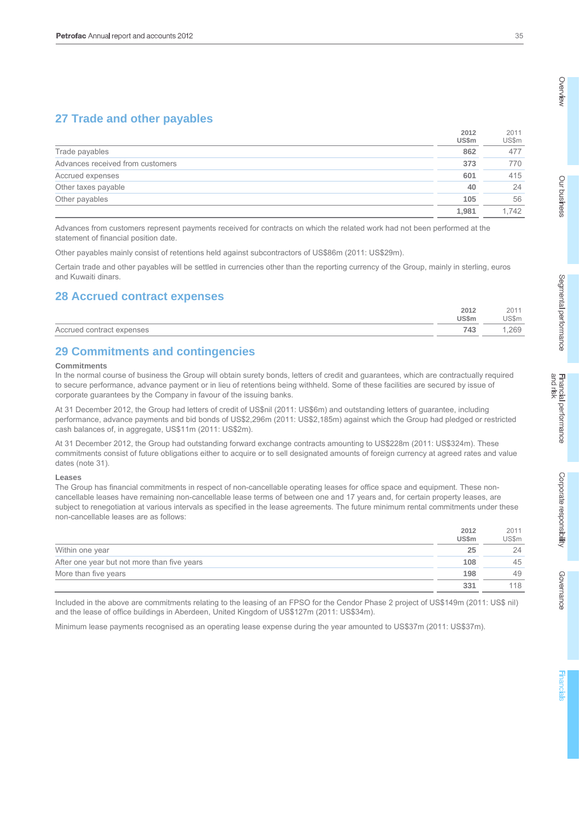# **27 Trade and other payables**

|                                  | 2012<br>US\$m | 2011<br>US\$m |
|----------------------------------|---------------|---------------|
| Trade payables                   | 862           | 477           |
| Advances received from customers | 373           | 770           |
| Accrued expenses                 | 601           | 415           |
| Other taxes payable              | 40            | 24            |
| Other payables                   | 105           | 56            |
|                                  | 1.981         | 1.742         |

Advances from customers represent payments received for contracts on which the related work had not been performed at the statement of financial position date.

Other payables mainly consist of retentions held against subcontractors of US\$86m (2011: US\$29m).

Certain trade and other payables will be settled in currencies other than the reporting currency of the Group, mainly in sterling, euros and Kuwaiti dinars.

# **28 Accrued contract expenses**

|                                 | 2012   | 201    |
|---------------------------------|--------|--------|
|                                 | 'JS\$m | 'JS\$m |
| contract<br>expenses<br>Accrued | 743    | .269   |

# **29 Commitments and contingencies**

#### **Commitments**

In the normal course of business the Group will obtain surety bonds, letters of credit and guarantees, which are contractually required to secure performance, advance payment or in lieu of retentions being withheld. Some of these facilities are secured by issue of corporate guarantees by the Company in favour of the issuing banks.

At 31 December 2012, the Group had letters of credit of US\$nil (2011: US\$6m) and outstanding letters of guarantee, including performance, advance payments and bid bonds of US\$2,296m (2011: US\$2,185m) against which the Group had pledged or restricted cash balances of, in aggregate, US\$11m (2011: US\$2m).

At 31 December 2012, the Group had outstanding forward exchange contracts amounting to US\$228m (2011: US\$324m). These commitments consist of future obligations either to acquire or to sell designated amounts of foreign currency at agreed rates and value dates (note 31).

#### **Leases**

The Group has financial commitments in respect of non-cancellable operating leases for office space and equipment. These noncancellable leases have remaining non-cancellable lease terms of between one and 17 years and, for certain property leases, are subject to renegotiation at various intervals as specified in the lease agreements. The future minimum rental commitments under these non-cancellable leases are as follows:

|                                             | 2012<br><b>US\$m</b> | 2011<br>US\$m |
|---------------------------------------------|----------------------|---------------|
| Within one year                             | 25                   | 24            |
| After one year but not more than five years | 108                  | 45            |
| More than five years                        | 198                  | 49            |
|                                             | 331                  | 118           |

Included in the above are commitments relating to the leasing of an FPSO for the Cendor Phase 2 project of US\$149m (2011: US\$ nil) and the lease of office buildings in Aberdeen, United Kingdom of US\$127m (2011: US\$34m).

Minimum lease payments recognised as an operating lease expense during the year amounted to US\$37m (2011: US\$37m).

Governance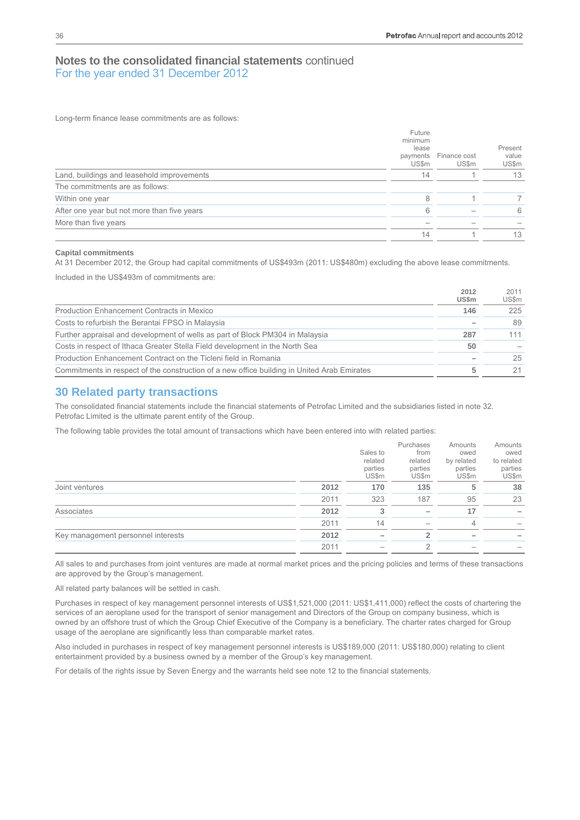Long-term finance lease commitments are as follows:

|                                             | Future<br>minimum<br>lease<br>payments<br>US\$m | Finance cost<br>US\$m | Present<br>value<br>US\$m |
|---------------------------------------------|-------------------------------------------------|-----------------------|---------------------------|
| Land, buildings and leasehold improvements  | 14                                              |                       | 13                        |
| The commitments are as follows:             |                                                 |                       |                           |
| Within one year                             | 8                                               |                       |                           |
| After one year but not more than five years | ൳                                               |                       | 6                         |
| More than five years                        |                                                 |                       |                           |
|                                             | 14                                              |                       | 13                        |

#### **Capital commitments**

At 31 December 2012, the Group had capital commitments of US\$493m (2011: US\$480m) excluding the above lease commitments.

Included in the US\$493m of commitments are:

|                                                                                             | 2012<br>US\$m | 2011<br>US\$m |
|---------------------------------------------------------------------------------------------|---------------|---------------|
| <b>Production Enhancement Contracts in Mexico</b>                                           | 146           | 225           |
| Costs to refurbish the Berantai FPSO in Malaysia                                            |               | 89            |
| Further appraisal and development of wells as part of Block PM304 in Malaysia               | 287           | 111           |
| Costs in respect of Ithaca Greater Stella Field development in the North Sea                | 50            |               |
| Production Enhancement Contract on the Ticleni field in Romania                             |               | 25            |
| Commitments in respect of the construction of a new office building in United Arab Emirates | 5             | 21            |

## **30 Related party transactions**

The consolidated financial statements include the financial statements of Petrofac Limited and the subsidiaries listed in note 32. Petrofac Limited is the ultimate parent entity of the Group.

The following table provides the total amount of transactions which have been entered into with related parties:

|                                    |      | Sales to                    | Purchases<br>from           | Amounts<br>owed                | Amounts<br>owed                |
|------------------------------------|------|-----------------------------|-----------------------------|--------------------------------|--------------------------------|
|                                    |      | related<br>parties<br>US\$m | related<br>parties<br>US\$m | by related<br>parties<br>US\$m | to related<br>parties<br>US\$m |
| Joint ventures                     | 2012 | 170                         | 135                         | 5                              | 38                             |
|                                    | 2011 | 323                         | 187                         | 95                             | 23                             |
| Associates                         | 2012 | 3                           |                             | 17                             |                                |
|                                    | 2011 | 14                          | $\hspace{0.05cm}$           | 4                              |                                |
| Key management personnel interests | 2012 |                             |                             |                                |                                |
|                                    | 2011 |                             |                             |                                |                                |

All sales to and purchases from joint ventures are made at normal market prices and the pricing policies and terms of these transactions are approved by the Group's management.

All related party balances will be settled in cash.

Purchases in respect of key management personnel interests of US\$1,521,000 (2011: US\$1,411,000) reflect the costs of chartering the services of an aeroplane used for the transport of senior management and Directors of the Group on company business, which is owned by an offshore trust of which the Group Chief Executive of the Company is a beneficiary. The charter rates charged for Group usage of the aeroplane are significantly less than comparable market rates.

Also included in purchases in respect of key management personnel interests is US\$189,000 (2011: US\$180,000) relating to client entertainment provided by a business owned by a member of the Group's key management.

For details of the rights issue by Seven Energy and the warrants held see note 12 to the financial statements.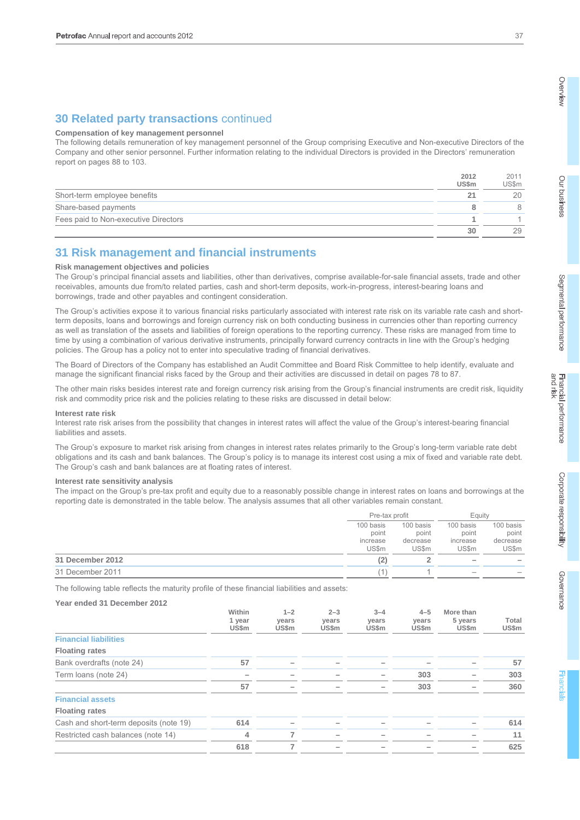# **30 Related party transactions** continued

#### **Compensation of key management personnel**

The following details remuneration of key management personnel of the Group comprising Executive and Non-executive Directors of the Company and other senior personnel. Further information relating to the individual Directors is provided in the Directors' remuneration report on pages 88 to 103.

|                                      | 2012<br><b>US\$m</b> | 2011<br>US\$m |
|--------------------------------------|----------------------|---------------|
| Short-term employee benefits         | 21                   | 20            |
| Share-based payments                 |                      | 8             |
| Fees paid to Non-executive Directors |                      |               |
|                                      | 30                   | 29            |

# **31 Risk management and financial instruments**

#### **Risk management objectives and policies**

The Group's principal financial assets and liabilities, other than derivatives, comprise available-for-sale financial assets, trade and other receivables, amounts due from/to related parties, cash and short-term deposits, work-in-progress, interest-bearing loans and borrowings, trade and other payables and contingent consideration.

The Group's activities expose it to various financial risks particularly associated with interest rate risk on its variable rate cash and shortterm deposits, loans and borrowings and foreign currency risk on both conducting business in currencies other than reporting currency as well as translation of the assets and liabilities of foreign operations to the reporting currency. These risks are managed from time to time by using a combination of various derivative instruments, principally forward currency contracts in line with the Group's hedging policies. The Group has a policy not to enter into speculative trading of financial derivatives.

The Board of Directors of the Company has established an Audit Committee and Board Risk Committee to help identify, evaluate and manage the significant financial risks faced by the Group and their activities are discussed in detail on pages 78 to 87.

The other main risks besides interest rate and foreign currency risk arising from the Group's financial instruments are credit risk, liquidity risk and commodity price risk and the policies relating to these risks are discussed in detail below:

#### **Interest rate risk**

Interest rate risk arises from the possibility that changes in interest rates will affect the value of the Group's interest-bearing financial liabilities and assets.

The Group's exposure to market risk arising from changes in interest rates relates primarily to the Group's long-term variable rate debt obligations and its cash and bank balances. The Group's policy is to manage its interest cost using a mix of fixed and variable rate debt. The Group's cash and bank balances are at floating rates of interest.

#### **Interest rate sensitivity analysis**

The impact on the Group's pre-tax profit and equity due to a reasonably possible change in interest rates on loans and borrowings at the reporting date is demonstrated in the table below. The analysis assumes that all other variables remain constant.

|                  |           | Pre-tax profit |                          | Eauity       |
|------------------|-----------|----------------|--------------------------|--------------|
|                  | 100 basis | 100 basis      | 100 basis                | 100 basis    |
|                  | point     | point          | point                    | point        |
|                  | increase  | decrease       | increase                 | decrease     |
|                  | US\$m     | <b>US\$m</b>   | <b>US\$m</b>             | <b>US\$m</b> |
| 31 December 2012 | (2)       |                | $\overline{\phantom{a}}$ |              |
| 31 December 2011 |           |                |                          |              |

The following table reflects the maturity profile of these financial liabilities and assets:

**Year ended 31 December 2012** 

|                                        | Within<br>1 year<br>US\$m | $1 - 2$<br>years<br>US\$m | $2 - 3$<br>years<br>US\$m | $3 - 4$<br>years<br>US\$m | $4 - 5$<br>years<br>US\$m | More than<br>5 years<br>US\$m | Total<br>US\$m |
|----------------------------------------|---------------------------|---------------------------|---------------------------|---------------------------|---------------------------|-------------------------------|----------------|
| <b>Financial liabilities</b>           |                           |                           |                           |                           |                           |                               |                |
| <b>Floating rates</b>                  |                           |                           |                           |                           |                           |                               |                |
| Bank overdrafts (note 24)              | 57                        | -                         |                           |                           |                           |                               | 57             |
| Term loans (note 24)                   |                           |                           |                           |                           | 303                       |                               | 303            |
|                                        | 57                        |                           |                           |                           | 303                       |                               | 360            |
| <b>Financial assets</b>                |                           |                           |                           |                           |                           |                               |                |
| <b>Floating rates</b>                  |                           |                           |                           |                           |                           |                               |                |
| Cash and short-term deposits (note 19) | 614                       |                           |                           |                           |                           |                               | 614            |
| Restricted cash balances (note 14)     | 4                         | 7                         |                           |                           |                           |                               | 11             |
|                                        | 618                       | -                         |                           |                           |                           |                               | 625            |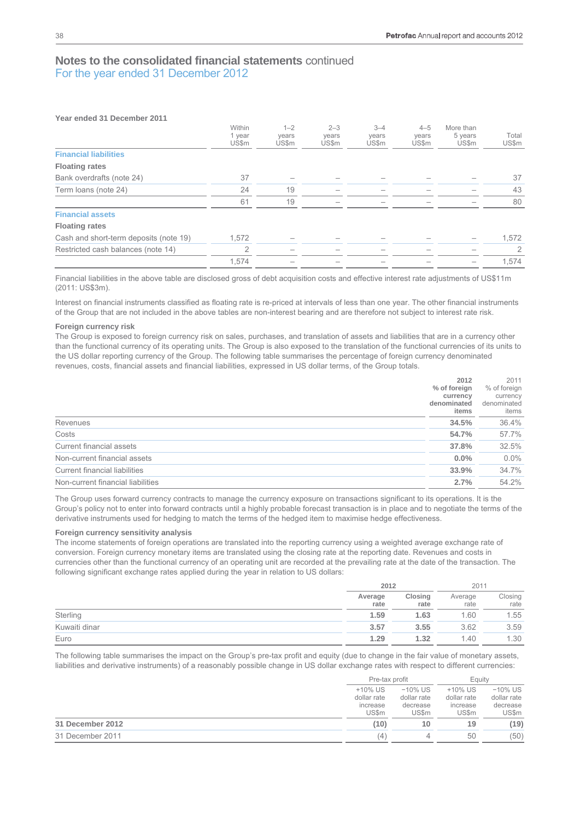| Year ended 31 December 2011            |                           |                           |                           |                           |                           |                                      |                |
|----------------------------------------|---------------------------|---------------------------|---------------------------|---------------------------|---------------------------|--------------------------------------|----------------|
|                                        | Within<br>1 year<br>US\$m | $1 - 2$<br>years<br>US\$m | $2 - 3$<br>vears<br>US\$m | $3 - 4$<br>years<br>US\$m | $4 - 5$<br>years<br>US\$m | More than<br>5 years<br><b>US\$m</b> | Total<br>US\$m |
| <b>Financial liabilities</b>           |                           |                           |                           |                           |                           |                                      |                |
| <b>Floating rates</b>                  |                           |                           |                           |                           |                           |                                      |                |
| Bank overdrafts (note 24)              | 37                        |                           |                           |                           |                           |                                      | 37             |
| Term loans (note 24)                   | 24                        | 19                        |                           |                           |                           |                                      | 43             |
|                                        | 61                        | 19                        |                           |                           |                           |                                      | 80             |
| <b>Financial assets</b>                |                           |                           |                           |                           |                           |                                      |                |
| <b>Floating rates</b>                  |                           |                           |                           |                           |                           |                                      |                |
| Cash and short-term deposits (note 19) | 1,572                     |                           |                           |                           |                           |                                      | 1,572          |
| Restricted cash balances (note 14)     | $\overline{2}$            |                           |                           |                           |                           |                                      | 2              |
|                                        | 1,574                     |                           |                           |                           |                           |                                      | 1,574          |

Financial liabilities in the above table are disclosed gross of debt acquisition costs and effective interest rate adjustments of US\$11m (2011: US\$3m).

Interest on financial instruments classified as floating rate is re-priced at intervals of less than one year. The other financial instruments of the Group that are not included in the above tables are non-interest bearing and are therefore not subject to interest rate risk.

#### **Foreign currency risk**

The Group is exposed to foreign currency risk on sales, purchases, and translation of assets and liabilities that are in a currency other than the functional currency of its operating units. The Group is also exposed to the translation of the functional currencies of its units to the US dollar reporting currency of the Group. The following table summarises the percentage of foreign currency denominated revenues, costs, financial assets and financial liabilities, expressed in US dollar terms, of the Group totals.

| % of foreign<br>currency<br>denominated<br>denominated<br>items<br>34.5%<br>54.7%<br>37.8%<br>0.0%<br>33.9% |                                      | 2012 | 2011              |
|-------------------------------------------------------------------------------------------------------------|--------------------------------------|------|-------------------|
|                                                                                                             |                                      |      | % of foreign      |
|                                                                                                             |                                      |      | currency<br>items |
|                                                                                                             | <b>Revenues</b>                      |      | 36.4%             |
|                                                                                                             | Costs                                |      | 57.7%             |
|                                                                                                             | Current financial assets             |      | 32.5%             |
|                                                                                                             | Non-current financial assets         |      | $0.0\%$           |
|                                                                                                             | <b>Current financial liabilities</b> |      | 34.7%             |
|                                                                                                             | Non-current financial liabilities    | 2.7% | 54.2%             |

The Group uses forward currency contracts to manage the currency exposure on transactions significant to its operations. It is the Group's policy not to enter into forward contracts until a highly probable forecast transaction is in place and to negotiate the terms of the derivative instruments used for hedging to match the terms of the hedged item to maximise hedge effectiveness.

#### **Foreign currency sensitivity analysis**

The income statements of foreign operations are translated into the reporting currency using a weighted average exchange rate of conversion. Foreign currency monetary items are translated using the closing rate at the reporting date. Revenues and costs in currencies other than the functional currency of an operating unit are recorded at the prevailing rate at the date of the transaction. The following significant exchange rates applied during the year in relation to US dollars:

|               |                 | 2012            |                 | 2011            |
|---------------|-----------------|-----------------|-----------------|-----------------|
|               | Average<br>rate | Closing<br>rate | Average<br>rate | Closing<br>rate |
| Sterling      | 1.59            | 1.63            | 1.60            | 1.55            |
| Kuwaiti dinar | 3.57            | 3.55            | 3.62            | 3.59            |
| Euro          | 1.29            | 1.32            | 1.40            | 1.30            |

The following table summarises the impact on the Group's pre-tax profit and equity (due to change in the fair value of monetary assets, liabilities and derivative instruments) of a reasonably possible change in US dollar exchange rates with respect to different currencies:

|                  |                                                | Pre-tax profit                                        |                                             | Eauitv                                                |
|------------------|------------------------------------------------|-------------------------------------------------------|---------------------------------------------|-------------------------------------------------------|
|                  | $+10\%$ US<br>dollar rate<br>increase<br>US\$m | $-10\%$ US<br>dollar rate<br>decrease<br><b>US\$m</b> | +10% US<br>dollar rate<br>increase<br>US\$m | $-10\%$ US<br>dollar rate<br>decrease<br><b>US\$m</b> |
| 31 December 2012 | (10)                                           | 10                                                    | 19                                          | (19)                                                  |
| 31 December 2011 | (4)                                            | 4                                                     | 50                                          | (50)                                                  |
|                  |                                                |                                                       |                                             |                                                       |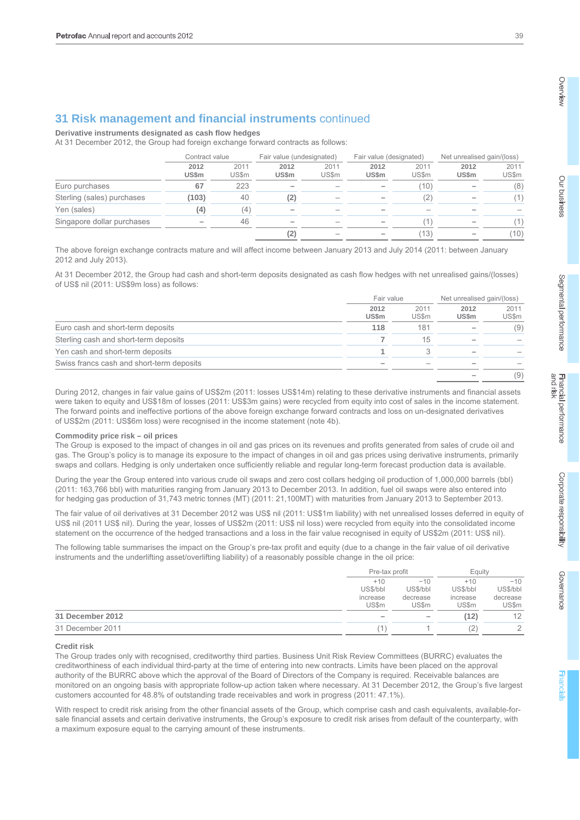## **31 Risk management and financial instruments** continued

**Derivative instruments designated as cash flow hedges** 

At 31 December 2012, the Group had foreign exchange forward contracts as follows:

|                            | Contract value | Fair value (undesignated) |               | Fair value (designated) |                      | Net unrealised gain/(loss) |               |                |
|----------------------------|----------------|---------------------------|---------------|-------------------------|----------------------|----------------------------|---------------|----------------|
|                            | 2012<br>US\$m  | 2011<br>US\$m             | 2012<br>US\$m | 2011<br>US\$m           | 2012<br><b>US\$m</b> | 2011<br><b>US\$m</b>       | 2012<br>US\$m | 2011<br>US\$m  |
| Euro purchases             | 67             | 223                       |               |                         |                      | (10)                       |               | (8)            |
| Sterling (sales) purchases | (103)          | 40                        | (2)           |                         |                      | (2)                        |               | $^{\prime}$ 1) |
| Yen (sales)                | (4)            | (4)                       |               |                         |                      |                            |               |                |
| Singapore dollar purchases |                | 46                        |               |                         |                      |                            |               | '1)            |
|                            |                |                           | (2)           |                         |                      | 13)                        |               | (10)           |

The above foreign exchange contracts mature and will affect income between January 2013 and July 2014 (2011: between January 2012 and July 2013).

At 31 December 2012, the Group had cash and short-term deposits designated as cash flow hedges with net unrealised gains/(losses) of US\$ nil (2011: US\$9m loss) as follows:

|                                           | Fair value           |               | Net unrealised gain/(loss) |               |
|-------------------------------------------|----------------------|---------------|----------------------------|---------------|
|                                           | 2012<br><b>US\$m</b> | 2011<br>US\$m | 2012<br><b>US\$m</b>       | 2011<br>US\$m |
| Euro cash and short-term deposits         | 118                  | 181           |                            | (9)           |
| Sterling cash and short-term deposits     |                      | 15            |                            |               |
| Yen cash and short-term deposits          |                      |               |                            |               |
| Swiss francs cash and short-term deposits |                      |               |                            |               |
|                                           |                      |               |                            | (9)           |

During 2012, changes in fair value gains of US\$2m (2011: losses US\$14m) relating to these derivative instruments and financial assets were taken to equity and US\$18m of losses (2011: US\$3m gains) were recycled from equity into cost of sales in the income statement. The forward points and ineffective portions of the above foreign exchange forward contracts and loss on un-designated derivatives of US\$2m (2011: US\$6m loss) were recognised in the income statement (note 4b).

#### **Commodity price risk – oil prices**

The Group is exposed to the impact of changes in oil and gas prices on its revenues and profits generated from sales of crude oil and gas. The Group's policy is to manage its exposure to the impact of changes in oil and gas prices using derivative instruments, primarily swaps and collars. Hedging is only undertaken once sufficiently reliable and regular long-term forecast production data is available.

During the year the Group entered into various crude oil swaps and zero cost collars hedging oil production of 1,000,000 barrels (bbl) (2011: 163,766 bbl) with maturities ranging from January 2013 to December 2013. In addition, fuel oil swaps were also entered into for hedging gas production of 31,743 metric tonnes (MT) (2011: 21,100MT) with maturities from January 2013 to September 2013.

The fair value of oil derivatives at 31 December 2012 was US\$ nil (2011: US\$1m liability) with net unrealised losses deferred in equity of US\$ nil (2011 US\$ nil). During the year, losses of US\$2m (2011: US\$ nil loss) were recycled from equity into the consolidated income statement on the occurrence of the hedged transactions and a loss in the fair value recognised in equity of US\$2m (2011: US\$ nil).

The following table summarises the impact on the Group's pre-tax profit and equity (due to a change in the fair value of oil derivative instruments and the underlifting asset/overlifting liability) of a reasonably possible change in the oil price:

|                  |                                               | Pre-tax profit                                |                                        | Equity                                        |
|------------------|-----------------------------------------------|-----------------------------------------------|----------------------------------------|-----------------------------------------------|
|                  | $+10$<br>US\$/bbl<br>increase<br><b>US\$m</b> | $-10$<br>US\$/bbl<br>decrease<br><b>US\$m</b> | $+10$<br>US\$/bbl<br>increase<br>US\$m | $-10$<br>US\$/bbl<br>decrease<br><b>US\$m</b> |
| 31 December 2012 |                                               |                                               | (12)                                   | 12                                            |
| 31 December 2011 |                                               |                                               | (2                                     | ↷                                             |

#### **Credit risk**

The Group trades only with recognised, creditworthy third parties. Business Unit Risk Review Committees (BURRC) evaluates the creditworthiness of each individual third-party at the time of entering into new contracts. Limits have been placed on the approval authority of the BURRC above which the approval of the Board of Directors of the Company is required. Receivable balances are monitored on an ongoing basis with appropriate follow-up action taken where necessary. At 31 December 2012, the Group's five largest customers accounted for 48.8% of outstanding trade receivables and work in progress (2011: 47.1%).

With respect to credit risk arising from the other financial assets of the Group, which comprise cash and cash equivalents, available-forsale financial assets and certain derivative instruments, the Group's exposure to credit risk arises from default of the counterparty, with a maximum exposure equal to the carrying amount of these instruments.

Overview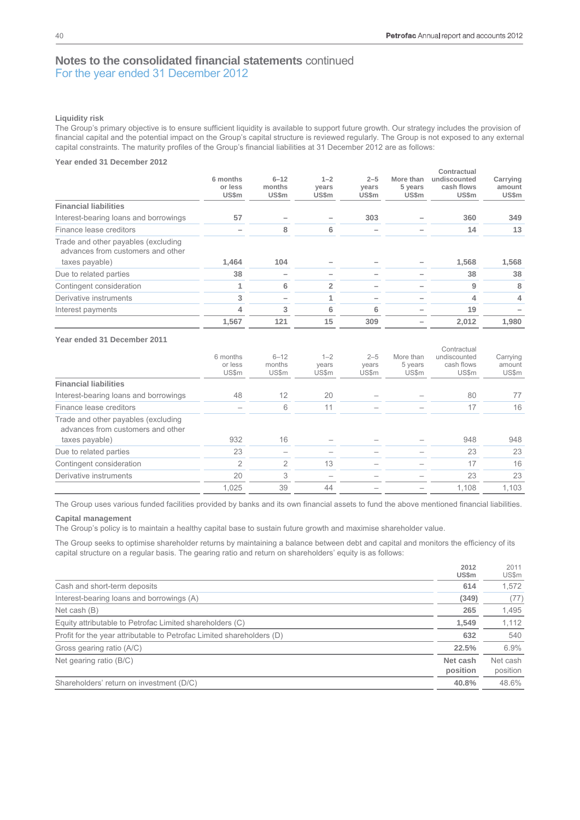**2012** 

 $2011$ 

# **Notes to the consolidated financial statements** continued For the year ended 31 December 2012

#### **Liquidity risk**

The Group's primary objective is to ensure sufficient liquidity is available to support future growth. Our strategy includes the provision of financial capital and the potential impact on the Group's capital structure is reviewed regularly. The Group is not exposed to any external capital constraints. The maturity profiles of the Group's financial liabilities at 31 December 2012 are as follows:

#### **Year ended 31 December 2012**

|                                                                                            |                                     |                             |                           |                           |                               | Contractual                         |                             |
|--------------------------------------------------------------------------------------------|-------------------------------------|-----------------------------|---------------------------|---------------------------|-------------------------------|-------------------------------------|-----------------------------|
|                                                                                            | 6 months<br>or less<br><b>US\$m</b> | $6 - 12$<br>months<br>US\$m | $1 - 2$<br>years<br>US\$m | $2 - 5$<br>years<br>US\$m | More than<br>5 years<br>US\$m | undiscounted<br>cash flows<br>US\$m | Carrying<br>amount<br>US\$m |
| <b>Financial liabilities</b>                                                               |                                     |                             |                           |                           |                               |                                     |                             |
| Interest-bearing loans and borrowings                                                      | 57                                  |                             |                           | 303                       |                               | 360                                 | 349                         |
| Finance lease creditors                                                                    |                                     | 8                           | 6                         |                           |                               | 14                                  | 13                          |
| Trade and other payables (excluding<br>advances from customers and other<br>taxes payable) | 1.464                               | 104                         |                           |                           |                               | 1.568                               | 1,568                       |
| Due to related parties                                                                     | 38                                  |                             |                           |                           |                               | 38                                  | 38                          |
| Contingent consideration                                                                   |                                     | 6                           | 2                         |                           |                               | 9                                   | 8                           |
| Derivative instruments                                                                     | 3                                   |                             |                           |                           |                               | 4                                   | 4                           |
| Interest payments                                                                          | 4                                   | 3                           | 6                         | 6                         |                               | 19                                  |                             |
|                                                                                            | 1.567                               | 121                         | 15                        | 309                       |                               | 2.012                               | 1,980                       |

## **Year ended 31 December 2011**

|                                                                          | 6 months<br>or less<br>US\$m | $6 - 12$<br>months<br>US\$m | $1 - 2$<br>years<br>US\$m | $2 - 5$<br>years<br>US\$m | More than<br>5 years<br>US\$m | Contractual<br>undiscounted<br>cash flows<br><b>US\$m</b> | Carrying<br>amount<br>US\$m |
|--------------------------------------------------------------------------|------------------------------|-----------------------------|---------------------------|---------------------------|-------------------------------|-----------------------------------------------------------|-----------------------------|
| <b>Financial liabilities</b>                                             |                              |                             |                           |                           |                               |                                                           |                             |
| Interest-bearing loans and borrowings                                    | 48                           | 12                          | 20                        |                           |                               | 80                                                        | 77                          |
| Finance lease creditors                                                  |                              | 6                           | 11                        |                           |                               | 17                                                        | 16                          |
| Trade and other payables (excluding<br>advances from customers and other |                              |                             |                           |                           |                               |                                                           |                             |
| taxes payable)                                                           | 932                          | 16                          |                           |                           |                               | 948                                                       | 948                         |
| Due to related parties                                                   | 23                           |                             |                           |                           |                               | 23                                                        | 23                          |
| Contingent consideration                                                 | $\mathfrak{D}$               | $\mathfrak{D}$              | 13                        |                           |                               | 17                                                        | 16                          |
| Derivative instruments                                                   | 20                           | 3                           |                           |                           |                               | 23                                                        | 23                          |
|                                                                          | 1.025                        | 39                          | 44                        |                           |                               | 1.108                                                     | 1.103                       |

The Group uses various funded facilities provided by banks and its own financial assets to fund the above mentioned financial liabilities.

#### **Capital management**

The Group's policy is to maintain a healthy capital base to sustain future growth and maximise shareholder value.

The Group seeks to optimise shareholder returns by maintaining a balance between debt and capital and monitors the efficiency of its capital structure on a regular basis. The gearing ratio and return on shareholders' equity is as follows:

|                                                                       | ZUIZ<br><b>US\$m</b> | 2011<br>US\$m        |
|-----------------------------------------------------------------------|----------------------|----------------------|
| Cash and short-term deposits                                          | 614                  | 1,572                |
| Interest-bearing loans and borrowings (A)                             | (349)                | (77)                 |
| Net cash (B)                                                          | 265                  | 1,495                |
| Equity attributable to Petrofac Limited shareholders (C)              | 1,549                | 1,112                |
| Profit for the year attributable to Petrofac Limited shareholders (D) | 632                  | 540                  |
| Gross gearing ratio (A/C)                                             | 22.5%                | 6.9%                 |
| Net gearing ratio (B/C)                                               | Net cash<br>position | Net cash<br>position |
| Shareholders' return on investment (D/C)                              | 40.8%                | 48.6%                |
|                                                                       |                      |                      |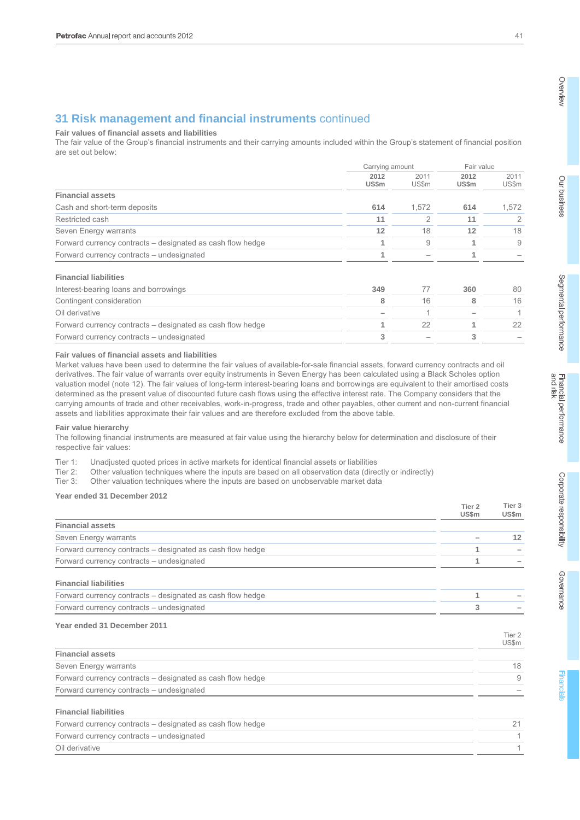# Our business

# **31 Risk management and financial instruments** continued

**Fair values of financial assets and liabilities** 

The fair value of the Group's financial instruments and their carrying amounts included within the Group's statement of financial position are set out below:

|                                                            | Carrying amount |                          | Fair value    |               |
|------------------------------------------------------------|-----------------|--------------------------|---------------|---------------|
|                                                            | 2012<br>US\$m   | 2011<br>US\$m            | 2012<br>US\$m | 2011<br>US\$m |
| <b>Financial assets</b>                                    |                 |                          |               |               |
| Cash and short-term deposits                               | 614             | 1.572                    | 614           | 1,572         |
| Restricted cash                                            | 11              |                          | 11            |               |
| Seven Energy warrants                                      | 12              | 18                       | 12            | 18            |
| Forward currency contracts – designated as cash flow hedge |                 | 9                        |               | 9             |
| Forward currency contracts – undesignated                  |                 | $\overline{\phantom{a}}$ |               |               |

#### **Financial liabilities**

| Interest-bearing loans and borrowings                      | 349 | 360 | 80 |
|------------------------------------------------------------|-----|-----|----|
| Contingent consideration                                   |     |     |    |
| Oil derivative                                             |     |     |    |
| Forward currency contracts – designated as cash flow hedge |     |     |    |
| Forward currency contracts – undesignated                  |     |     |    |

#### **Fair values of financial assets and liabilities**

Market values have been used to determine the fair values of available-for-sale financial assets, forward currency contracts and oil derivatives. The fair value of warrants over equity instruments in Seven Energy has been calculated using a Black Scholes option valuation model (note 12). The fair values of long-term interest-bearing loans and borrowings are equivalent to their amortised costs determined as the present value of discounted future cash flows using the effective interest rate. The Company considers that the carrying amounts of trade and other receivables, work-in-progress, trade and other payables, other current and non-current financial assets and liabilities approximate their fair values and are therefore excluded from the above table.

#### **Fair value hierarchy**

The following financial instruments are measured at fair value using the hierarchy below for determination and disclosure of their respective fair values:

Tier 1: Unadjusted quoted prices in active markets for identical financial assets or liabilities

- Tier 2: Other valuation techniques where the inputs are based on all observation data (directly or indirectly)
- Tier 3: Other valuation techniques where the inputs are based on unobservable market data

## **Year ended 31 December 2012**

|                                                            | Tier <sub>2</sub><br><b>US\$m</b> | Tier 3<br><b>US\$m</b> |
|------------------------------------------------------------|-----------------------------------|------------------------|
| <b>Financial assets</b>                                    |                                   |                        |
| Seven Energy warrants                                      |                                   | 12                     |
| Forward currency contracts – designated as cash flow hedge | 1                                 |                        |
| Forward currency contracts - undesignated                  | 1                                 |                        |
| <b>Financial liabilities</b>                               |                                   |                        |
| Forward currency contracts – designated as cash flow hedge | 1                                 |                        |
| Forward currency contracts - undesignated                  | 3                                 |                        |
| Year ended 31 December 2011                                |                                   |                        |
|                                                            |                                   | Tier 2<br>US\$m        |
| <b>Financial assets</b>                                    |                                   |                        |
| Seven Energy warrants                                      |                                   | 18                     |
| Forward currency contracts – designated as cash flow hedge |                                   | 9                      |
| Forward currency contracts - undesignated                  |                                   |                        |
| <b>Financial liabilities</b>                               |                                   |                        |
| Forward currency contracts – designated as cash flow hedge |                                   | 21                     |
| Forward currency contracts – undesignated                  |                                   |                        |
| Oil derivative                                             |                                   |                        |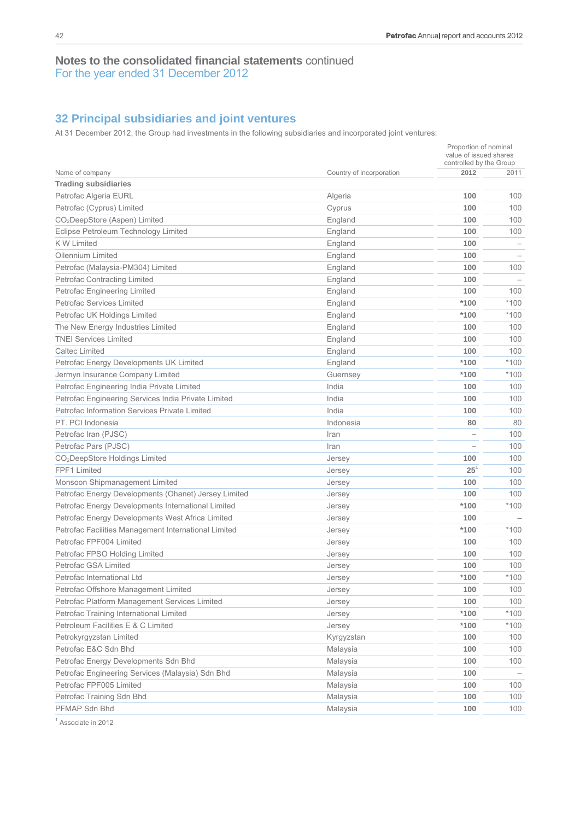# **32 Principal subsidiaries and joint ventures**

At 31 December 2012, the Group had investments in the following subsidiaries and incorporated joint ventures:

| 2012<br>Country of incorporation<br>2011<br>Name of company<br><b>Trading subsidiaries</b><br>Petrofac Algeria EURL<br>100<br>100<br>Algeria<br>Petrofac (Cyprus) Limited<br>100<br>100<br>Cyprus<br>CO <sub>2</sub> DeepStore (Aspen) Limited<br>100<br>100<br>England<br>Eclipse Petroleum Technology Limited<br>100<br>100<br>England<br><b>KW Limited</b><br>England<br>100<br>Oilennium Limited<br>100<br>England<br>100<br>100<br>Petrofac (Malaysia-PM304) Limited<br>England<br>100<br><b>Petrofac Contracting Limited</b><br>England<br>100<br>100<br>Petrofac Engineering Limited<br>England<br>$*100$<br>$*100$<br><b>Petrofac Services Limited</b><br>England<br>$*100$<br>$*100$<br>Petrofac UK Holdings Limited<br>England<br>100<br>The New Energy Industries Limited<br>England<br>100<br><b>TNEI Services Limited</b><br>100<br>100<br>England<br><b>Caltec Limited</b><br>100<br>100<br>England<br>$*100$<br>*100<br>Petrofac Energy Developments UK Limited<br>England<br>$*100$<br>$*100$<br>Jermyn Insurance Company Limited<br>Guernsey<br>India<br>100<br>Petrofac Engineering India Private Limited<br>100<br>Petrofac Engineering Services India Private Limited<br>India<br>100<br>100<br>Petrofac Information Services Private Limited<br>India<br>100<br>100<br>PT. PCI Indonesia<br>Indonesia<br>80<br>80<br>100<br>Petrofac Iran (PJSC)<br>Iran<br>100<br>Petrofac Pars (PJSC)<br>Iran<br>100<br>CO <sub>2</sub> DeepStore Holdings Limited<br>100<br>Jersey<br>$25^{1}$<br>FPF1 Limited<br>100<br>Jersey<br>100<br>100<br>Monsoon Shipmanagement Limited<br>Jersey<br>Petrofac Energy Developments (Ohanet) Jersey Limited<br>100<br>100<br>Jersey<br>$*100$<br>$*100$<br>Petrofac Energy Developments International Limited<br>Jersey<br>Petrofac Energy Developments West Africa Limited<br>100<br>Jersey<br>$*100$<br>$*100$<br>Petrofac Facilities Management International Limited<br>Jersey<br>Petrofac FPF004 Limited<br>100<br>100<br>Jersey<br>Petrofac FPSO Holding Limited<br>100<br>100<br>Jersey<br>Petrofac GSA Limited<br>100<br>100<br>Jersey<br>$*100$<br>$*100$<br>Petrofac International Ltd<br>Jersey<br>Petrofac Offshore Management Limited<br>100<br>100<br>Jersey<br>Petrofac Platform Management Services Limited<br>100<br>100<br>Jersey<br>Petrofac Training International Limited<br>$*100$<br>*100<br>Jersey<br>Petroleum Facilities E & C Limited<br>$*100$<br>$*100$<br>Jersey<br>100<br>100<br>Petrokyrgyzstan Limited<br>Kyrgyzstan<br>Petrofac E&C Sdn Bhd<br>100<br>Malaysia<br>100<br>Petrofac Energy Developments Sdn Bhd<br>100<br>100<br>Malaysia<br>Petrofac Engineering Services (Malaysia) Sdn Bhd<br>Malaysia<br>100<br>Petrofac FPF005 Limited<br>100<br>100<br>Malaysia<br>Petrofac Training Sdn Bhd<br>100<br>100<br>Malaysia<br>PFMAP Sdn Bhd<br>100<br>100<br>Malaysia |  | Proportion of nominal<br>value of issued shares<br>controlled by the Group |  |
|-------------------------------------------------------------------------------------------------------------------------------------------------------------------------------------------------------------------------------------------------------------------------------------------------------------------------------------------------------------------------------------------------------------------------------------------------------------------------------------------------------------------------------------------------------------------------------------------------------------------------------------------------------------------------------------------------------------------------------------------------------------------------------------------------------------------------------------------------------------------------------------------------------------------------------------------------------------------------------------------------------------------------------------------------------------------------------------------------------------------------------------------------------------------------------------------------------------------------------------------------------------------------------------------------------------------------------------------------------------------------------------------------------------------------------------------------------------------------------------------------------------------------------------------------------------------------------------------------------------------------------------------------------------------------------------------------------------------------------------------------------------------------------------------------------------------------------------------------------------------------------------------------------------------------------------------------------------------------------------------------------------------------------------------------------------------------------------------------------------------------------------------------------------------------------------------------------------------------------------------------------------------------------------------------------------------------------------------------------------------------------------------------------------------------------------------------------------------------------------------------------------------------------------------------------------------------------------------------------------------------------------------------------------------------------------------------------------------------------------------------------------------------------------------------------------------------------------------------------|--|----------------------------------------------------------------------------|--|
|                                                                                                                                                                                                                                                                                                                                                                                                                                                                                                                                                                                                                                                                                                                                                                                                                                                                                                                                                                                                                                                                                                                                                                                                                                                                                                                                                                                                                                                                                                                                                                                                                                                                                                                                                                                                                                                                                                                                                                                                                                                                                                                                                                                                                                                                                                                                                                                                                                                                                                                                                                                                                                                                                                                                                                                                                                                       |  |                                                                            |  |
|                                                                                                                                                                                                                                                                                                                                                                                                                                                                                                                                                                                                                                                                                                                                                                                                                                                                                                                                                                                                                                                                                                                                                                                                                                                                                                                                                                                                                                                                                                                                                                                                                                                                                                                                                                                                                                                                                                                                                                                                                                                                                                                                                                                                                                                                                                                                                                                                                                                                                                                                                                                                                                                                                                                                                                                                                                                       |  |                                                                            |  |
|                                                                                                                                                                                                                                                                                                                                                                                                                                                                                                                                                                                                                                                                                                                                                                                                                                                                                                                                                                                                                                                                                                                                                                                                                                                                                                                                                                                                                                                                                                                                                                                                                                                                                                                                                                                                                                                                                                                                                                                                                                                                                                                                                                                                                                                                                                                                                                                                                                                                                                                                                                                                                                                                                                                                                                                                                                                       |  |                                                                            |  |
|                                                                                                                                                                                                                                                                                                                                                                                                                                                                                                                                                                                                                                                                                                                                                                                                                                                                                                                                                                                                                                                                                                                                                                                                                                                                                                                                                                                                                                                                                                                                                                                                                                                                                                                                                                                                                                                                                                                                                                                                                                                                                                                                                                                                                                                                                                                                                                                                                                                                                                                                                                                                                                                                                                                                                                                                                                                       |  |                                                                            |  |
|                                                                                                                                                                                                                                                                                                                                                                                                                                                                                                                                                                                                                                                                                                                                                                                                                                                                                                                                                                                                                                                                                                                                                                                                                                                                                                                                                                                                                                                                                                                                                                                                                                                                                                                                                                                                                                                                                                                                                                                                                                                                                                                                                                                                                                                                                                                                                                                                                                                                                                                                                                                                                                                                                                                                                                                                                                                       |  |                                                                            |  |
|                                                                                                                                                                                                                                                                                                                                                                                                                                                                                                                                                                                                                                                                                                                                                                                                                                                                                                                                                                                                                                                                                                                                                                                                                                                                                                                                                                                                                                                                                                                                                                                                                                                                                                                                                                                                                                                                                                                                                                                                                                                                                                                                                                                                                                                                                                                                                                                                                                                                                                                                                                                                                                                                                                                                                                                                                                                       |  |                                                                            |  |
|                                                                                                                                                                                                                                                                                                                                                                                                                                                                                                                                                                                                                                                                                                                                                                                                                                                                                                                                                                                                                                                                                                                                                                                                                                                                                                                                                                                                                                                                                                                                                                                                                                                                                                                                                                                                                                                                                                                                                                                                                                                                                                                                                                                                                                                                                                                                                                                                                                                                                                                                                                                                                                                                                                                                                                                                                                                       |  |                                                                            |  |
|                                                                                                                                                                                                                                                                                                                                                                                                                                                                                                                                                                                                                                                                                                                                                                                                                                                                                                                                                                                                                                                                                                                                                                                                                                                                                                                                                                                                                                                                                                                                                                                                                                                                                                                                                                                                                                                                                                                                                                                                                                                                                                                                                                                                                                                                                                                                                                                                                                                                                                                                                                                                                                                                                                                                                                                                                                                       |  |                                                                            |  |
|                                                                                                                                                                                                                                                                                                                                                                                                                                                                                                                                                                                                                                                                                                                                                                                                                                                                                                                                                                                                                                                                                                                                                                                                                                                                                                                                                                                                                                                                                                                                                                                                                                                                                                                                                                                                                                                                                                                                                                                                                                                                                                                                                                                                                                                                                                                                                                                                                                                                                                                                                                                                                                                                                                                                                                                                                                                       |  |                                                                            |  |
|                                                                                                                                                                                                                                                                                                                                                                                                                                                                                                                                                                                                                                                                                                                                                                                                                                                                                                                                                                                                                                                                                                                                                                                                                                                                                                                                                                                                                                                                                                                                                                                                                                                                                                                                                                                                                                                                                                                                                                                                                                                                                                                                                                                                                                                                                                                                                                                                                                                                                                                                                                                                                                                                                                                                                                                                                                                       |  |                                                                            |  |
|                                                                                                                                                                                                                                                                                                                                                                                                                                                                                                                                                                                                                                                                                                                                                                                                                                                                                                                                                                                                                                                                                                                                                                                                                                                                                                                                                                                                                                                                                                                                                                                                                                                                                                                                                                                                                                                                                                                                                                                                                                                                                                                                                                                                                                                                                                                                                                                                                                                                                                                                                                                                                                                                                                                                                                                                                                                       |  |                                                                            |  |
|                                                                                                                                                                                                                                                                                                                                                                                                                                                                                                                                                                                                                                                                                                                                                                                                                                                                                                                                                                                                                                                                                                                                                                                                                                                                                                                                                                                                                                                                                                                                                                                                                                                                                                                                                                                                                                                                                                                                                                                                                                                                                                                                                                                                                                                                                                                                                                                                                                                                                                                                                                                                                                                                                                                                                                                                                                                       |  |                                                                            |  |
|                                                                                                                                                                                                                                                                                                                                                                                                                                                                                                                                                                                                                                                                                                                                                                                                                                                                                                                                                                                                                                                                                                                                                                                                                                                                                                                                                                                                                                                                                                                                                                                                                                                                                                                                                                                                                                                                                                                                                                                                                                                                                                                                                                                                                                                                                                                                                                                                                                                                                                                                                                                                                                                                                                                                                                                                                                                       |  |                                                                            |  |
|                                                                                                                                                                                                                                                                                                                                                                                                                                                                                                                                                                                                                                                                                                                                                                                                                                                                                                                                                                                                                                                                                                                                                                                                                                                                                                                                                                                                                                                                                                                                                                                                                                                                                                                                                                                                                                                                                                                                                                                                                                                                                                                                                                                                                                                                                                                                                                                                                                                                                                                                                                                                                                                                                                                                                                                                                                                       |  |                                                                            |  |
|                                                                                                                                                                                                                                                                                                                                                                                                                                                                                                                                                                                                                                                                                                                                                                                                                                                                                                                                                                                                                                                                                                                                                                                                                                                                                                                                                                                                                                                                                                                                                                                                                                                                                                                                                                                                                                                                                                                                                                                                                                                                                                                                                                                                                                                                                                                                                                                                                                                                                                                                                                                                                                                                                                                                                                                                                                                       |  |                                                                            |  |
|                                                                                                                                                                                                                                                                                                                                                                                                                                                                                                                                                                                                                                                                                                                                                                                                                                                                                                                                                                                                                                                                                                                                                                                                                                                                                                                                                                                                                                                                                                                                                                                                                                                                                                                                                                                                                                                                                                                                                                                                                                                                                                                                                                                                                                                                                                                                                                                                                                                                                                                                                                                                                                                                                                                                                                                                                                                       |  |                                                                            |  |
|                                                                                                                                                                                                                                                                                                                                                                                                                                                                                                                                                                                                                                                                                                                                                                                                                                                                                                                                                                                                                                                                                                                                                                                                                                                                                                                                                                                                                                                                                                                                                                                                                                                                                                                                                                                                                                                                                                                                                                                                                                                                                                                                                                                                                                                                                                                                                                                                                                                                                                                                                                                                                                                                                                                                                                                                                                                       |  |                                                                            |  |
|                                                                                                                                                                                                                                                                                                                                                                                                                                                                                                                                                                                                                                                                                                                                                                                                                                                                                                                                                                                                                                                                                                                                                                                                                                                                                                                                                                                                                                                                                                                                                                                                                                                                                                                                                                                                                                                                                                                                                                                                                                                                                                                                                                                                                                                                                                                                                                                                                                                                                                                                                                                                                                                                                                                                                                                                                                                       |  |                                                                            |  |
|                                                                                                                                                                                                                                                                                                                                                                                                                                                                                                                                                                                                                                                                                                                                                                                                                                                                                                                                                                                                                                                                                                                                                                                                                                                                                                                                                                                                                                                                                                                                                                                                                                                                                                                                                                                                                                                                                                                                                                                                                                                                                                                                                                                                                                                                                                                                                                                                                                                                                                                                                                                                                                                                                                                                                                                                                                                       |  |                                                                            |  |
|                                                                                                                                                                                                                                                                                                                                                                                                                                                                                                                                                                                                                                                                                                                                                                                                                                                                                                                                                                                                                                                                                                                                                                                                                                                                                                                                                                                                                                                                                                                                                                                                                                                                                                                                                                                                                                                                                                                                                                                                                                                                                                                                                                                                                                                                                                                                                                                                                                                                                                                                                                                                                                                                                                                                                                                                                                                       |  |                                                                            |  |
|                                                                                                                                                                                                                                                                                                                                                                                                                                                                                                                                                                                                                                                                                                                                                                                                                                                                                                                                                                                                                                                                                                                                                                                                                                                                                                                                                                                                                                                                                                                                                                                                                                                                                                                                                                                                                                                                                                                                                                                                                                                                                                                                                                                                                                                                                                                                                                                                                                                                                                                                                                                                                                                                                                                                                                                                                                                       |  |                                                                            |  |
|                                                                                                                                                                                                                                                                                                                                                                                                                                                                                                                                                                                                                                                                                                                                                                                                                                                                                                                                                                                                                                                                                                                                                                                                                                                                                                                                                                                                                                                                                                                                                                                                                                                                                                                                                                                                                                                                                                                                                                                                                                                                                                                                                                                                                                                                                                                                                                                                                                                                                                                                                                                                                                                                                                                                                                                                                                                       |  |                                                                            |  |
|                                                                                                                                                                                                                                                                                                                                                                                                                                                                                                                                                                                                                                                                                                                                                                                                                                                                                                                                                                                                                                                                                                                                                                                                                                                                                                                                                                                                                                                                                                                                                                                                                                                                                                                                                                                                                                                                                                                                                                                                                                                                                                                                                                                                                                                                                                                                                                                                                                                                                                                                                                                                                                                                                                                                                                                                                                                       |  |                                                                            |  |
|                                                                                                                                                                                                                                                                                                                                                                                                                                                                                                                                                                                                                                                                                                                                                                                                                                                                                                                                                                                                                                                                                                                                                                                                                                                                                                                                                                                                                                                                                                                                                                                                                                                                                                                                                                                                                                                                                                                                                                                                                                                                                                                                                                                                                                                                                                                                                                                                                                                                                                                                                                                                                                                                                                                                                                                                                                                       |  |                                                                            |  |
|                                                                                                                                                                                                                                                                                                                                                                                                                                                                                                                                                                                                                                                                                                                                                                                                                                                                                                                                                                                                                                                                                                                                                                                                                                                                                                                                                                                                                                                                                                                                                                                                                                                                                                                                                                                                                                                                                                                                                                                                                                                                                                                                                                                                                                                                                                                                                                                                                                                                                                                                                                                                                                                                                                                                                                                                                                                       |  |                                                                            |  |
|                                                                                                                                                                                                                                                                                                                                                                                                                                                                                                                                                                                                                                                                                                                                                                                                                                                                                                                                                                                                                                                                                                                                                                                                                                                                                                                                                                                                                                                                                                                                                                                                                                                                                                                                                                                                                                                                                                                                                                                                                                                                                                                                                                                                                                                                                                                                                                                                                                                                                                                                                                                                                                                                                                                                                                                                                                                       |  |                                                                            |  |
|                                                                                                                                                                                                                                                                                                                                                                                                                                                                                                                                                                                                                                                                                                                                                                                                                                                                                                                                                                                                                                                                                                                                                                                                                                                                                                                                                                                                                                                                                                                                                                                                                                                                                                                                                                                                                                                                                                                                                                                                                                                                                                                                                                                                                                                                                                                                                                                                                                                                                                                                                                                                                                                                                                                                                                                                                                                       |  |                                                                            |  |
|                                                                                                                                                                                                                                                                                                                                                                                                                                                                                                                                                                                                                                                                                                                                                                                                                                                                                                                                                                                                                                                                                                                                                                                                                                                                                                                                                                                                                                                                                                                                                                                                                                                                                                                                                                                                                                                                                                                                                                                                                                                                                                                                                                                                                                                                                                                                                                                                                                                                                                                                                                                                                                                                                                                                                                                                                                                       |  |                                                                            |  |
|                                                                                                                                                                                                                                                                                                                                                                                                                                                                                                                                                                                                                                                                                                                                                                                                                                                                                                                                                                                                                                                                                                                                                                                                                                                                                                                                                                                                                                                                                                                                                                                                                                                                                                                                                                                                                                                                                                                                                                                                                                                                                                                                                                                                                                                                                                                                                                                                                                                                                                                                                                                                                                                                                                                                                                                                                                                       |  |                                                                            |  |
|                                                                                                                                                                                                                                                                                                                                                                                                                                                                                                                                                                                                                                                                                                                                                                                                                                                                                                                                                                                                                                                                                                                                                                                                                                                                                                                                                                                                                                                                                                                                                                                                                                                                                                                                                                                                                                                                                                                                                                                                                                                                                                                                                                                                                                                                                                                                                                                                                                                                                                                                                                                                                                                                                                                                                                                                                                                       |  |                                                                            |  |
|                                                                                                                                                                                                                                                                                                                                                                                                                                                                                                                                                                                                                                                                                                                                                                                                                                                                                                                                                                                                                                                                                                                                                                                                                                                                                                                                                                                                                                                                                                                                                                                                                                                                                                                                                                                                                                                                                                                                                                                                                                                                                                                                                                                                                                                                                                                                                                                                                                                                                                                                                                                                                                                                                                                                                                                                                                                       |  |                                                                            |  |
|                                                                                                                                                                                                                                                                                                                                                                                                                                                                                                                                                                                                                                                                                                                                                                                                                                                                                                                                                                                                                                                                                                                                                                                                                                                                                                                                                                                                                                                                                                                                                                                                                                                                                                                                                                                                                                                                                                                                                                                                                                                                                                                                                                                                                                                                                                                                                                                                                                                                                                                                                                                                                                                                                                                                                                                                                                                       |  |                                                                            |  |
|                                                                                                                                                                                                                                                                                                                                                                                                                                                                                                                                                                                                                                                                                                                                                                                                                                                                                                                                                                                                                                                                                                                                                                                                                                                                                                                                                                                                                                                                                                                                                                                                                                                                                                                                                                                                                                                                                                                                                                                                                                                                                                                                                                                                                                                                                                                                                                                                                                                                                                                                                                                                                                                                                                                                                                                                                                                       |  |                                                                            |  |
|                                                                                                                                                                                                                                                                                                                                                                                                                                                                                                                                                                                                                                                                                                                                                                                                                                                                                                                                                                                                                                                                                                                                                                                                                                                                                                                                                                                                                                                                                                                                                                                                                                                                                                                                                                                                                                                                                                                                                                                                                                                                                                                                                                                                                                                                                                                                                                                                                                                                                                                                                                                                                                                                                                                                                                                                                                                       |  |                                                                            |  |
|                                                                                                                                                                                                                                                                                                                                                                                                                                                                                                                                                                                                                                                                                                                                                                                                                                                                                                                                                                                                                                                                                                                                                                                                                                                                                                                                                                                                                                                                                                                                                                                                                                                                                                                                                                                                                                                                                                                                                                                                                                                                                                                                                                                                                                                                                                                                                                                                                                                                                                                                                                                                                                                                                                                                                                                                                                                       |  |                                                                            |  |
|                                                                                                                                                                                                                                                                                                                                                                                                                                                                                                                                                                                                                                                                                                                                                                                                                                                                                                                                                                                                                                                                                                                                                                                                                                                                                                                                                                                                                                                                                                                                                                                                                                                                                                                                                                                                                                                                                                                                                                                                                                                                                                                                                                                                                                                                                                                                                                                                                                                                                                                                                                                                                                                                                                                                                                                                                                                       |  |                                                                            |  |
|                                                                                                                                                                                                                                                                                                                                                                                                                                                                                                                                                                                                                                                                                                                                                                                                                                                                                                                                                                                                                                                                                                                                                                                                                                                                                                                                                                                                                                                                                                                                                                                                                                                                                                                                                                                                                                                                                                                                                                                                                                                                                                                                                                                                                                                                                                                                                                                                                                                                                                                                                                                                                                                                                                                                                                                                                                                       |  |                                                                            |  |
|                                                                                                                                                                                                                                                                                                                                                                                                                                                                                                                                                                                                                                                                                                                                                                                                                                                                                                                                                                                                                                                                                                                                                                                                                                                                                                                                                                                                                                                                                                                                                                                                                                                                                                                                                                                                                                                                                                                                                                                                                                                                                                                                                                                                                                                                                                                                                                                                                                                                                                                                                                                                                                                                                                                                                                                                                                                       |  |                                                                            |  |
|                                                                                                                                                                                                                                                                                                                                                                                                                                                                                                                                                                                                                                                                                                                                                                                                                                                                                                                                                                                                                                                                                                                                                                                                                                                                                                                                                                                                                                                                                                                                                                                                                                                                                                                                                                                                                                                                                                                                                                                                                                                                                                                                                                                                                                                                                                                                                                                                                                                                                                                                                                                                                                                                                                                                                                                                                                                       |  |                                                                            |  |
|                                                                                                                                                                                                                                                                                                                                                                                                                                                                                                                                                                                                                                                                                                                                                                                                                                                                                                                                                                                                                                                                                                                                                                                                                                                                                                                                                                                                                                                                                                                                                                                                                                                                                                                                                                                                                                                                                                                                                                                                                                                                                                                                                                                                                                                                                                                                                                                                                                                                                                                                                                                                                                                                                                                                                                                                                                                       |  |                                                                            |  |
|                                                                                                                                                                                                                                                                                                                                                                                                                                                                                                                                                                                                                                                                                                                                                                                                                                                                                                                                                                                                                                                                                                                                                                                                                                                                                                                                                                                                                                                                                                                                                                                                                                                                                                                                                                                                                                                                                                                                                                                                                                                                                                                                                                                                                                                                                                                                                                                                                                                                                                                                                                                                                                                                                                                                                                                                                                                       |  |                                                                            |  |
|                                                                                                                                                                                                                                                                                                                                                                                                                                                                                                                                                                                                                                                                                                                                                                                                                                                                                                                                                                                                                                                                                                                                                                                                                                                                                                                                                                                                                                                                                                                                                                                                                                                                                                                                                                                                                                                                                                                                                                                                                                                                                                                                                                                                                                                                                                                                                                                                                                                                                                                                                                                                                                                                                                                                                                                                                                                       |  |                                                                            |  |
|                                                                                                                                                                                                                                                                                                                                                                                                                                                                                                                                                                                                                                                                                                                                                                                                                                                                                                                                                                                                                                                                                                                                                                                                                                                                                                                                                                                                                                                                                                                                                                                                                                                                                                                                                                                                                                                                                                                                                                                                                                                                                                                                                                                                                                                                                                                                                                                                                                                                                                                                                                                                                                                                                                                                                                                                                                                       |  |                                                                            |  |
|                                                                                                                                                                                                                                                                                                                                                                                                                                                                                                                                                                                                                                                                                                                                                                                                                                                                                                                                                                                                                                                                                                                                                                                                                                                                                                                                                                                                                                                                                                                                                                                                                                                                                                                                                                                                                                                                                                                                                                                                                                                                                                                                                                                                                                                                                                                                                                                                                                                                                                                                                                                                                                                                                                                                                                                                                                                       |  |                                                                            |  |
|                                                                                                                                                                                                                                                                                                                                                                                                                                                                                                                                                                                                                                                                                                                                                                                                                                                                                                                                                                                                                                                                                                                                                                                                                                                                                                                                                                                                                                                                                                                                                                                                                                                                                                                                                                                                                                                                                                                                                                                                                                                                                                                                                                                                                                                                                                                                                                                                                                                                                                                                                                                                                                                                                                                                                                                                                                                       |  |                                                                            |  |
|                                                                                                                                                                                                                                                                                                                                                                                                                                                                                                                                                                                                                                                                                                                                                                                                                                                                                                                                                                                                                                                                                                                                                                                                                                                                                                                                                                                                                                                                                                                                                                                                                                                                                                                                                                                                                                                                                                                                                                                                                                                                                                                                                                                                                                                                                                                                                                                                                                                                                                                                                                                                                                                                                                                                                                                                                                                       |  |                                                                            |  |

<sup>1</sup> Associate in 2012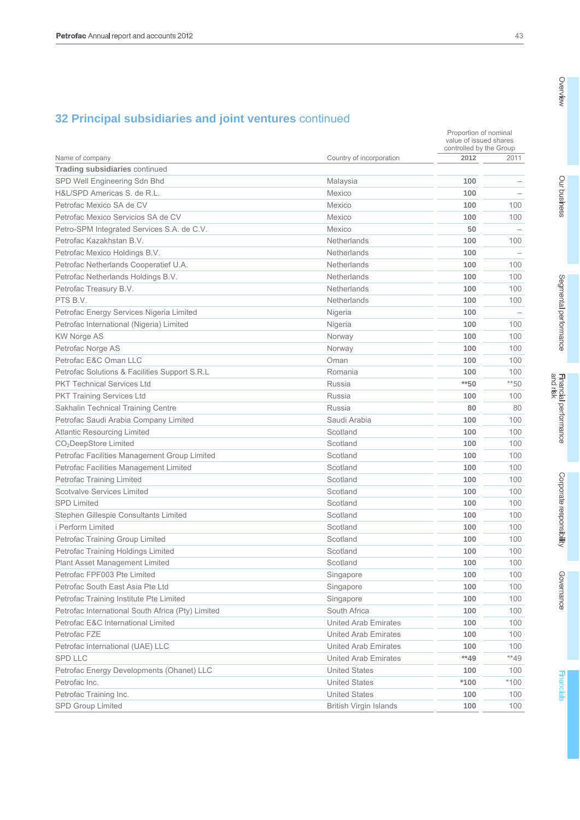|                                                   |                               |        | Proportion of nominal<br>value of issued shares<br>controlled by the Group |  |
|---------------------------------------------------|-------------------------------|--------|----------------------------------------------------------------------------|--|
| Name of company                                   | Country of incorporation      | 2012   | 2011                                                                       |  |
| <b>Trading subsidiaries continued</b>             |                               |        |                                                                            |  |
| SPD Well Engineering Sdn Bhd                      | Malaysia                      | 100    |                                                                            |  |
| H&L/SPD Americas S. de R.L.                       | Mexico                        | 100    |                                                                            |  |
| Petrofac Mexico SA de CV                          | Mexico                        | 100    | 100                                                                        |  |
| Petrofac Mexico Servicios SA de CV                | Mexico                        | 100    | 100                                                                        |  |
| Petro-SPM Integrated Services S.A. de C.V.        | Mexico                        | 50     |                                                                            |  |
| Petrofac Kazakhstan B.V.                          | Netherlands                   | 100    | 100                                                                        |  |
| Petrofac Mexico Holdings B.V.                     | Netherlands                   | 100    |                                                                            |  |
| Petrofac Netherlands Cooperatief U.A.             | Netherlands                   | 100    | 100                                                                        |  |
| Petrofac Netherlands Holdings B.V.                | Netherlands                   | 100    | 100                                                                        |  |
| Petrofac Treasury B.V.                            | <b>Netherlands</b>            | 100    | 100                                                                        |  |
| PTS B.V.                                          | <b>Netherlands</b>            | 100    | 100                                                                        |  |
| Petrofac Energy Services Nigeria Limited          | Nigeria                       | 100    |                                                                            |  |
| Petrofac International (Nigeria) Limited          | Nigeria                       | 100    | 100                                                                        |  |
| <b>KW Norge AS</b>                                | Norway                        | 100    | 100                                                                        |  |
| Petrofac Norge AS                                 | Norway                        | 100    | 100                                                                        |  |
| Petrofac E&C Oman LLC                             | Oman                          | 100    | 100                                                                        |  |
| Petrofac Solutions & Facilities Support S.R.L     | Romania                       | 100    | 100                                                                        |  |
| <b>PKT Technical Services Ltd</b>                 | Russia                        | $*$ 50 | $**50$                                                                     |  |
| <b>PKT Training Services Ltd</b>                  | Russia                        | 100    | 100                                                                        |  |
| Sakhalin Technical Training Centre                | Russia                        | 80     | 80                                                                         |  |
| Petrofac Saudi Arabia Company Limited             | Saudi Arabia                  | 100    | 100                                                                        |  |
| <b>Atlantic Resourcing Limited</b>                | Scotland                      | 100    | 100                                                                        |  |
| CO <sub>2</sub> DeepStore Limited                 | Scotland                      | 100    | 100                                                                        |  |
| Petrofac Facilities Management Group Limited      | Scotland                      | 100    | 100                                                                        |  |
| Petrofac Facilities Management Limited            | Scotland                      | 100    | 100                                                                        |  |
| Petrofac Training Limited                         | Scotland                      | 100    | 100                                                                        |  |
| <b>Scotvalve Services Limited</b>                 | Scotland                      | 100    | 100                                                                        |  |
| <b>SPD Limited</b>                                | Scotland                      | 100    | 100                                                                        |  |
| Stephen Gillespie Consultants Limited             | Scotland                      | 100    | 100                                                                        |  |
| i Perform Limited                                 | Scotland                      | 100    | 100                                                                        |  |
| Petrofac Training Group Limited                   | Scotland                      | 100    | 100                                                                        |  |
| Petrofac Training Holdings Limited                | Scotland                      | 100    | 100                                                                        |  |
| Plant Asset Management Limited                    | Scotland                      | 100    | 100                                                                        |  |
| Petrofac FPF003 Pte Limited                       | Singapore                     | 100    | 100                                                                        |  |
| Petrofac South East Asia Pte Ltd                  | Singapore                     | 100    | 100                                                                        |  |
| Petrofac Training Institute Pte Limited           | Singapore                     | 100    | 100                                                                        |  |
| Petrofac International South Africa (Pty) Limited | South Africa                  | 100    | 100                                                                        |  |
| Petrofac E&C International Limited                | United Arab Emirates          | 100    | 100                                                                        |  |
| Petrofac FZE                                      | <b>United Arab Emirates</b>   | 100    | 100                                                                        |  |
| Petrofac International (UAE) LLC                  | <b>United Arab Emirates</b>   | 100    | 100                                                                        |  |
| <b>SPD LLC</b>                                    | United Arab Emirates          | $**49$ | $**49$                                                                     |  |
| Petrofac Energy Developments (Ohanet) LLC         | <b>United States</b>          | 100    | 100                                                                        |  |
| Petrofac Inc.                                     | <b>United States</b>          | $*100$ | $*100$                                                                     |  |
| Petrofac Training Inc.                            | <b>United States</b>          | 100    | 100                                                                        |  |
| SPD Group Limited                                 | <b>British Virgin Islands</b> | 100    | 100                                                                        |  |

Governance